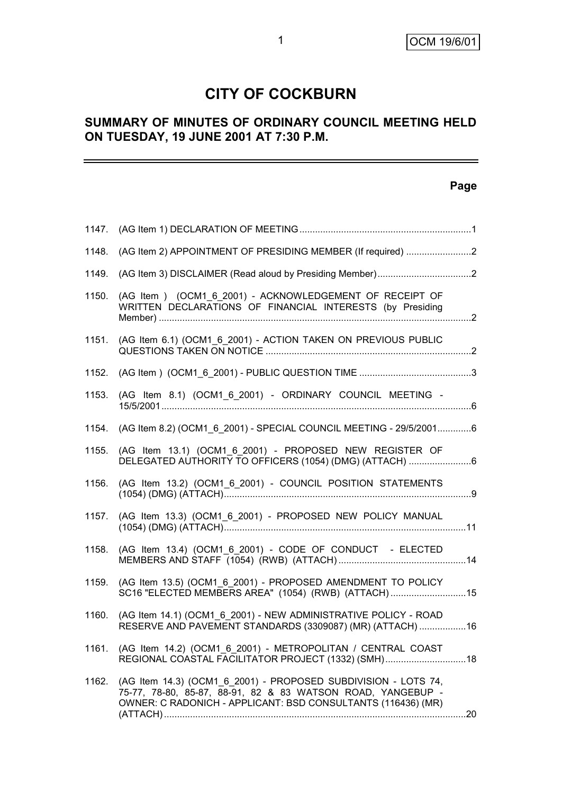## **CITY OF COCKBURN**

### **SUMMARY OF MINUTES OF ORDINARY COUNCIL MEETING HELD ON TUESDAY, 19 JUNE 2001 AT 7:30 P.M.**

### **Page**

-

| 1147. |                                                                                                                                                                                               |  |
|-------|-----------------------------------------------------------------------------------------------------------------------------------------------------------------------------------------------|--|
| 1148. | (AG Item 2) APPOINTMENT OF PRESIDING MEMBER (If required) 2                                                                                                                                   |  |
| 1149. |                                                                                                                                                                                               |  |
| 1150. | (AG Item) (OCM1_6_2001) - ACKNOWLEDGEMENT OF RECEIPT OF<br>WRITTEN DECLARATIONS OF FINANCIAL INTERESTS (by Presiding                                                                          |  |
| 1151. | (AG Item 6.1) (OCM1_6_2001) - ACTION TAKEN ON PREVIOUS PUBLIC                                                                                                                                 |  |
| 1152. |                                                                                                                                                                                               |  |
| 1153. | (AG Item 8.1) (OCM1_6_2001) - ORDINARY COUNCIL MEETING -                                                                                                                                      |  |
| 1154. | (AG Item 8.2) (OCM1_6_2001) - SPECIAL COUNCIL MEETING - 29/5/20016                                                                                                                            |  |
| 1155. | (AG Item 13.1) (OCM1 6 2001) - PROPOSED NEW REGISTER OF<br>DELEGATED AUTHORITY TO OFFICERS (1054) (DMG) (ATTACH)                                                                              |  |
| 1156. | (AG Item 13.2) (OCM1 6 2001) - COUNCIL POSITION STATEMENTS                                                                                                                                    |  |
| 1157. | (AG Item 13.3) (OCM1_6_2001) - PROPOSED NEW POLICY MANUAL                                                                                                                                     |  |
| 1158. | (AG Item 13.4) (OCM1_6_2001) - CODE OF CONDUCT - ELECTED                                                                                                                                      |  |
| 1159. | (AG Item 13.5) (OCM1 6 2001) - PROPOSED AMENDMENT TO POLICY<br>SC16 "ELECTED MEMBERS AREA" (1054) (RWB) (ATTACH) 15                                                                           |  |
| 1160. | (AG Item 14.1) (OCM1 6 2001) - NEW ADMINISTRATIVE POLICY - ROAD<br>RESERVE AND PAVEMENT STANDARDS (3309087) (MR) (ATTACH)  16                                                                 |  |
|       | 1161. (AG Item 14.2) (OCM1_6_2001) - METROPOLITAN / CENTRAL COAST<br>REGIONAL COASTAL FACILITATOR PROJECT (1332) (SMH)18                                                                      |  |
| 1162. | (AG Item 14.3) (OCM1_6_2001) - PROPOSED SUBDIVISION - LOTS 74,<br>75-77, 78-80, 85-87, 88-91, 82 & 83 WATSON ROAD, YANGEBUP -<br>OWNER: C RADONICH - APPLICANT: BSD CONSULTANTS (116436) (MR) |  |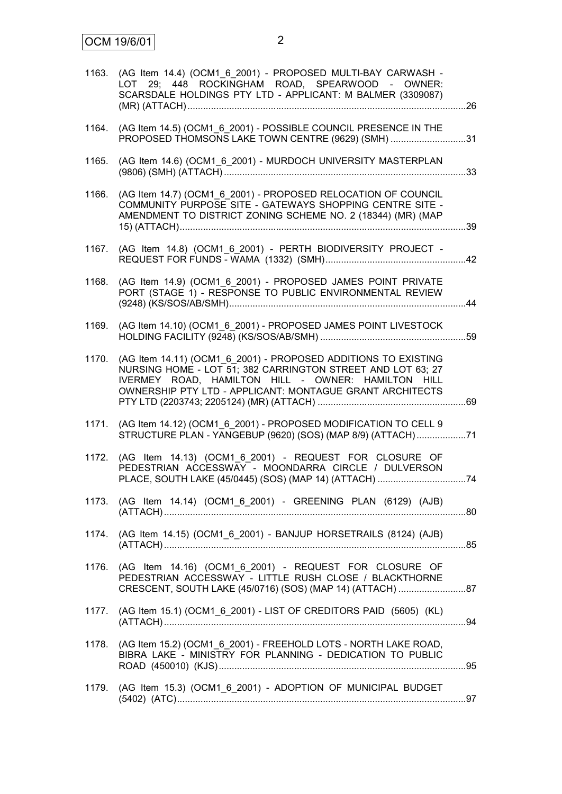| 1163. | (AG Item 14.4) (OCM1_6_2001) - PROPOSED MULTI-BAY CARWASH -<br>LOT 29; 448 ROCKINGHAM ROAD, SPEARWOOD - OWNER:<br>SCARSDALE HOLDINGS PTY LTD - APPLICANT: M BALMER (3309087)                                                                    |  |
|-------|-------------------------------------------------------------------------------------------------------------------------------------------------------------------------------------------------------------------------------------------------|--|
| 1164. | (AG Item 14.5) (OCM1_6_2001) - POSSIBLE COUNCIL PRESENCE IN THE<br>PROPOSED THOMSONS LAKE TOWN CENTRE (9629) (SMH) 31                                                                                                                           |  |
| 1165. | (AG Item 14.6) (OCM1_6_2001) - MURDOCH UNIVERSITY MASTERPLAN                                                                                                                                                                                    |  |
| 1166. | (AG Item 14.7) (OCM1 6 2001) - PROPOSED RELOCATION OF COUNCIL<br>COMMUNITY PURPOSE SITE - GATEWAYS SHOPPING CENTRE SITE -<br>AMENDMENT TO DISTRICT ZONING SCHEME NO. 2 (18344) (MR) (MAP                                                        |  |
| 1167. | (AG Item 14.8) (OCM1 6 2001) - PERTH BIODIVERSITY PROJECT -                                                                                                                                                                                     |  |
| 1168. | (AG Item 14.9) (OCM1 6 2001) - PROPOSED JAMES POINT PRIVATE<br>PORT (STAGE 1) - RESPONSE TO PUBLIC ENVIRONMENTAL REVIEW                                                                                                                         |  |
| 1169. | (AG Item 14.10) (OCM1_6_2001) - PROPOSED JAMES POINT LIVESTOCK                                                                                                                                                                                  |  |
| 1170. | (AG Item 14.11) (OCM1 6 2001) - PROPOSED ADDITIONS TO EXISTING<br>NURSING HOME - LOT 51; 382 CARRINGTON STREET AND LOT 63; 27<br>IVERMEY ROAD, HAMILTON HILL - OWNER: HAMILTON HILL<br>OWNERSHIP PTY LTD - APPLICANT: MONTAGUE GRANT ARCHITECTS |  |
| 1171. | (AG Item 14.12) (OCM1 6 2001) - PROPOSED MODIFICATION TO CELL 9<br>STRUCTURE PLAN - YANGEBUP (9620) (SOS) (MAP 8/9) (ATTACH)71                                                                                                                  |  |
| 1172. | (AG Item 14.13) (OCM1_6_2001) - REQUEST FOR CLOSURE OF<br>PEDESTRIAN ACCESSWAY - MOONDARRA CIRCLE / DULVERSON                                                                                                                                   |  |
|       | 1173. (AG Item 14.14) (OCM1_6_2001) - GREENING PLAN (6129) (AJB)                                                                                                                                                                                |  |
|       | 1174. (AG Item 14.15) (OCM1_6_2001) - BANJUP HORSETRAILS (8124) (AJB)                                                                                                                                                                           |  |
| 1176. | (AG Item 14.16) (OCM1 6 2001) - REQUEST FOR CLOSURE OF<br>PEDESTRIAN ACCESSWAY - LITTLE RUSH CLOSE / BLACKTHORNE                                                                                                                                |  |
| 1177. | (AG Item 15.1) (OCM1_6_2001) - LIST OF CREDITORS PAID (5605) (KL)                                                                                                                                                                               |  |
| 1178. | (AG Item 15.2) (OCM1_6_2001) - FREEHOLD LOTS - NORTH LAKE ROAD,<br>BIBRA LAKE - MINISTRY FOR PLANNING - DEDICATION TO PUBLIC                                                                                                                    |  |
| 1179. | (AG Item 15.3) (OCM1_6_2001) - ADOPTION OF MUNICIPAL BUDGET                                                                                                                                                                                     |  |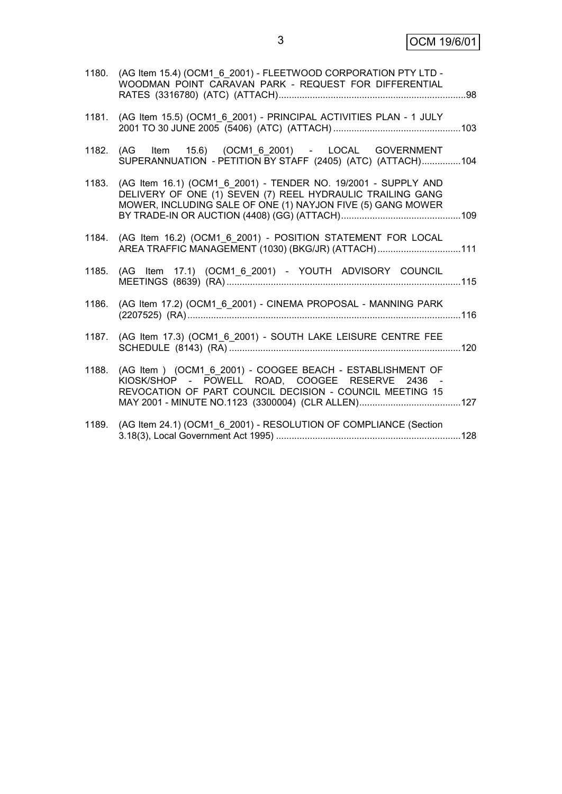3 OCM 19/6/01

|       | 1180. (AG Item 15.4) (OCM1 6 2001) - FLEETWOOD CORPORATION PTY LTD -<br>WOODMAN POINT CARAVAN PARK - REQUEST FOR DIFFERENTIAL                                                               |  |
|-------|---------------------------------------------------------------------------------------------------------------------------------------------------------------------------------------------|--|
| 1181. | (AG Item 15.5) (OCM1 6 2001) - PRINCIPAL ACTIVITIES PLAN - 1 JULY                                                                                                                           |  |
|       | 1182. (AG Item 15.6) (OCM1 6 2001) - LOCAL GOVERNMENT<br>SUPERANNUATION - PETITION BY STAFF (2405) (ATC) (ATTACH)104                                                                        |  |
| 1183. | (AG Item 16.1) (OCM1 6 2001) - TENDER NO. 19/2001 - SUPPLY AND<br>DELIVERY OF ONE (1) SEVEN (7) REEL HYDRAULIC TRAILING GANG<br>MOWER, INCLUDING SALE OF ONE (1) NAYJON FIVE (5) GANG MOWER |  |
|       | 1184. (AG Item 16.2) (OCM1 6 2001) - POSITION STATEMENT FOR LOCAL<br>AREA TRAFFIC MANAGEMENT (1030) (BKG/JR) (ATTACH)111                                                                    |  |
|       | 1185. (AG Item 17.1) (OCM1_6_2001) - YOUTH ADVISORY COUNCIL                                                                                                                                 |  |
| 1186. | (AG Item 17.2) (OCM1_6_2001) - CINEMA PROPOSAL - MANNING PARK                                                                                                                               |  |
|       | 1187. (AG Item 17.3) (OCM1_6_2001) - SOUTH LAKE LEISURE CENTRE FEE                                                                                                                          |  |
| 1188. | (AG Item ) (OCM1 6 2001) - COOGEE BEACH - ESTABLISHMENT OF<br>KIOSK/SHOP - POWELL ROAD, COOGEE RESERVE 2436 -<br>REVOCATION OF PART COUNCIL DECISION - COUNCIL MEETING 15                   |  |
| 1189. | (AG Item 24.1) (OCM1_6_2001) - RESOLUTION OF COMPLIANCE (Section                                                                                                                            |  |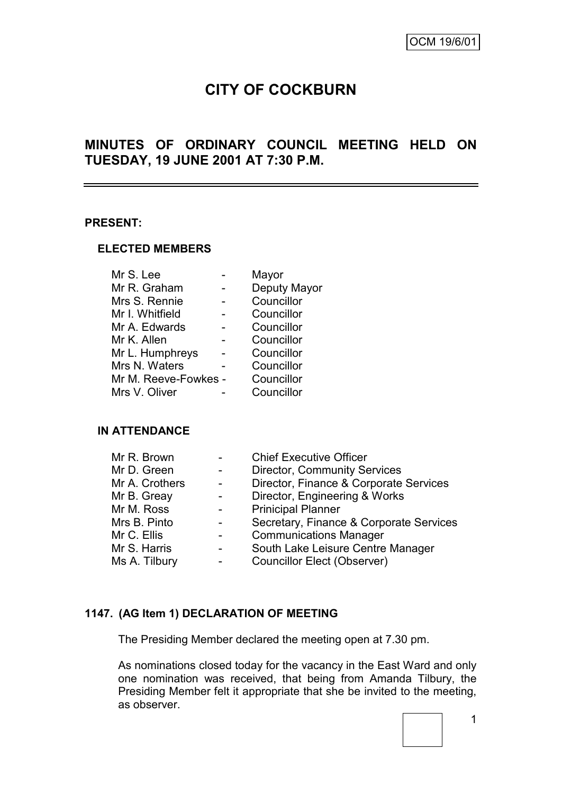# **CITY OF COCKBURN**

### **MINUTES OF ORDINARY COUNCIL MEETING HELD ON TUESDAY, 19 JUNE 2001 AT 7:30 P.M.**

#### **PRESENT:**

#### **ELECTED MEMBERS**

| Mr S. Lee            | Mayor        |
|----------------------|--------------|
| Mr R. Graham         | Deputy Mayor |
| Mrs S. Rennie        | Councillor   |
| Mr I. Whitfield      | Councillor   |
| Mr A. Edwards        | Councillor   |
| Mr K. Allen          | Councillor   |
| Mr L. Humphreys      | Councillor   |
| Mrs N. Waters        | Councillor   |
| Mr M. Reeve-Fowkes - | Councillor   |
| Mrs V. Oliver        | Councillor   |
|                      |              |

### **IN ATTENDANCE**

| Mr R. Brown    | <b>Chief Executive Officer</b>          |
|----------------|-----------------------------------------|
| Mr D. Green    | <b>Director, Community Services</b>     |
| Mr A. Crothers | Director, Finance & Corporate Services  |
| Mr B. Greay    | Director, Engineering & Works           |
| Mr M. Ross     | <b>Prinicipal Planner</b>               |
| Mrs B. Pinto   | Secretary, Finance & Corporate Services |
| Mr C. Ellis    | <b>Communications Manager</b>           |
| Mr S. Harris   | South Lake Leisure Centre Manager       |
| Ms A. Tilbury  | <b>Councillor Elect (Observer)</b>      |

### **1147. (AG Item 1) DECLARATION OF MEETING**

The Presiding Member declared the meeting open at 7.30 pm.

As nominations closed today for the vacancy in the East Ward and only one nomination was received, that being from Amanda Tilbury, the Presiding Member felt it appropriate that she be invited to the meeting, as observer.

1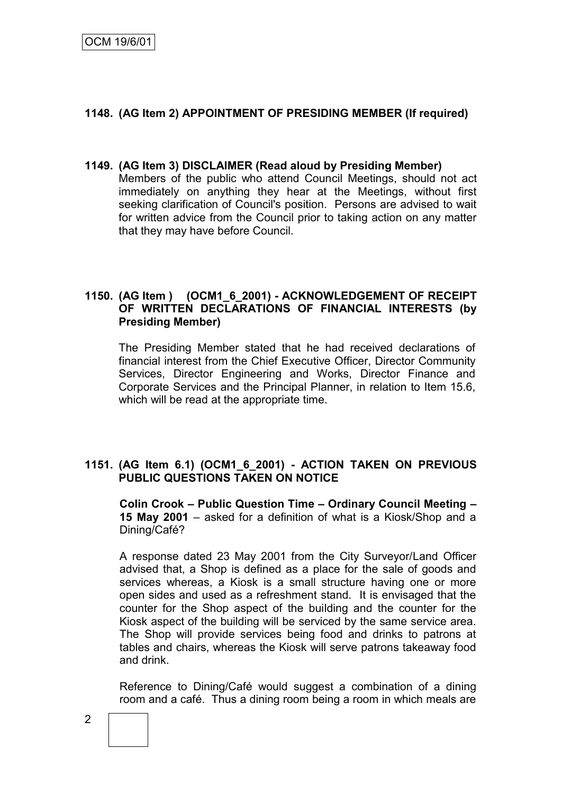### **1148. (AG Item 2) APPOINTMENT OF PRESIDING MEMBER (If required)**

#### **1149. (AG Item 3) DISCLAIMER (Read aloud by Presiding Member)** Members of the public who attend Council Meetings, should not act immediately on anything they hear at the Meetings, without first seeking clarification of Council's position. Persons are advised to wait for written advice from the Council prior to taking action on any matter that they may have before Council.

### **1150. (AG Item ) (OCM1\_6\_2001) - ACKNOWLEDGEMENT OF RECEIPT OF WRITTEN DECLARATIONS OF FINANCIAL INTERESTS (by Presiding Member)**

The Presiding Member stated that he had received declarations of financial interest from the Chief Executive Officer, Director Community Services, Director Engineering and Works, Director Finance and Corporate Services and the Principal Planner, in relation to Item 15.6, which will be read at the appropriate time.

### **1151. (AG Item 6.1) (OCM1\_6\_2001) - ACTION TAKEN ON PREVIOUS PUBLIC QUESTIONS TAKEN ON NOTICE**

**Colin Crook – Public Question Time – Ordinary Council Meeting – 15 May 2001** – asked for a definition of what is a Kiosk/Shop and a Dining/Café?

A response dated 23 May 2001 from the City Surveyor/Land Officer advised that, a Shop is defined as a place for the sale of goods and services whereas, a Kiosk is a small structure having one or more open sides and used as a refreshment stand. It is envisaged that the counter for the Shop aspect of the building and the counter for the Kiosk aspect of the building will be serviced by the same service area. The Shop will provide services being food and drinks to patrons at tables and chairs, whereas the Kiosk will serve patrons takeaway food and drink.

Reference to Dining/Café would suggest a combination of a dining room and a café. Thus a dining room being a room in which meals are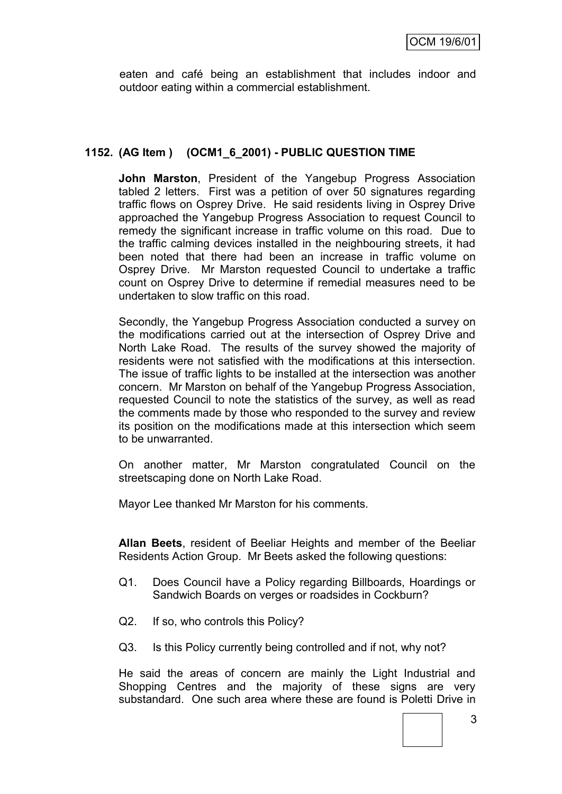eaten and café being an establishment that includes indoor and outdoor eating within a commercial establishment.

### **1152. (AG Item ) (OCM1\_6\_2001) - PUBLIC QUESTION TIME**

**John Marston**, President of the Yangebup Progress Association tabled 2 letters. First was a petition of over 50 signatures regarding traffic flows on Osprey Drive. He said residents living in Osprey Drive approached the Yangebup Progress Association to request Council to remedy the significant increase in traffic volume on this road. Due to the traffic calming devices installed in the neighbouring streets, it had been noted that there had been an increase in traffic volume on Osprey Drive. Mr Marston requested Council to undertake a traffic count on Osprey Drive to determine if remedial measures need to be undertaken to slow traffic on this road.

Secondly, the Yangebup Progress Association conducted a survey on the modifications carried out at the intersection of Osprey Drive and North Lake Road. The results of the survey showed the majority of residents were not satisfied with the modifications at this intersection. The issue of traffic lights to be installed at the intersection was another concern. Mr Marston on behalf of the Yangebup Progress Association, requested Council to note the statistics of the survey, as well as read the comments made by those who responded to the survey and review its position on the modifications made at this intersection which seem to be unwarranted.

On another matter, Mr Marston congratulated Council on the streetscaping done on North Lake Road.

Mayor Lee thanked Mr Marston for his comments.

**Allan Beets**, resident of Beeliar Heights and member of the Beeliar Residents Action Group. Mr Beets asked the following questions:

- Q1. Does Council have a Policy regarding Billboards, Hoardings or Sandwich Boards on verges or roadsides in Cockburn?
- Q2. If so, who controls this Policy?
- Q3. Is this Policy currently being controlled and if not, why not?

He said the areas of concern are mainly the Light Industrial and Shopping Centres and the majority of these signs are very substandard. One such area where these are found is Poletti Drive in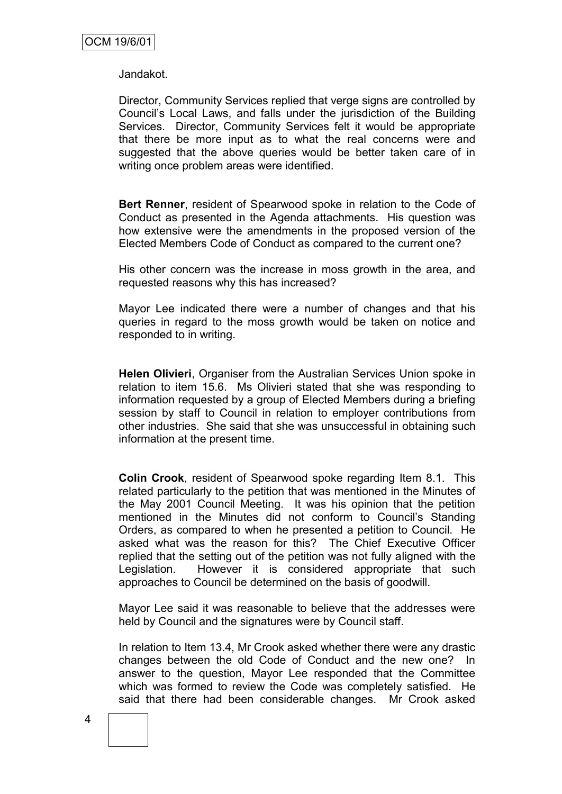Jandakot.

Director, Community Services replied that verge signs are controlled by Council"s Local Laws, and falls under the jurisdiction of the Building Services. Director, Community Services felt it would be appropriate that there be more input as to what the real concerns were and suggested that the above queries would be better taken care of in writing once problem areas were identified.

**Bert Renner**, resident of Spearwood spoke in relation to the Code of Conduct as presented in the Agenda attachments. His question was how extensive were the amendments in the proposed version of the Elected Members Code of Conduct as compared to the current one?

His other concern was the increase in moss growth in the area, and requested reasons why this has increased?

Mayor Lee indicated there were a number of changes and that his queries in regard to the moss growth would be taken on notice and responded to in writing.

**Helen Olivieri**, Organiser from the Australian Services Union spoke in relation to item 15.6. Ms Olivieri stated that she was responding to information requested by a group of Elected Members during a briefing session by staff to Council in relation to employer contributions from other industries. She said that she was unsuccessful in obtaining such information at the present time.

**Colin Crook**, resident of Spearwood spoke regarding Item 8.1. This related particularly to the petition that was mentioned in the Minutes of the May 2001 Council Meeting. It was his opinion that the petition mentioned in the Minutes did not conform to Council's Standing Orders, as compared to when he presented a petition to Council. He asked what was the reason for this? The Chief Executive Officer replied that the setting out of the petition was not fully aligned with the Legislation. However it is considered appropriate that such approaches to Council be determined on the basis of goodwill.

Mayor Lee said it was reasonable to believe that the addresses were held by Council and the signatures were by Council staff.

In relation to Item 13.4, Mr Crook asked whether there were any drastic changes between the old Code of Conduct and the new one? In answer to the question, Mayor Lee responded that the Committee which was formed to review the Code was completely satisfied. He said that there had been considerable changes. Mr Crook asked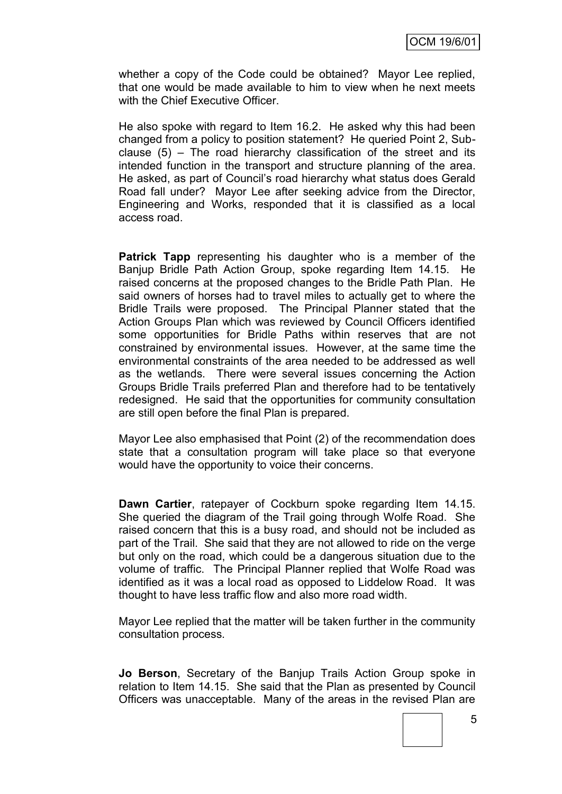whether a copy of the Code could be obtained? Mayor Lee replied, that one would be made available to him to view when he next meets with the Chief Executive Officer.

He also spoke with regard to Item 16.2. He asked why this had been changed from a policy to position statement? He queried Point 2, Subclause (5) – The road hierarchy classification of the street and its intended function in the transport and structure planning of the area. He asked, as part of Council"s road hierarchy what status does Gerald Road fall under? Mayor Lee after seeking advice from the Director, Engineering and Works, responded that it is classified as a local access road.

**Patrick Tapp** representing his daughter who is a member of the Banjup Bridle Path Action Group, spoke regarding Item 14.15. He raised concerns at the proposed changes to the Bridle Path Plan. He said owners of horses had to travel miles to actually get to where the Bridle Trails were proposed. The Principal Planner stated that the Action Groups Plan which was reviewed by Council Officers identified some opportunities for Bridle Paths within reserves that are not constrained by environmental issues. However, at the same time the environmental constraints of the area needed to be addressed as well as the wetlands. There were several issues concerning the Action Groups Bridle Trails preferred Plan and therefore had to be tentatively redesigned. He said that the opportunities for community consultation are still open before the final Plan is prepared.

Mayor Lee also emphasised that Point (2) of the recommendation does state that a consultation program will take place so that everyone would have the opportunity to voice their concerns.

**Dawn Cartier**, ratepayer of Cockburn spoke regarding Item 14.15. She queried the diagram of the Trail going through Wolfe Road. She raised concern that this is a busy road, and should not be included as part of the Trail. She said that they are not allowed to ride on the verge but only on the road, which could be a dangerous situation due to the volume of traffic. The Principal Planner replied that Wolfe Road was identified as it was a local road as opposed to Liddelow Road. It was thought to have less traffic flow and also more road width.

Mayor Lee replied that the matter will be taken further in the community consultation process.

**Jo Berson**, Secretary of the Banjup Trails Action Group spoke in relation to Item 14.15. She said that the Plan as presented by Council Officers was unacceptable. Many of the areas in the revised Plan are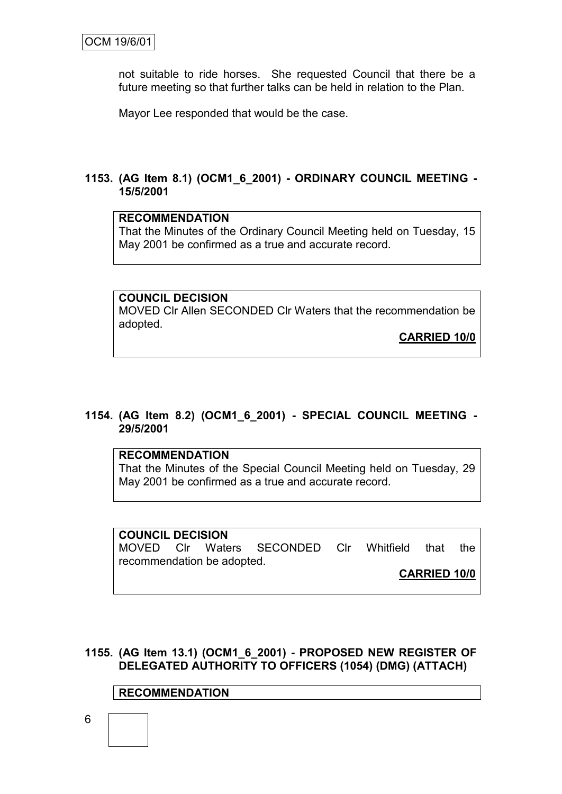not suitable to ride horses. She requested Council that there be a future meeting so that further talks can be held in relation to the Plan.

Mayor Lee responded that would be the case.

### **1153. (AG Item 8.1) (OCM1\_6\_2001) - ORDINARY COUNCIL MEETING - 15/5/2001**

#### **RECOMMENDATION**

That the Minutes of the Ordinary Council Meeting held on Tuesday, 15 May 2001 be confirmed as a true and accurate record.

**COUNCIL DECISION** MOVED Clr Allen SECONDED Clr Waters that the recommendation be adopted.

**CARRIED 10/0**

### **1154. (AG Item 8.2) (OCM1\_6\_2001) - SPECIAL COUNCIL MEETING - 29/5/2001**

### **RECOMMENDATION**

That the Minutes of the Special Council Meeting held on Tuesday, 29 May 2001 be confirmed as a true and accurate record.

**COUNCIL DECISION** MOVED Clr Waters SECONDED Clr Whitfield that the recommendation be adopted. **CARRIED 10/0**

**1155. (AG Item 13.1) (OCM1\_6\_2001) - PROPOSED NEW REGISTER OF DELEGATED AUTHORITY TO OFFICERS (1054) (DMG) (ATTACH)**

### **RECOMMENDATION**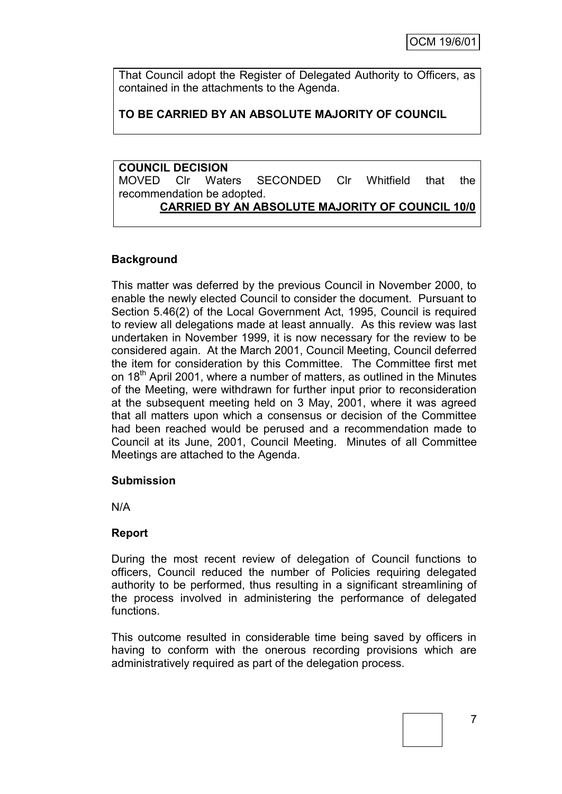That Council adopt the Register of Delegated Authority to Officers, as contained in the attachments to the Agenda.

### **TO BE CARRIED BY AN ABSOLUTE MAJORITY OF COUNCIL**

**COUNCIL DECISION** MOVED Clr Waters SECONDED Clr Whitfield that the recommendation be adopted. **CARRIED BY AN ABSOLUTE MAJORITY OF COUNCIL 10/0**

### **Background**

This matter was deferred by the previous Council in November 2000, to enable the newly elected Council to consider the document. Pursuant to Section 5.46(2) of the Local Government Act, 1995, Council is required to review all delegations made at least annually. As this review was last undertaken in November 1999, it is now necessary for the review to be considered again. At the March 2001, Council Meeting, Council deferred the item for consideration by this Committee. The Committee first met on 18<sup>th</sup> April 2001, where a number of matters, as outlined in the Minutes of the Meeting, were withdrawn for further input prior to reconsideration at the subsequent meeting held on 3 May, 2001, where it was agreed that all matters upon which a consensus or decision of the Committee had been reached would be perused and a recommendation made to Council at its June, 2001, Council Meeting. Minutes of all Committee Meetings are attached to the Agenda.

### **Submission**

N/A

### **Report**

During the most recent review of delegation of Council functions to officers, Council reduced the number of Policies requiring delegated authority to be performed, thus resulting in a significant streamlining of the process involved in administering the performance of delegated functions.

This outcome resulted in considerable time being saved by officers in having to conform with the onerous recording provisions which are administratively required as part of the delegation process.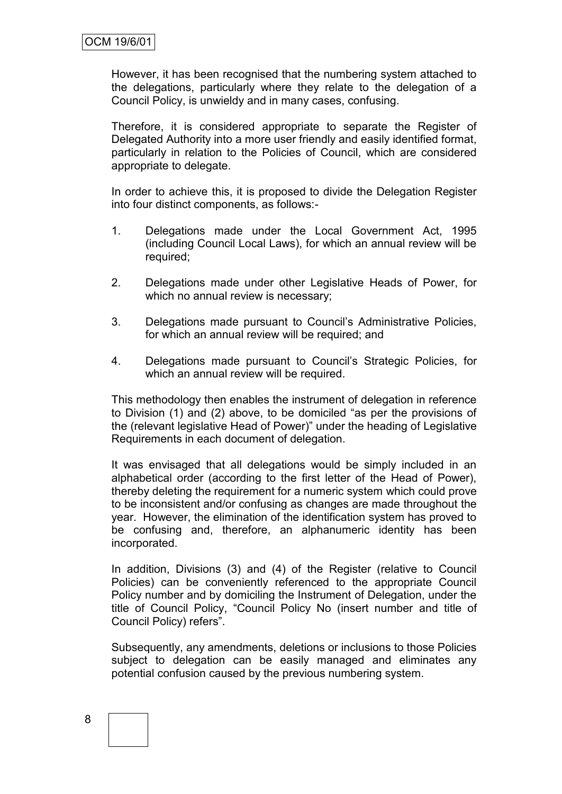However, it has been recognised that the numbering system attached to the delegations, particularly where they relate to the delegation of a Council Policy, is unwieldy and in many cases, confusing.

Therefore, it is considered appropriate to separate the Register of Delegated Authority into a more user friendly and easily identified format, particularly in relation to the Policies of Council, which are considered appropriate to delegate.

In order to achieve this, it is proposed to divide the Delegation Register into four distinct components, as follows:-

- 1. Delegations made under the Local Government Act, 1995 (including Council Local Laws), for which an annual review will be required;
- 2. Delegations made under other Legislative Heads of Power, for which no annual review is necessary;
- 3. Delegations made pursuant to Council"s Administrative Policies, for which an annual review will be required; and
- 4. Delegations made pursuant to Council"s Strategic Policies, for which an annual review will be required.

This methodology then enables the instrument of delegation in reference to Division (1) and (2) above, to be domiciled "as per the provisions of the (relevant legislative Head of Power)" under the heading of Legislative Requirements in each document of delegation.

It was envisaged that all delegations would be simply included in an alphabetical order (according to the first letter of the Head of Power), thereby deleting the requirement for a numeric system which could prove to be inconsistent and/or confusing as changes are made throughout the year. However, the elimination of the identification system has proved to be confusing and, therefore, an alphanumeric identity has been incorporated.

In addition, Divisions (3) and (4) of the Register (relative to Council Policies) can be conveniently referenced to the appropriate Council Policy number and by domiciling the Instrument of Delegation, under the title of Council Policy, "Council Policy No (insert number and title of Council Policy) refers".

Subsequently, any amendments, deletions or inclusions to those Policies subject to delegation can be easily managed and eliminates any potential confusion caused by the previous numbering system.

# 8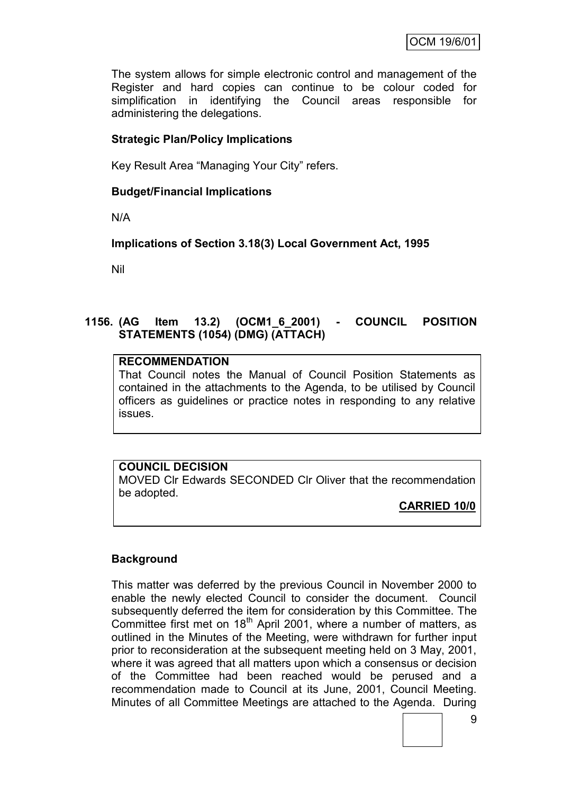The system allows for simple electronic control and management of the Register and hard copies can continue to be colour coded for simplification in identifying the Council areas responsible for administering the delegations.

### **Strategic Plan/Policy Implications**

Key Result Area "Managing Your City" refers.

### **Budget/Financial Implications**

N/A

**Implications of Section 3.18(3) Local Government Act, 1995**

Nil

### **1156. (AG Item 13.2) (OCM1\_6\_2001) - COUNCIL POSITION STATEMENTS (1054) (DMG) (ATTACH)**

### **RECOMMENDATION**

That Council notes the Manual of Council Position Statements as contained in the attachments to the Agenda, to be utilised by Council officers as guidelines or practice notes in responding to any relative issues.

### **COUNCIL DECISION**

MOVED Clr Edwards SECONDED Clr Oliver that the recommendation be adopted.

### **CARRIED 10/0**

### **Background**

This matter was deferred by the previous Council in November 2000 to enable the newly elected Council to consider the document. Council subsequently deferred the item for consideration by this Committee. The Committee first met on 18<sup>th</sup> April 2001, where a number of matters, as outlined in the Minutes of the Meeting, were withdrawn for further input prior to reconsideration at the subsequent meeting held on 3 May, 2001, where it was agreed that all matters upon which a consensus or decision of the Committee had been reached would be perused and a recommendation made to Council at its June, 2001, Council Meeting. Minutes of all Committee Meetings are attached to the Agenda. During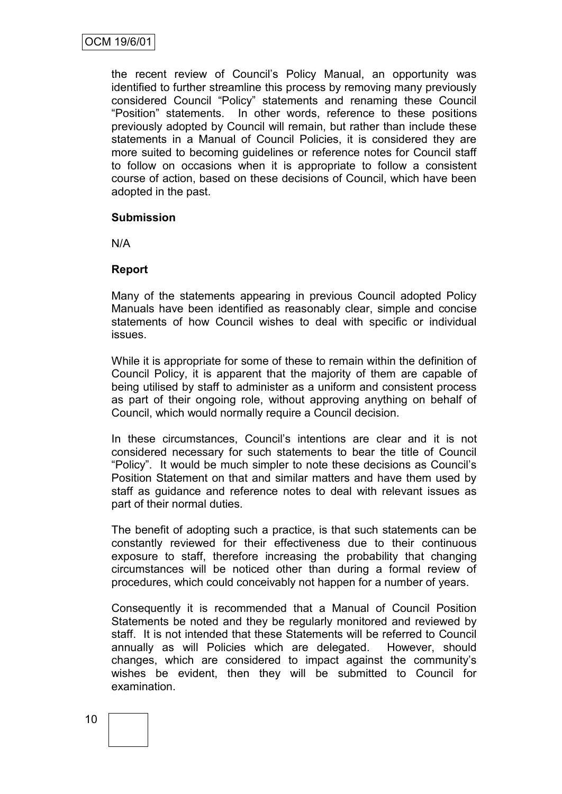the recent review of Council"s Policy Manual, an opportunity was identified to further streamline this process by removing many previously considered Council "Policy" statements and renaming these Council "Position" statements. In other words, reference to these positions previously adopted by Council will remain, but rather than include these statements in a Manual of Council Policies, it is considered they are more suited to becoming guidelines or reference notes for Council staff to follow on occasions when it is appropriate to follow a consistent course of action, based on these decisions of Council, which have been adopted in the past.

### **Submission**

N/A

### **Report**

Many of the statements appearing in previous Council adopted Policy Manuals have been identified as reasonably clear, simple and concise statements of how Council wishes to deal with specific or individual issues.

While it is appropriate for some of these to remain within the definition of Council Policy, it is apparent that the majority of them are capable of being utilised by staff to administer as a uniform and consistent process as part of their ongoing role, without approving anything on behalf of Council, which would normally require a Council decision.

In these circumstances, Council's intentions are clear and it is not considered necessary for such statements to bear the title of Council "Policy". It would be much simpler to note these decisions as Council"s Position Statement on that and similar matters and have them used by staff as guidance and reference notes to deal with relevant issues as part of their normal duties.

The benefit of adopting such a practice, is that such statements can be constantly reviewed for their effectiveness due to their continuous exposure to staff, therefore increasing the probability that changing circumstances will be noticed other than during a formal review of procedures, which could conceivably not happen for a number of years.

Consequently it is recommended that a Manual of Council Position Statements be noted and they be regularly monitored and reviewed by staff. It is not intended that these Statements will be referred to Council annually as will Policies which are delegated. However, should changes, which are considered to impact against the community"s wishes be evident, then they will be submitted to Council for examination.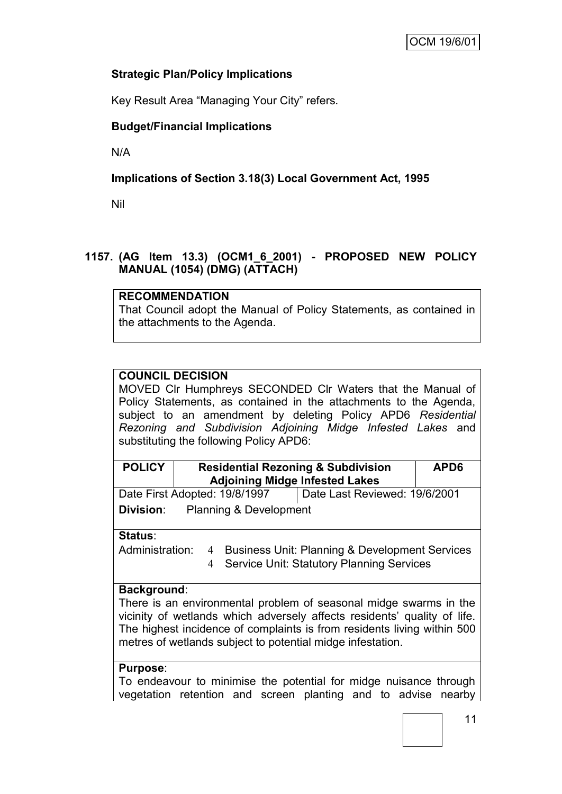### **Strategic Plan/Policy Implications**

Key Result Area "Managing Your City" refers.

### **Budget/Financial Implications**

N/A

### **Implications of Section 3.18(3) Local Government Act, 1995**

Nil

### **1157. (AG Item 13.3) (OCM1\_6\_2001) - PROPOSED NEW POLICY MANUAL (1054) (DMG) (ATTACH)**

### **RECOMMENDATION**

That Council adopt the Manual of Policy Statements, as contained in the attachments to the Agenda.

### **COUNCIL DECISION**

MOVED Clr Humphreys SECONDED Clr Waters that the Manual of Policy Statements, as contained in the attachments to the Agenda, subject to an amendment by deleting Policy APD6 *Residential Rezoning and Subdivision Adjoining Midge Infested Lakes* and substituting the following Policy APD6:

| <b>POLICY</b>                         | <b>Residential Rezoning &amp; Subdivision</b> | APD <sub>6</sub> |  |  |  |  |  |
|---------------------------------------|-----------------------------------------------|------------------|--|--|--|--|--|
| <b>Adjoining Midge Infested Lakes</b> |                                               |                  |  |  |  |  |  |
|                                       |                                               |                  |  |  |  |  |  |

Date First Adopted: 19/8/1997 Date Last Reviewed: 19/6/2001 **Division**: Planning & Development

**Status**:

Administration: 4 Business Unit: Planning & Development Services 4 Service Unit: Statutory Planning Services

### **Background**:

There is an environmental problem of seasonal midge swarms in the vicinity of wetlands which adversely affects residents" quality of life. The highest incidence of complaints is from residents living within 500 metres of wetlands subject to potential midge infestation.

### **Purpose**:

To endeavour to minimise the potential for midge nuisance through vegetation retention and screen planting and to advise nearby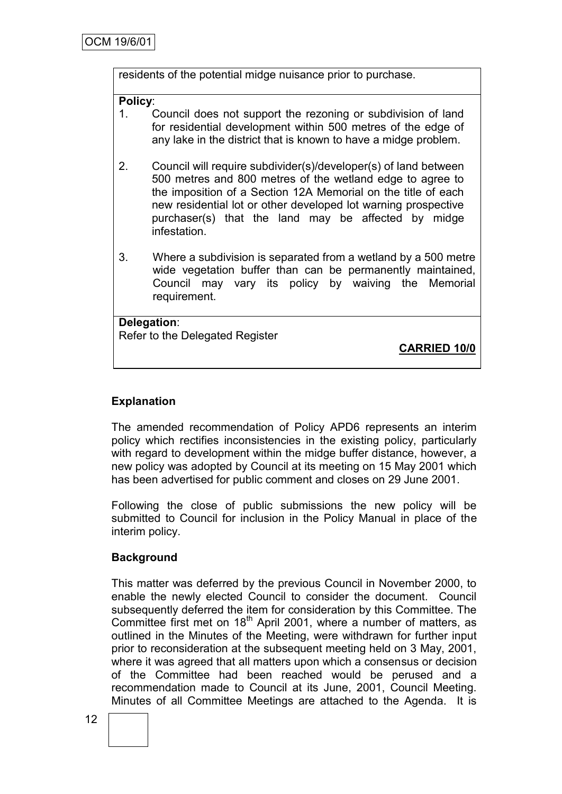residents of the potential midge nuisance prior to purchase.

#### **Policy**:

- 1. Council does not support the rezoning or subdivision of land for residential development within 500 metres of the edge of any lake in the district that is known to have a midge problem.
- 2. Council will require subdivider(s)/developer(s) of land between 500 metres and 800 metres of the wetland edge to agree to the imposition of a Section 12A Memorial on the title of each new residential lot or other developed lot warning prospective purchaser(s) that the land may be affected by midge infestation.
- 3. Where a subdivision is separated from a wetland by a 500 metre wide vegetation buffer than can be permanently maintained, Council may vary its policy by waiving the Memorial requirement.

**Delegation**: Refer to the Delegated Register

**CARRIED 10/0**

### **Explanation**

The amended recommendation of Policy APD6 represents an interim policy which rectifies inconsistencies in the existing policy, particularly with regard to development within the midge buffer distance, however, a new policy was adopted by Council at its meeting on 15 May 2001 which has been advertised for public comment and closes on 29 June 2001.

Following the close of public submissions the new policy will be submitted to Council for inclusion in the Policy Manual in place of the interim policy.

### **Background**

This matter was deferred by the previous Council in November 2000, to enable the newly elected Council to consider the document. Council subsequently deferred the item for consideration by this Committee. The Committee first met on 18<sup>th</sup> April 2001, where a number of matters, as outlined in the Minutes of the Meeting, were withdrawn for further input prior to reconsideration at the subsequent meeting held on 3 May, 2001, where it was agreed that all matters upon which a consensus or decision of the Committee had been reached would be perused and a recommendation made to Council at its June, 2001, Council Meeting. Minutes of all Committee Meetings are attached to the Agenda. It is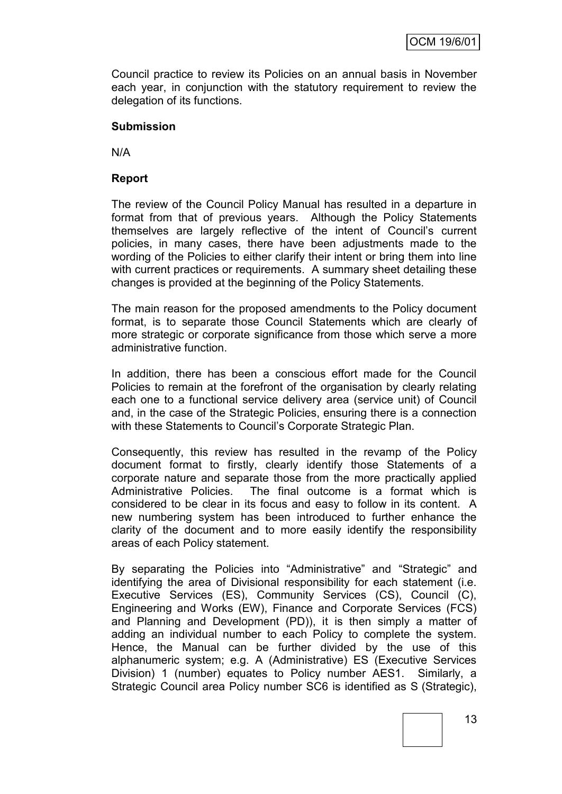Council practice to review its Policies on an annual basis in November each year, in conjunction with the statutory requirement to review the delegation of its functions.

### **Submission**

N/A

### **Report**

The review of the Council Policy Manual has resulted in a departure in format from that of previous years. Although the Policy Statements themselves are largely reflective of the intent of Council"s current policies, in many cases, there have been adjustments made to the wording of the Policies to either clarify their intent or bring them into line with current practices or requirements. A summary sheet detailing these changes is provided at the beginning of the Policy Statements.

The main reason for the proposed amendments to the Policy document format, is to separate those Council Statements which are clearly of more strategic or corporate significance from those which serve a more administrative function.

In addition, there has been a conscious effort made for the Council Policies to remain at the forefront of the organisation by clearly relating each one to a functional service delivery area (service unit) of Council and, in the case of the Strategic Policies, ensuring there is a connection with these Statements to Council's Corporate Strategic Plan.

Consequently, this review has resulted in the revamp of the Policy document format to firstly, clearly identify those Statements of a corporate nature and separate those from the more practically applied Administrative Policies. The final outcome is a format which is considered to be clear in its focus and easy to follow in its content. A new numbering system has been introduced to further enhance the clarity of the document and to more easily identify the responsibility areas of each Policy statement.

By separating the Policies into "Administrative" and "Strategic" and identifying the area of Divisional responsibility for each statement (i.e. Executive Services (ES), Community Services (CS), Council (C), Engineering and Works (EW), Finance and Corporate Services (FCS) and Planning and Development (PD)), it is then simply a matter of adding an individual number to each Policy to complete the system. Hence, the Manual can be further divided by the use of this alphanumeric system; e.g. A (Administrative) ES (Executive Services Division) 1 (number) equates to Policy number AES1. Similarly, a Strategic Council area Policy number SC6 is identified as S (Strategic),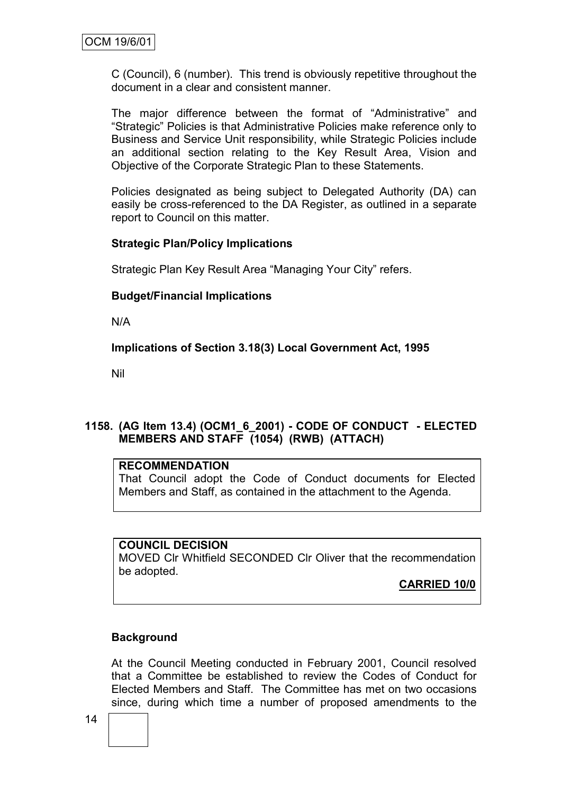C (Council), 6 (number). This trend is obviously repetitive throughout the document in a clear and consistent manner.

The major difference between the format of "Administrative" and "Strategic" Policies is that Administrative Policies make reference only to Business and Service Unit responsibility, while Strategic Policies include an additional section relating to the Key Result Area, Vision and Objective of the Corporate Strategic Plan to these Statements.

Policies designated as being subject to Delegated Authority (DA) can easily be cross-referenced to the DA Register, as outlined in a separate report to Council on this matter.

### **Strategic Plan/Policy Implications**

Strategic Plan Key Result Area "Managing Your City" refers.

### **Budget/Financial Implications**

N/A

**Implications of Section 3.18(3) Local Government Act, 1995**

Nil

### **1158. (AG Item 13.4) (OCM1\_6\_2001) - CODE OF CONDUCT - ELECTED MEMBERS AND STAFF (1054) (RWB) (ATTACH)**

### **RECOMMENDATION**

That Council adopt the Code of Conduct documents for Elected Members and Staff, as contained in the attachment to the Agenda.

### **COUNCIL DECISION**

MOVED Clr Whitfield SECONDED Clr Oliver that the recommendation be adopted.

**CARRIED 10/0**

### **Background**

At the Council Meeting conducted in February 2001, Council resolved that a Committee be established to review the Codes of Conduct for Elected Members and Staff. The Committee has met on two occasions since, during which time a number of proposed amendments to the

14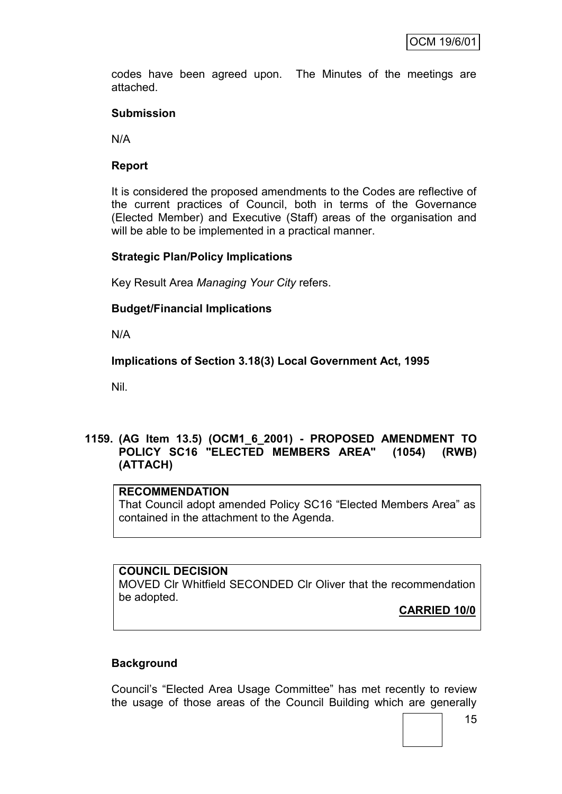codes have been agreed upon. The Minutes of the meetings are attached.

### **Submission**

N/A

### **Report**

It is considered the proposed amendments to the Codes are reflective of the current practices of Council, both in terms of the Governance (Elected Member) and Executive (Staff) areas of the organisation and will be able to be implemented in a practical manner.

### **Strategic Plan/Policy Implications**

Key Result Area *Managing Your City* refers.

### **Budget/Financial Implications**

N/A

**Implications of Section 3.18(3) Local Government Act, 1995**

Nil.

### **1159. (AG Item 13.5) (OCM1\_6\_2001) - PROPOSED AMENDMENT TO POLICY SC16 "ELECTED MEMBERS AREA" (1054) (RWB) (ATTACH)**

#### **RECOMMENDATION**

That Council adopt amended Policy SC16 "Elected Members Area" as contained in the attachment to the Agenda.

#### **COUNCIL DECISION**

MOVED Clr Whitfield SECONDED Clr Oliver that the recommendation be adopted.

**CARRIED 10/0**

### **Background**

Council"s "Elected Area Usage Committee" has met recently to review the usage of those areas of the Council Building which are generally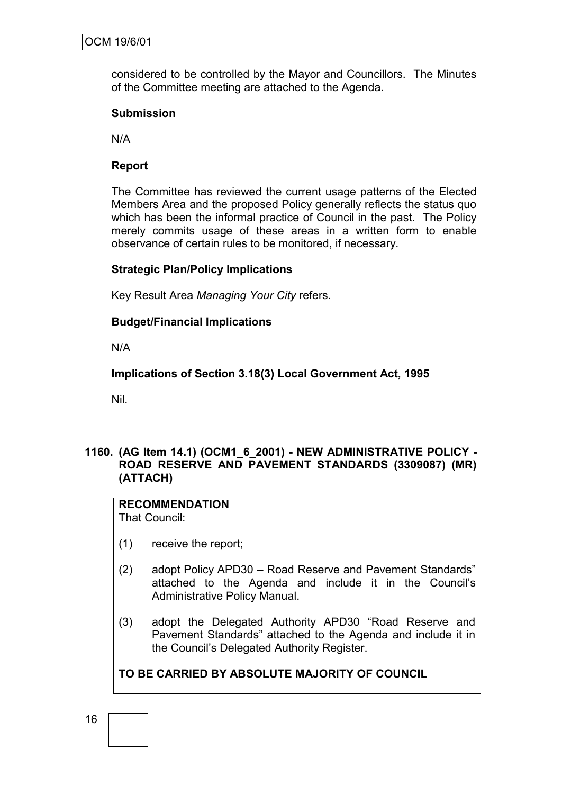considered to be controlled by the Mayor and Councillors. The Minutes of the Committee meeting are attached to the Agenda.

### **Submission**

N/A

### **Report**

The Committee has reviewed the current usage patterns of the Elected Members Area and the proposed Policy generally reflects the status quo which has been the informal practice of Council in the past. The Policy merely commits usage of these areas in a written form to enable observance of certain rules to be monitored, if necessary.

### **Strategic Plan/Policy Implications**

Key Result Area *Managing Your City* refers.

### **Budget/Financial Implications**

N/A

**Implications of Section 3.18(3) Local Government Act, 1995**

Nil.

### **1160. (AG Item 14.1) (OCM1\_6\_2001) - NEW ADMINISTRATIVE POLICY - ROAD RESERVE AND PAVEMENT STANDARDS (3309087) (MR) (ATTACH)**

### **RECOMMENDATION**

That Council:

- (1) receive the report;
- (2) adopt Policy APD30 Road Reserve and Pavement Standards" attached to the Agenda and include it in the Council"s Administrative Policy Manual.
- (3) adopt the Delegated Authority APD30 "Road Reserve and Pavement Standards" attached to the Agenda and include it in the Council"s Delegated Authority Register.

### **TO BE CARRIED BY ABSOLUTE MAJORITY OF COUNCIL**

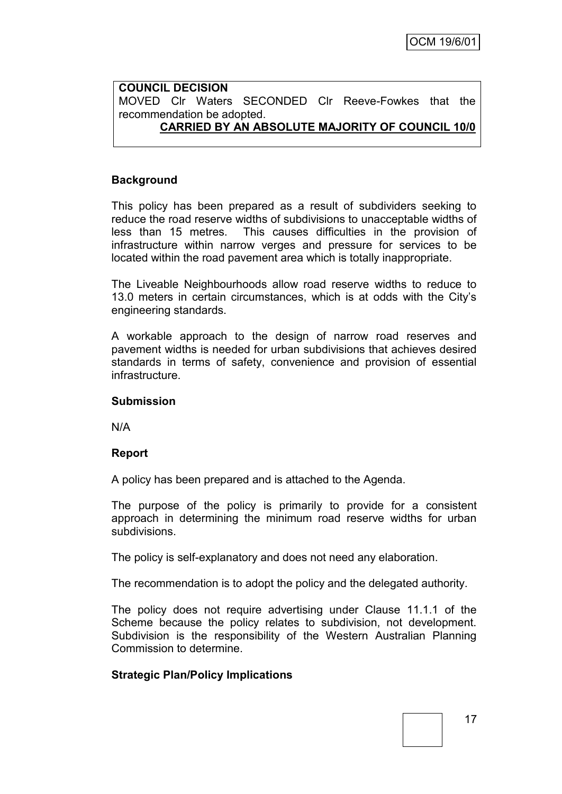#### **COUNCIL DECISION** MOVED Clr Waters SECONDED Clr Reeve-Fowkes that the recommendation be adopted. **CARRIED BY AN ABSOLUTE MAJORITY OF COUNCIL 10/0**

### **Background**

This policy has been prepared as a result of subdividers seeking to reduce the road reserve widths of subdivisions to unacceptable widths of less than 15 metres. This causes difficulties in the provision of infrastructure within narrow verges and pressure for services to be located within the road pavement area which is totally inappropriate.

The Liveable Neighbourhoods allow road reserve widths to reduce to 13.0 meters in certain circumstances, which is at odds with the City"s engineering standards.

A workable approach to the design of narrow road reserves and pavement widths is needed for urban subdivisions that achieves desired standards in terms of safety, convenience and provision of essential infrastructure.

#### **Submission**

N/A

### **Report**

A policy has been prepared and is attached to the Agenda.

The purpose of the policy is primarily to provide for a consistent approach in determining the minimum road reserve widths for urban subdivisions.

The policy is self-explanatory and does not need any elaboration.

The recommendation is to adopt the policy and the delegated authority.

The policy does not require advertising under Clause 11.1.1 of the Scheme because the policy relates to subdivision, not development. Subdivision is the responsibility of the Western Australian Planning Commission to determine.

### **Strategic Plan/Policy Implications**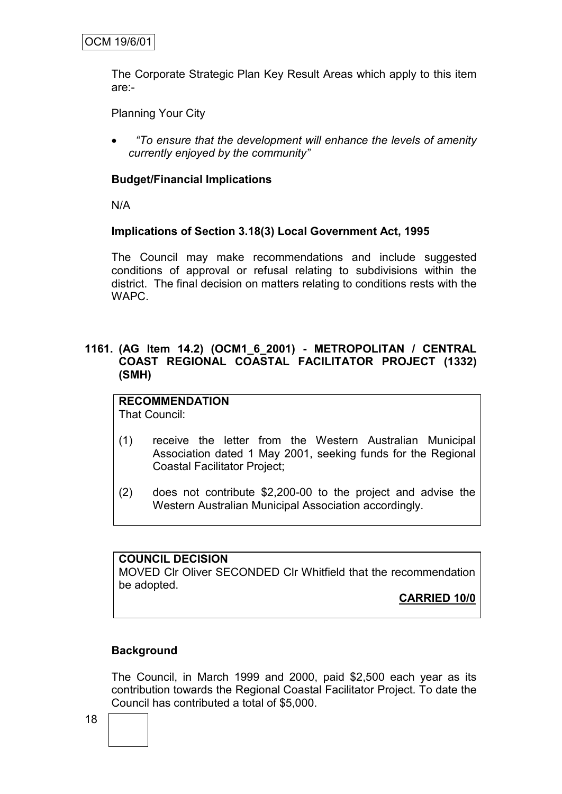The Corporate Strategic Plan Key Result Areas which apply to this item are:-

Planning Your City

 *"To ensure that the development will enhance the levels of amenity currently enjoyed by the community"*

### **Budget/Financial Implications**

N/A

#### **Implications of Section 3.18(3) Local Government Act, 1995**

The Council may make recommendations and include suggested conditions of approval or refusal relating to subdivisions within the district. The final decision on matters relating to conditions rests with the WAPC.

### **1161. (AG Item 14.2) (OCM1\_6\_2001) - METROPOLITAN / CENTRAL COAST REGIONAL COASTAL FACILITATOR PROJECT (1332) (SMH)**

### **RECOMMENDATION**

That Council:

- (1) receive the letter from the Western Australian Municipal Association dated 1 May 2001, seeking funds for the Regional Coastal Facilitator Project;
- (2) does not contribute \$2,200-00 to the project and advise the Western Australian Municipal Association accordingly.

#### **COUNCIL DECISION**

MOVED Clr Oliver SECONDED Clr Whitfield that the recommendation be adopted.

**CARRIED 10/0**

### **Background**

The Council, in March 1999 and 2000, paid \$2,500 each year as its contribution towards the Regional Coastal Facilitator Project. To date the Council has contributed a total of \$5,000.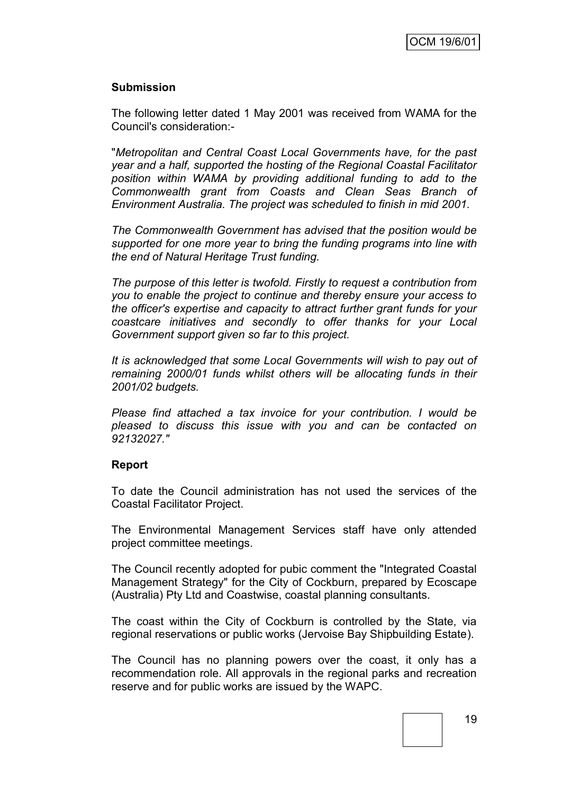### **Submission**

The following letter dated 1 May 2001 was received from WAMA for the Council's consideration:-

"*Metropolitan and Central Coast Local Governments have, for the past year and a half, supported the hosting of the Regional Coastal Facilitator position within WAMA by providing additional funding to add to the Commonwealth grant from Coasts and Clean Seas Branch of Environment Australia. The project was scheduled to finish in mid 2001.*

*The Commonwealth Government has advised that the position would be supported for one more year to bring the funding programs into line with the end of Natural Heritage Trust funding.*

*The purpose of this letter is twofold. Firstly to request a contribution from you to enable the project to continue and thereby ensure your access to the officer's expertise and capacity to attract further grant funds for your coastcare initiatives and secondly to offer thanks for your Local Government support given so far to this project.*

*It is acknowledged that some Local Governments will wish to pay out of remaining 2000/01 funds whilst others will be allocating funds in their 2001/02 budgets.*

*Please find attached a tax invoice for your contribution. I would be pleased to discuss this issue with you and can be contacted on 92132027."*

#### **Report**

To date the Council administration has not used the services of the Coastal Facilitator Project.

The Environmental Management Services staff have only attended project committee meetings.

The Council recently adopted for pubic comment the "Integrated Coastal Management Strategy" for the City of Cockburn, prepared by Ecoscape (Australia) Pty Ltd and Coastwise, coastal planning consultants.

The coast within the City of Cockburn is controlled by the State, via regional reservations or public works (Jervoise Bay Shipbuilding Estate).

The Council has no planning powers over the coast, it only has a recommendation role. All approvals in the regional parks and recreation reserve and for public works are issued by the WAPC.

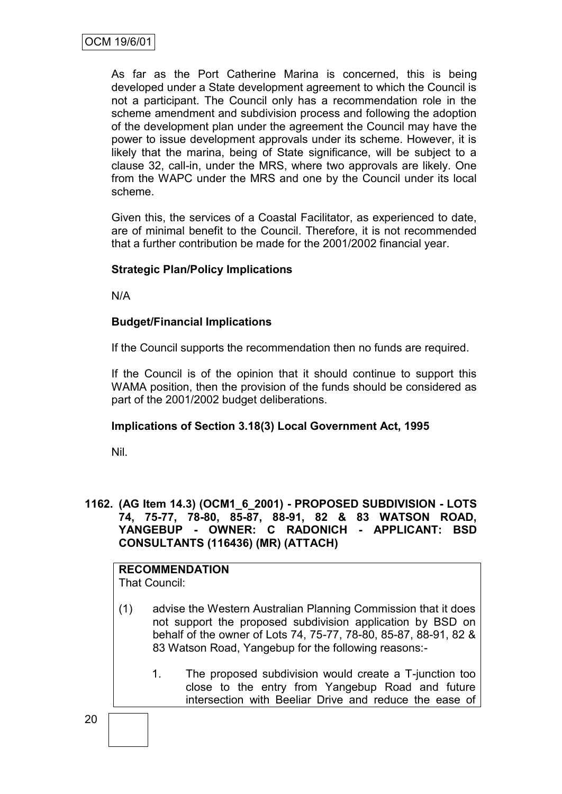As far as the Port Catherine Marina is concerned, this is being developed under a State development agreement to which the Council is not a participant. The Council only has a recommendation role in the scheme amendment and subdivision process and following the adoption of the development plan under the agreement the Council may have the power to issue development approvals under its scheme. However, it is likely that the marina, being of State significance, will be subject to a clause 32, call-in, under the MRS, where two approvals are likely. One from the WAPC under the MRS and one by the Council under its local scheme.

Given this, the services of a Coastal Facilitator, as experienced to date, are of minimal benefit to the Council. Therefore, it is not recommended that a further contribution be made for the 2001/2002 financial year.

### **Strategic Plan/Policy Implications**

N/A

### **Budget/Financial Implications**

If the Council supports the recommendation then no funds are required.

If the Council is of the opinion that it should continue to support this WAMA position, then the provision of the funds should be considered as part of the 2001/2002 budget deliberations.

### **Implications of Section 3.18(3) Local Government Act, 1995**

Nil.

### **1162. (AG Item 14.3) (OCM1\_6\_2001) - PROPOSED SUBDIVISION - LOTS 74, 75-77, 78-80, 85-87, 88-91, 82 & 83 WATSON ROAD, YANGEBUP - OWNER: C RADONICH - APPLICANT: BSD CONSULTANTS (116436) (MR) (ATTACH)**

# **RECOMMENDATION**

That Council:

- (1) advise the Western Australian Planning Commission that it does not support the proposed subdivision application by BSD on behalf of the owner of Lots 74, 75-77, 78-80, 85-87, 88-91, 82 & 83 Watson Road, Yangebup for the following reasons:-
	- 1. The proposed subdivision would create a T-junction too close to the entry from Yangebup Road and future intersection with Beeliar Drive and reduce the ease of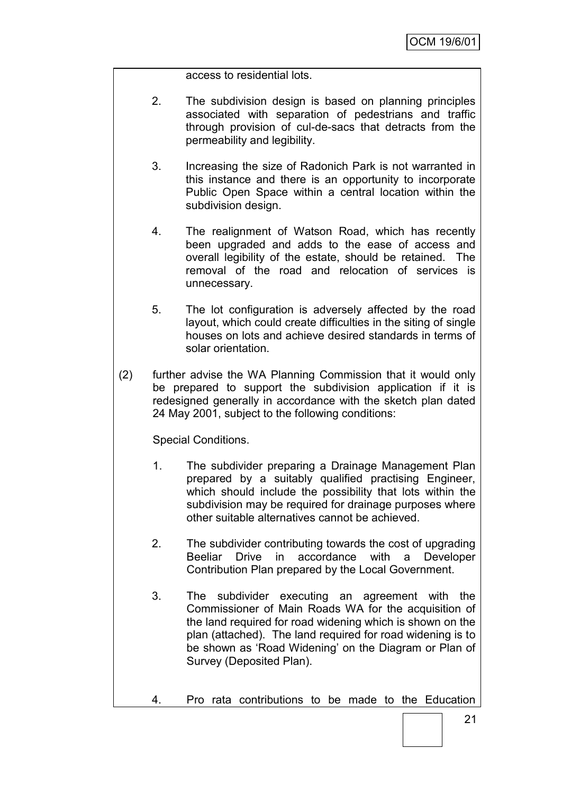access to residential lots.

- 2. The subdivision design is based on planning principles associated with separation of pedestrians and traffic through provision of cul-de-sacs that detracts from the permeability and legibility.
- 3. Increasing the size of Radonich Park is not warranted in this instance and there is an opportunity to incorporate Public Open Space within a central location within the subdivision design.
- 4. The realignment of Watson Road, which has recently been upgraded and adds to the ease of access and overall legibility of the estate, should be retained. The removal of the road and relocation of services is unnecessary.
- 5. The lot configuration is adversely affected by the road layout, which could create difficulties in the siting of single houses on lots and achieve desired standards in terms of solar orientation.
- (2) further advise the WA Planning Commission that it would only be prepared to support the subdivision application if it is redesigned generally in accordance with the sketch plan dated 24 May 2001, subject to the following conditions:

Special Conditions.

- 1. The subdivider preparing a Drainage Management Plan prepared by a suitably qualified practising Engineer, which should include the possibility that lots within the subdivision may be required for drainage purposes where other suitable alternatives cannot be achieved.
- 2. The subdivider contributing towards the cost of upgrading Beeliar Drive in accordance with a Developer Contribution Plan prepared by the Local Government.
- 3. The subdivider executing an agreement with the Commissioner of Main Roads WA for the acquisition of the land required for road widening which is shown on the plan (attached). The land required for road widening is to be shown as "Road Widening" on the Diagram or Plan of Survey (Deposited Plan).
- 4. Pro rata contributions to be made to the Education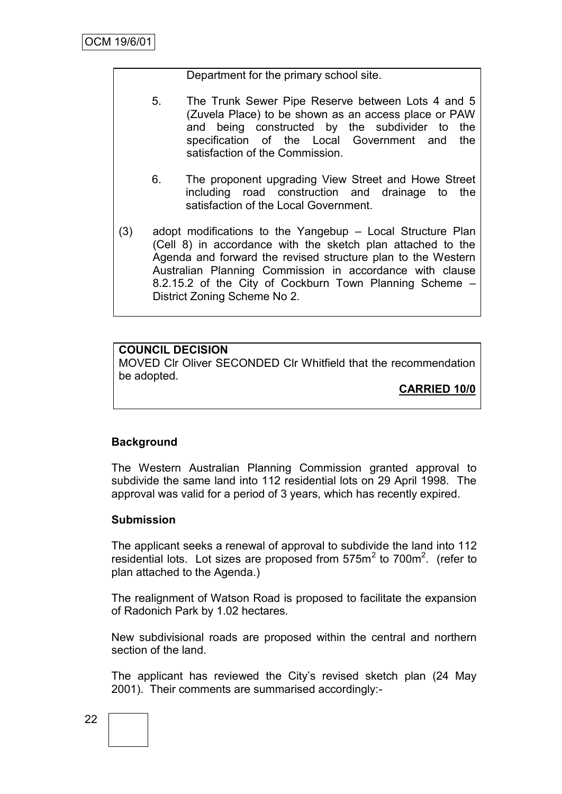Department for the primary school site.

- 5. The Trunk Sewer Pipe Reserve between Lots 4 and 5 (Zuvela Place) to be shown as an access place or PAW and being constructed by the subdivider to the specification of the Local Government and the satisfaction of the Commission.
	- 6. The proponent upgrading View Street and Howe Street including road construction and drainage to the satisfaction of the Local Government.
- (3) adopt modifications to the Yangebup Local Structure Plan (Cell 8) in accordance with the sketch plan attached to the Agenda and forward the revised structure plan to the Western Australian Planning Commission in accordance with clause 8.2.15.2 of the City of Cockburn Town Planning Scheme – District Zoning Scheme No 2.

### **COUNCIL DECISION**

MOVED Clr Oliver SECONDED Clr Whitfield that the recommendation be adopted.

**CARRIED 10/0**

### **Background**

The Western Australian Planning Commission granted approval to subdivide the same land into 112 residential lots on 29 April 1998. The approval was valid for a period of 3 years, which has recently expired.

### **Submission**

The applicant seeks a renewal of approval to subdivide the land into 112 residential lots. Lot sizes are proposed from  $575m^2$  to  $700m^2$ . (refer to plan attached to the Agenda.)

The realignment of Watson Road is proposed to facilitate the expansion of Radonich Park by 1.02 hectares.

New subdivisional roads are proposed within the central and northern section of the land.

The applicant has reviewed the City's revised sketch plan (24 May 2001). Their comments are summarised accordingly:-

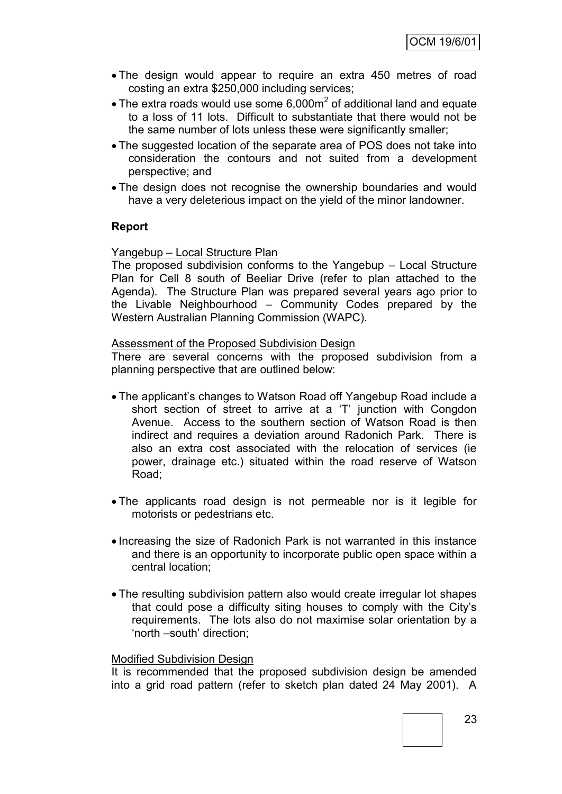- The design would appear to require an extra 450 metres of road costing an extra \$250,000 including services;
- The extra roads would use some  $6,000m^2$  of additional land and equate to a loss of 11 lots. Difficult to substantiate that there would not be the same number of lots unless these were significantly smaller;
- The suggested location of the separate area of POS does not take into consideration the contours and not suited from a development perspective; and
- The design does not recognise the ownership boundaries and would have a very deleterious impact on the yield of the minor landowner.

### **Report**

#### Yangebup – Local Structure Plan

The proposed subdivision conforms to the Yangebup – Local Structure Plan for Cell 8 south of Beeliar Drive (refer to plan attached to the Agenda). The Structure Plan was prepared several years ago prior to the Livable Neighbourhood – Community Codes prepared by the Western Australian Planning Commission (WAPC).

#### Assessment of the Proposed Subdivision Design

There are several concerns with the proposed subdivision from a planning perspective that are outlined below:

- The applicant"s changes to Watson Road off Yangebup Road include a short section of street to arrive at a 'T' junction with Congdon Avenue. Access to the southern section of Watson Road is then indirect and requires a deviation around Radonich Park. There is also an extra cost associated with the relocation of services (ie power, drainage etc.) situated within the road reserve of Watson Road;
- The applicants road design is not permeable nor is it legible for motorists or pedestrians etc.
- Increasing the size of Radonich Park is not warranted in this instance and there is an opportunity to incorporate public open space within a central location;
- The resulting subdivision pattern also would create irregular lot shapes that could pose a difficulty siting houses to comply with the City"s requirements. The lots also do not maximise solar orientation by a 'north –south' direction;

#### Modified Subdivision Design

It is recommended that the proposed subdivision design be amended into a grid road pattern (refer to sketch plan dated 24 May 2001). A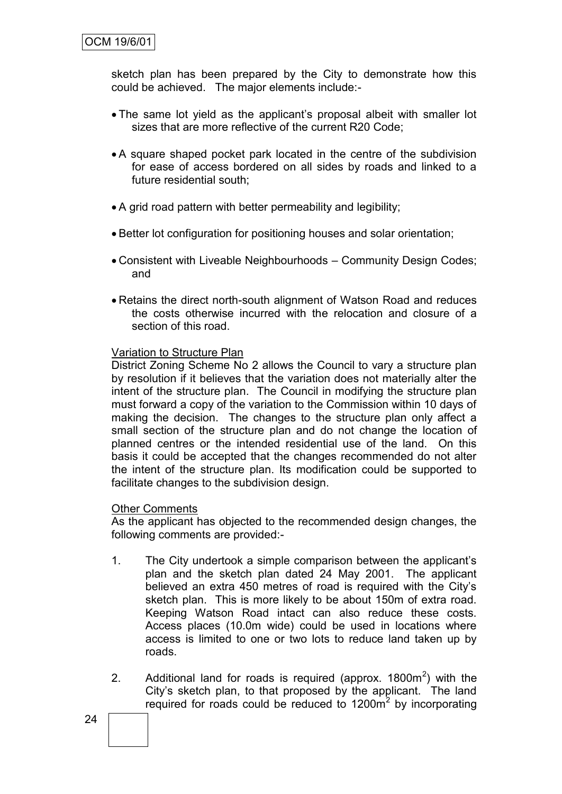sketch plan has been prepared by the City to demonstrate how this could be achieved. The major elements include:-

- The same lot yield as the applicant"s proposal albeit with smaller lot sizes that are more reflective of the current R20 Code;
- A square shaped pocket park located in the centre of the subdivision for ease of access bordered on all sides by roads and linked to a future residential south;
- A grid road pattern with better permeability and legibility;
- Better lot configuration for positioning houses and solar orientation;
- Consistent with Liveable Neighbourhoods Community Design Codes; and
- Retains the direct north-south alignment of Watson Road and reduces the costs otherwise incurred with the relocation and closure of a section of this road.

#### Variation to Structure Plan

District Zoning Scheme No 2 allows the Council to vary a structure plan by resolution if it believes that the variation does not materially alter the intent of the structure plan. The Council in modifying the structure plan must forward a copy of the variation to the Commission within 10 days of making the decision. The changes to the structure plan only affect a small section of the structure plan and do not change the location of planned centres or the intended residential use of the land. On this basis it could be accepted that the changes recommended do not alter the intent of the structure plan. Its modification could be supported to facilitate changes to the subdivision design.

#### Other Comments

As the applicant has objected to the recommended design changes, the following comments are provided:-

- 1. The City undertook a simple comparison between the applicant"s plan and the sketch plan dated 24 May 2001. The applicant believed an extra 450 metres of road is required with the City"s sketch plan. This is more likely to be about 150m of extra road. Keeping Watson Road intact can also reduce these costs. Access places (10.0m wide) could be used in locations where access is limited to one or two lots to reduce land taken up by roads.
- 2. Additional land for roads is required (approx.  $1800m^2$ ) with the City"s sketch plan, to that proposed by the applicant. The land required for roads could be reduced to 1200m<sup>2</sup> by incorporating

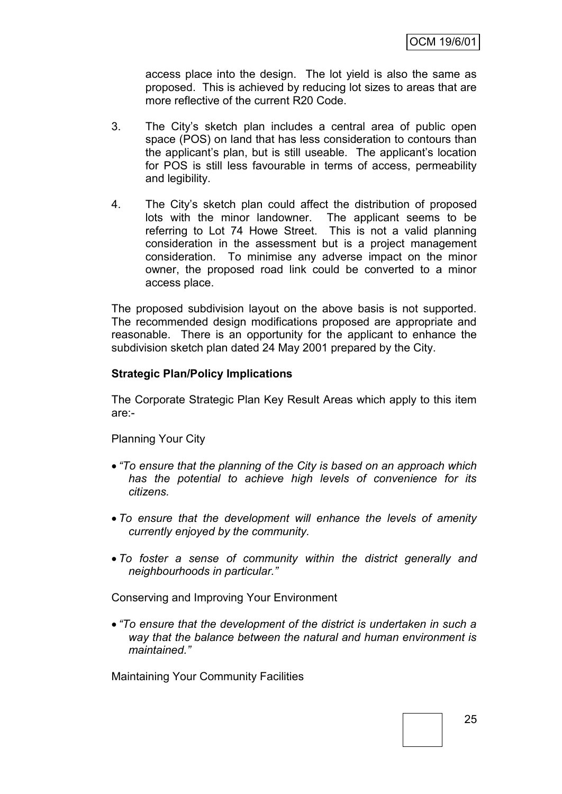access place into the design. The lot yield is also the same as proposed. This is achieved by reducing lot sizes to areas that are more reflective of the current R20 Code.

- 3. The City"s sketch plan includes a central area of public open space (POS) on land that has less consideration to contours than the applicant"s plan, but is still useable. The applicant"s location for POS is still less favourable in terms of access, permeability and legibility.
- 4. The City"s sketch plan could affect the distribution of proposed lots with the minor landowner. The applicant seems to be referring to Lot 74 Howe Street. This is not a valid planning consideration in the assessment but is a project management consideration. To minimise any adverse impact on the minor owner, the proposed road link could be converted to a minor access place.

The proposed subdivision layout on the above basis is not supported. The recommended design modifications proposed are appropriate and reasonable. There is an opportunity for the applicant to enhance the subdivision sketch plan dated 24 May 2001 prepared by the City.

### **Strategic Plan/Policy Implications**

The Corporate Strategic Plan Key Result Areas which apply to this item are:-

Planning Your City

- *"To ensure that the planning of the City is based on an approach which has the potential to achieve high levels of convenience for its citizens.*
- *To ensure that the development will enhance the levels of amenity currently enjoyed by the community.*
- *To foster a sense of community within the district generally and neighbourhoods in particular."*

Conserving and Improving Your Environment

 *"To ensure that the development of the district is undertaken in such a way that the balance between the natural and human environment is maintained."*

Maintaining Your Community Facilities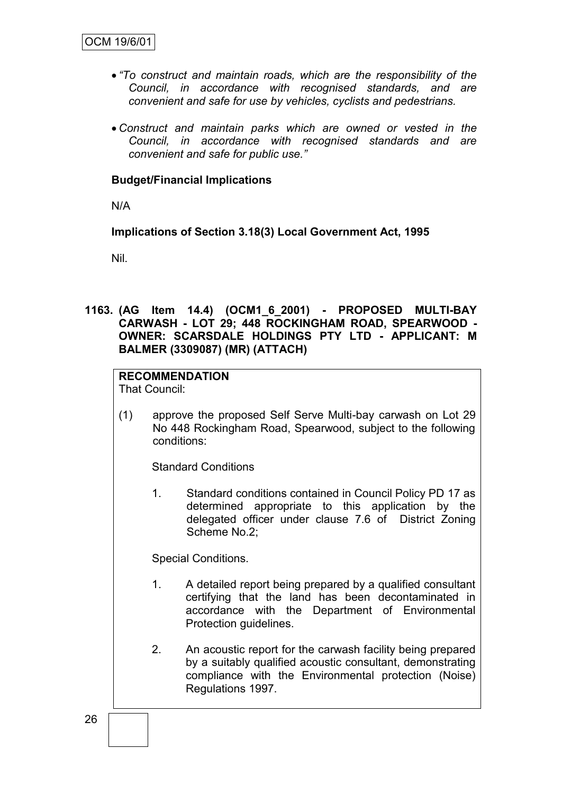- *"To construct and maintain roads, which are the responsibility of the Council, in accordance with recognised standards, and are convenient and safe for use by vehicles, cyclists and pedestrians.*
- *Construct and maintain parks which are owned or vested in the Council, in accordance with recognised standards and are convenient and safe for public use."*

### **Budget/Financial Implications**

N/A

**Implications of Section 3.18(3) Local Government Act, 1995**

Nil.

**1163. (AG Item 14.4) (OCM1\_6\_2001) - PROPOSED MULTI-BAY CARWASH - LOT 29; 448 ROCKINGHAM ROAD, SPEARWOOD - OWNER: SCARSDALE HOLDINGS PTY LTD - APPLICANT: M BALMER (3309087) (MR) (ATTACH)**

### **RECOMMENDATION**

That Council:

(1) approve the proposed Self Serve Multi-bay carwash on Lot 29 No 448 Rockingham Road, Spearwood, subject to the following conditions:

Standard Conditions

1. Standard conditions contained in Council Policy PD 17 as determined appropriate to this application by the delegated officer under clause 7.6 of District Zoning Scheme No.2;

Special Conditions.

- 1. A detailed report being prepared by a qualified consultant certifying that the land has been decontaminated in accordance with the Department of Environmental Protection guidelines.
- 2. An acoustic report for the carwash facility being prepared by a suitably qualified acoustic consultant, demonstrating compliance with the Environmental protection (Noise) Regulations 1997.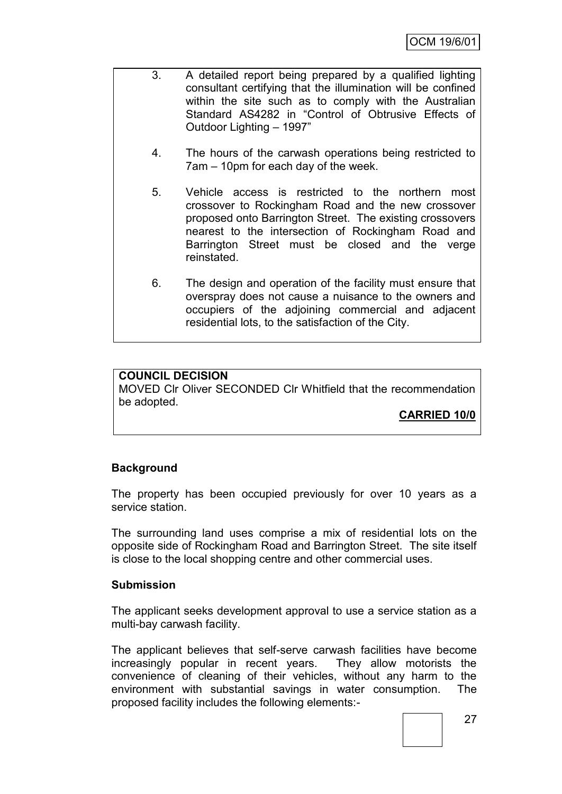- 3. A detailed report being prepared by a qualified lighting consultant certifying that the illumination will be confined within the site such as to comply with the Australian Standard AS4282 in "Control of Obtrusive Effects of Outdoor Lighting – 1997"
	- 4. The hours of the carwash operations being restricted to 7am – 10pm for each day of the week.
	- 5. Vehicle access is restricted to the northern most crossover to Rockingham Road and the new crossover proposed onto Barrington Street. The existing crossovers nearest to the intersection of Rockingham Road and Barrington Street must be closed and the verge reinstated.
	- 6. The design and operation of the facility must ensure that overspray does not cause a nuisance to the owners and occupiers of the adjoining commercial and adjacent residential lots, to the satisfaction of the City.

### **COUNCIL DECISION**

MOVED Clr Oliver SECONDED Clr Whitfield that the recommendation be adopted.

**CARRIED 10/0**

### **Background**

The property has been occupied previously for over 10 years as a service station.

The surrounding land uses comprise a mix of residential lots on the opposite side of Rockingham Road and Barrington Street. The site itself is close to the local shopping centre and other commercial uses.

### **Submission**

The applicant seeks development approval to use a service station as a multi-bay carwash facility.

The applicant believes that self-serve carwash facilities have become increasingly popular in recent years. They allow motorists the convenience of cleaning of their vehicles, without any harm to the environment with substantial savings in water consumption. The proposed facility includes the following elements:-

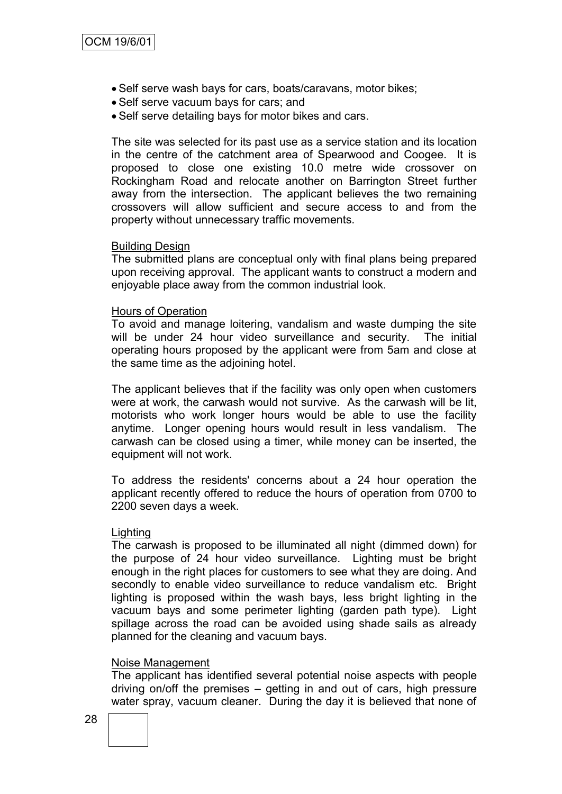- Self serve wash bays for cars, boats/caravans, motor bikes;
- Self serve vacuum bays for cars; and
- Self serve detailing bays for motor bikes and cars.

The site was selected for its past use as a service station and its location in the centre of the catchment area of Spearwood and Coogee. It is proposed to close one existing 10.0 metre wide crossover on Rockingham Road and relocate another on Barrington Street further away from the intersection. The applicant believes the two remaining crossovers will allow sufficient and secure access to and from the property without unnecessary traffic movements.

#### Building Design

The submitted plans are conceptual only with final plans being prepared upon receiving approval. The applicant wants to construct a modern and enjoyable place away from the common industrial look.

#### Hours of Operation

To avoid and manage loitering, vandalism and waste dumping the site will be under 24 hour video surveillance and security. The initial operating hours proposed by the applicant were from 5am and close at the same time as the adjoining hotel.

The applicant believes that if the facility was only open when customers were at work, the carwash would not survive. As the carwash will be lit, motorists who work longer hours would be able to use the facility anytime. Longer opening hours would result in less vandalism. The carwash can be closed using a timer, while money can be inserted, the equipment will not work.

To address the residents' concerns about a 24 hour operation the applicant recently offered to reduce the hours of operation from 0700 to 2200 seven days a week.

#### Lighting

The carwash is proposed to be illuminated all night (dimmed down) for the purpose of 24 hour video surveillance. Lighting must be bright enough in the right places for customers to see what they are doing. And secondly to enable video surveillance to reduce vandalism etc. Bright lighting is proposed within the wash bays, less bright lighting in the vacuum bays and some perimeter lighting (garden path type). Light spillage across the road can be avoided using shade sails as already planned for the cleaning and vacuum bays.

#### Noise Management

The applicant has identified several potential noise aspects with people driving on/off the premises – getting in and out of cars, high pressure water spray, vacuum cleaner. During the day it is believed that none of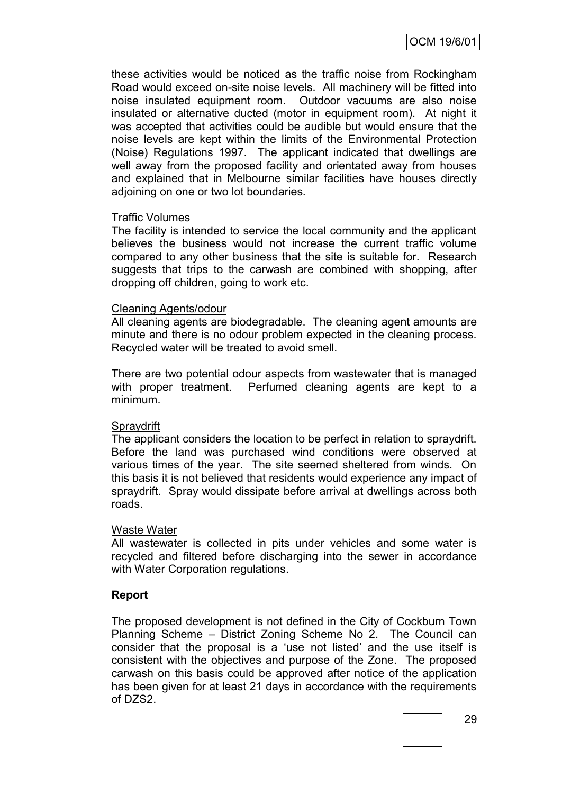OCM 19/6/01

these activities would be noticed as the traffic noise from Rockingham Road would exceed on-site noise levels. All machinery will be fitted into noise insulated equipment room. Outdoor vacuums are also noise insulated or alternative ducted (motor in equipment room). At night it was accepted that activities could be audible but would ensure that the noise levels are kept within the limits of the Environmental Protection (Noise) Regulations 1997. The applicant indicated that dwellings are well away from the proposed facility and orientated away from houses and explained that in Melbourne similar facilities have houses directly adjoining on one or two lot boundaries.

#### Traffic Volumes

The facility is intended to service the local community and the applicant believes the business would not increase the current traffic volume compared to any other business that the site is suitable for. Research suggests that trips to the carwash are combined with shopping, after dropping off children, going to work etc.

#### Cleaning Agents/odour

All cleaning agents are biodegradable. The cleaning agent amounts are minute and there is no odour problem expected in the cleaning process. Recycled water will be treated to avoid smell.

There are two potential odour aspects from wastewater that is managed with proper treatment. Perfumed cleaning agents are kept to a minimum.

#### **Spraydrift**

The applicant considers the location to be perfect in relation to spraydrift. Before the land was purchased wind conditions were observed at various times of the year. The site seemed sheltered from winds. On this basis it is not believed that residents would experience any impact of spraydrift. Spray would dissipate before arrival at dwellings across both roads.

#### Waste Water

All wastewater is collected in pits under vehicles and some water is recycled and filtered before discharging into the sewer in accordance with Water Corporation regulations.

### **Report**

The proposed development is not defined in the City of Cockburn Town Planning Scheme – District Zoning Scheme No 2. The Council can consider that the proposal is a "use not listed" and the use itself is consistent with the objectives and purpose of the Zone. The proposed carwash on this basis could be approved after notice of the application has been given for at least 21 days in accordance with the requirements of DZS2.

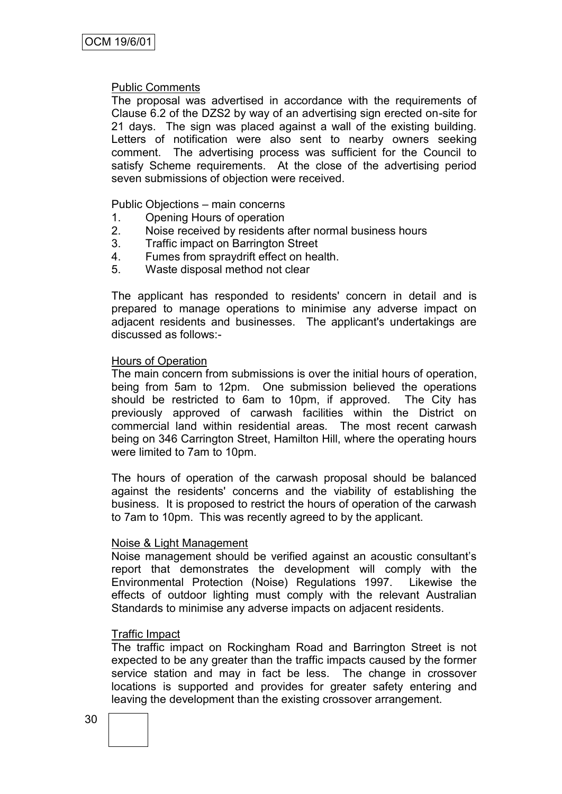#### Public Comments

The proposal was advertised in accordance with the requirements of Clause 6.2 of the DZS2 by way of an advertising sign erected on-site for 21 days. The sign was placed against a wall of the existing building. Letters of notification were also sent to nearby owners seeking comment. The advertising process was sufficient for the Council to satisfy Scheme requirements. At the close of the advertising period seven submissions of objection were received.

Public Objections – main concerns

- 1. Opening Hours of operation
- 2. Noise received by residents after normal business hours
- 3. Traffic impact on Barrington Street
- 4. Fumes from spraydrift effect on health.
- 5. Waste disposal method not clear

The applicant has responded to residents' concern in detail and is prepared to manage operations to minimise any adverse impact on adjacent residents and businesses. The applicant's undertakings are discussed as follows:-

#### Hours of Operation

The main concern from submissions is over the initial hours of operation, being from 5am to 12pm. One submission believed the operations should be restricted to 6am to 10pm, if approved. The City has previously approved of carwash facilities within the District on commercial land within residential areas. The most recent carwash being on 346 Carrington Street, Hamilton Hill, where the operating hours were limited to 7am to 10pm.

The hours of operation of the carwash proposal should be balanced against the residents' concerns and the viability of establishing the business. It is proposed to restrict the hours of operation of the carwash to 7am to 10pm. This was recently agreed to by the applicant.

### Noise & Light Management

Noise management should be verified against an acoustic consultant"s report that demonstrates the development will comply with the Environmental Protection (Noise) Regulations 1997. Likewise the effects of outdoor lighting must comply with the relevant Australian Standards to minimise any adverse impacts on adjacent residents.

#### Traffic Impact

The traffic impact on Rockingham Road and Barrington Street is not expected to be any greater than the traffic impacts caused by the former service station and may in fact be less. The change in crossover locations is supported and provides for greater safety entering and leaving the development than the existing crossover arrangement.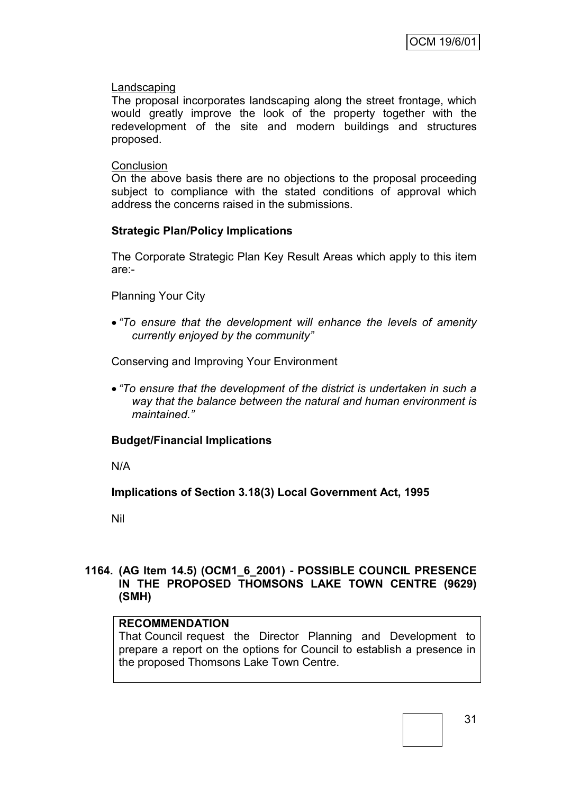### Landscaping

The proposal incorporates landscaping along the street frontage, which would greatly improve the look of the property together with the redevelopment of the site and modern buildings and structures proposed.

### **Conclusion**

On the above basis there are no objections to the proposal proceeding subject to compliance with the stated conditions of approval which address the concerns raised in the submissions.

### **Strategic Plan/Policy Implications**

The Corporate Strategic Plan Key Result Areas which apply to this item are:-

Planning Your City

 *"To ensure that the development will enhance the levels of amenity currently enjoyed by the community"*

Conserving and Improving Your Environment

 *"To ensure that the development of the district is undertaken in such a way that the balance between the natural and human environment is maintained."*

### **Budget/Financial Implications**

N/A

**Implications of Section 3.18(3) Local Government Act, 1995**

Nil

### **1164. (AG Item 14.5) (OCM1\_6\_2001) - POSSIBLE COUNCIL PRESENCE IN THE PROPOSED THOMSONS LAKE TOWN CENTRE (9629) (SMH)**

### **RECOMMENDATION**

That Council request the Director Planning and Development to prepare a report on the options for Council to establish a presence in the proposed Thomsons Lake Town Centre.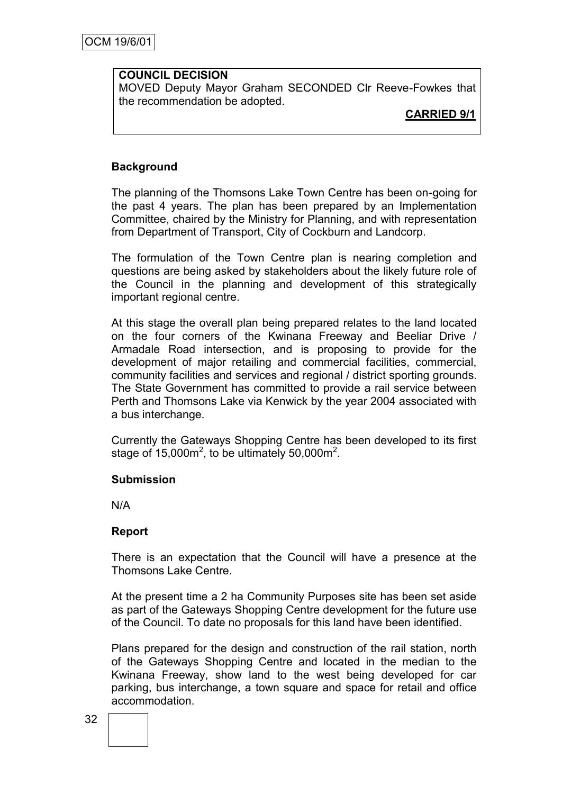### **COUNCIL DECISION**

MOVED Deputy Mayor Graham SECONDED Clr Reeve-Fowkes that the recommendation be adopted.

**CARRIED 9/1**

### **Background**

The planning of the Thomsons Lake Town Centre has been on-going for the past 4 years. The plan has been prepared by an Implementation Committee, chaired by the Ministry for Planning, and with representation from Department of Transport, City of Cockburn and Landcorp.

The formulation of the Town Centre plan is nearing completion and questions are being asked by stakeholders about the likely future role of the Council in the planning and development of this strategically important regional centre.

At this stage the overall plan being prepared relates to the land located on the four corners of the Kwinana Freeway and Beeliar Drive / Armadale Road intersection, and is proposing to provide for the development of major retailing and commercial facilities, commercial, community facilities and services and regional / district sporting grounds. The State Government has committed to provide a rail service between Perth and Thomsons Lake via Kenwick by the year 2004 associated with a bus interchange.

Currently the Gateways Shopping Centre has been developed to its first stage of  $15,000m^2$ , to be ultimately 50,000 $m^2$ .

### **Submission**

N/A

#### **Report**

There is an expectation that the Council will have a presence at the Thomsons Lake Centre.

At the present time a 2 ha Community Purposes site has been set aside as part of the Gateways Shopping Centre development for the future use of the Council. To date no proposals for this land have been identified.

Plans prepared for the design and construction of the rail station, north of the Gateways Shopping Centre and located in the median to the Kwinana Freeway, show land to the west being developed for car parking, bus interchange, a town square and space for retail and office accommodation.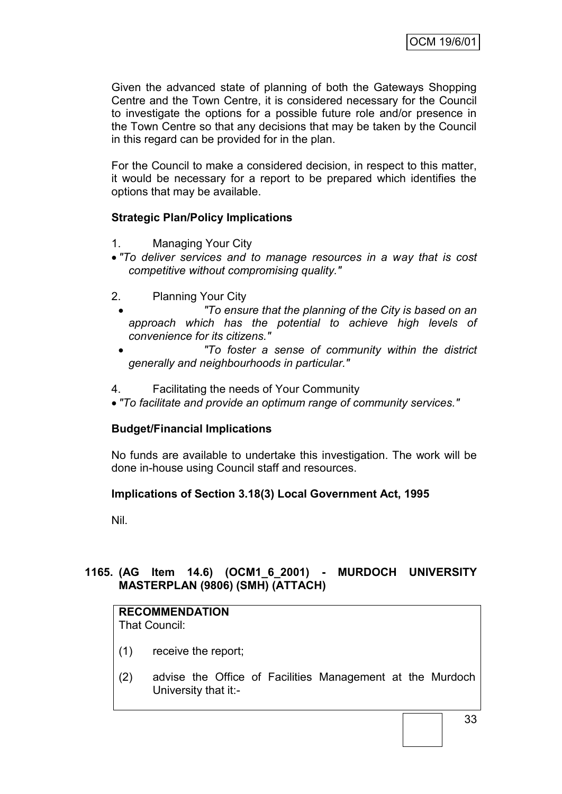Given the advanced state of planning of both the Gateways Shopping Centre and the Town Centre, it is considered necessary for the Council to investigate the options for a possible future role and/or presence in the Town Centre so that any decisions that may be taken by the Council in this regard can be provided for in the plan.

For the Council to make a considered decision, in respect to this matter, it would be necessary for a report to be prepared which identifies the options that may be available.

## **Strategic Plan/Policy Implications**

- 1. Managing Your City
- *"To deliver services and to manage resources in a way that is cost competitive without compromising quality."*
- 2. Planning Your City
	- *"To ensure that the planning of the City is based on an approach which has the potential to achieve high levels of convenience for its citizens."*
	- *"To foster a sense of community within the district generally and neighbourhoods in particular."*
- 4. Facilitating the needs of Your Community
- *"To facilitate and provide an optimum range of community services."*

## **Budget/Financial Implications**

No funds are available to undertake this investigation. The work will be done in-house using Council staff and resources.

## **Implications of Section 3.18(3) Local Government Act, 1995**

Nil.

## **1165. (AG Item 14.6) (OCM1\_6\_2001) - MURDOCH UNIVERSITY MASTERPLAN (9806) (SMH) (ATTACH)**

# **RECOMMENDATION**

That Council:

- (1) receive the report;
- (2) advise the Office of Facilities Management at the Murdoch University that it:-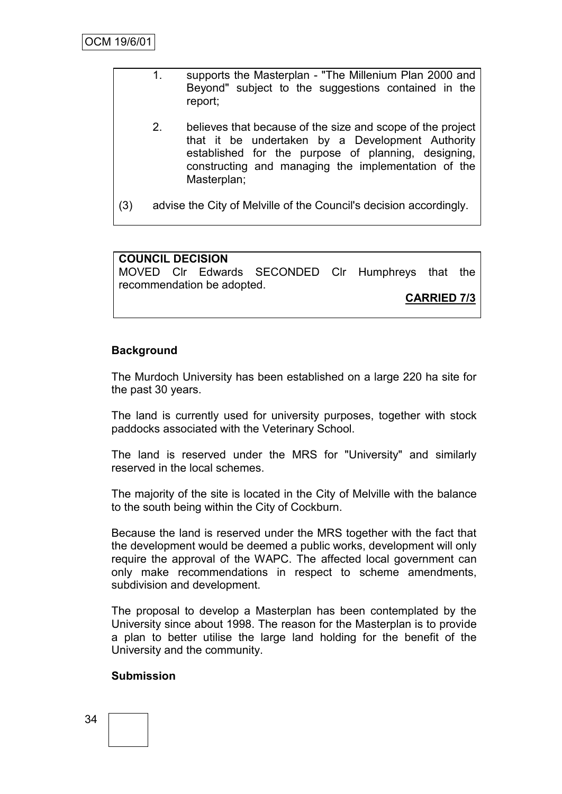- 1. supports the Masterplan "The Millenium Plan 2000 and Beyond" subject to the suggestions contained in the report;
- 2. believes that because of the size and scope of the project that it be undertaken by a Development Authority established for the purpose of planning, designing, constructing and managing the implementation of the Masterplan;
- (3) advise the City of Melville of the Council's decision accordingly.

## **COUNCIL DECISION**

MOVED Clr Edwards SECONDED Clr Humphreys that the recommendation be adopted.

**CARRIED 7/3**

## **Background**

The Murdoch University has been established on a large 220 ha site for the past 30 years.

The land is currently used for university purposes, together with stock paddocks associated with the Veterinary School.

The land is reserved under the MRS for "University" and similarly reserved in the local schemes.

The majority of the site is located in the City of Melville with the balance to the south being within the City of Cockburn.

Because the land is reserved under the MRS together with the fact that the development would be deemed a public works, development will only require the approval of the WAPC. The affected local government can only make recommendations in respect to scheme amendments, subdivision and development.

The proposal to develop a Masterplan has been contemplated by the University since about 1998. The reason for the Masterplan is to provide a plan to better utilise the large land holding for the benefit of the University and the community.

## **Submission**

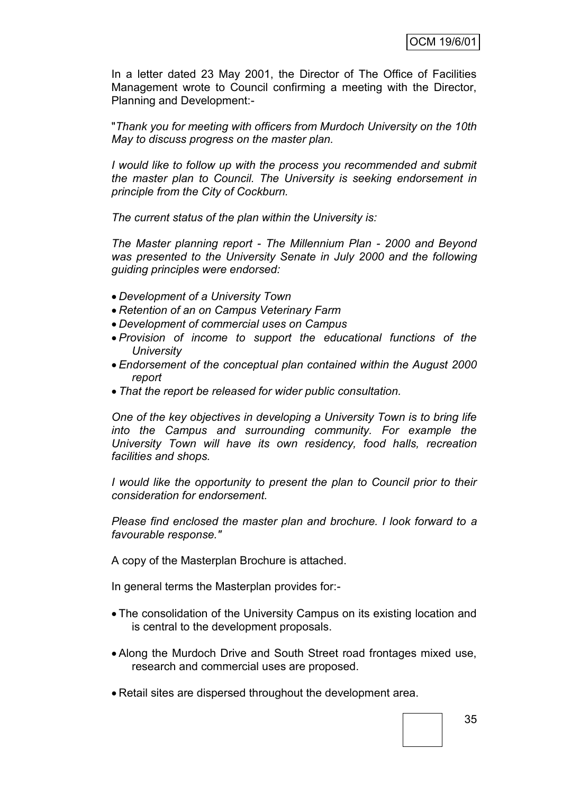In a letter dated 23 May 2001, the Director of The Office of Facilities Management wrote to Council confirming a meeting with the Director, Planning and Development:-

"*Thank you for meeting with officers from Murdoch University on the 10th May to discuss progress on the master plan.*

*I would like to follow up with the process you recommended and submit the master plan to Council. The University is seeking endorsement in principle from the City of Cockburn.*

*The current status of the plan within the University is:*

*The Master planning report - The Millennium Plan - 2000 and Beyond was presented to the University Senate in July 2000 and the following guiding principles were endorsed:*

- *Development of a University Town*
- *Retention of an on Campus Veterinary Farm*
- *Development of commercial uses on Campus*
- *Provision of income to support the educational functions of the University*
- *Endorsement of the conceptual plan contained within the August 2000 report*
- *That the report be released for wider public consultation.*

*One of the key objectives in developing a University Town is to bring life into the Campus and surrounding community. For example the University Town will have its own residency, food halls, recreation facilities and shops.*

*I* would like the opportunity to present the plan to Council prior to their *consideration for endorsement.*

*Please find enclosed the master plan and brochure. I look forward to a favourable response."*

A copy of the Masterplan Brochure is attached.

In general terms the Masterplan provides for:-

- The consolidation of the University Campus on its existing location and is central to the development proposals.
- Along the Murdoch Drive and South Street road frontages mixed use, research and commercial uses are proposed.
- Retail sites are dispersed throughout the development area.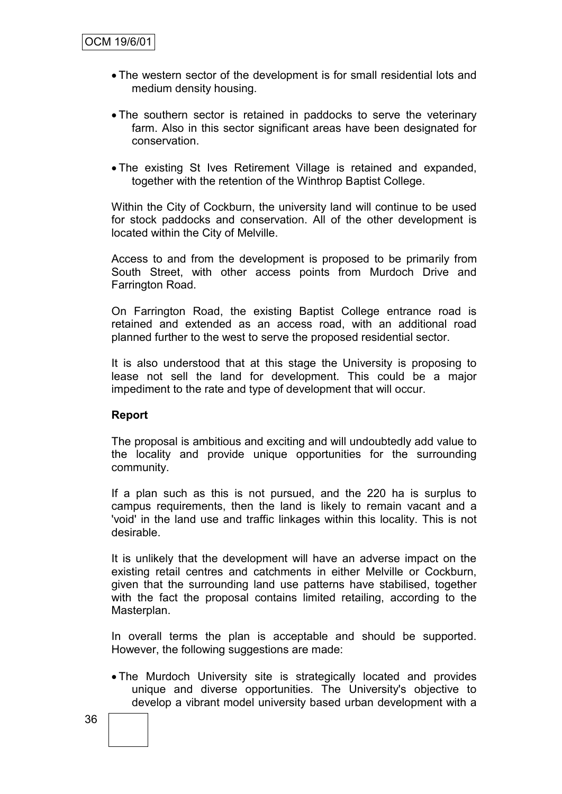- The western sector of the development is for small residential lots and medium density housing.
- The southern sector is retained in paddocks to serve the veterinary farm. Also in this sector significant areas have been designated for conservation.
- The existing St Ives Retirement Village is retained and expanded, together with the retention of the Winthrop Baptist College.

Within the City of Cockburn, the university land will continue to be used for stock paddocks and conservation. All of the other development is located within the City of Melville.

Access to and from the development is proposed to be primarily from South Street, with other access points from Murdoch Drive and Farrington Road.

On Farrington Road, the existing Baptist College entrance road is retained and extended as an access road, with an additional road planned further to the west to serve the proposed residential sector.

It is also understood that at this stage the University is proposing to lease not sell the land for development. This could be a major impediment to the rate and type of development that will occur.

#### **Report**

The proposal is ambitious and exciting and will undoubtedly add value to the locality and provide unique opportunities for the surrounding community.

If a plan such as this is not pursued, and the 220 ha is surplus to campus requirements, then the land is likely to remain vacant and a 'void' in the land use and traffic linkages within this locality. This is not desirable.

It is unlikely that the development will have an adverse impact on the existing retail centres and catchments in either Melville or Cockburn, given that the surrounding land use patterns have stabilised, together with the fact the proposal contains limited retailing, according to the Masterplan.

In overall terms the plan is acceptable and should be supported. However, the following suggestions are made:

 The Murdoch University site is strategically located and provides unique and diverse opportunities. The University's objective to develop a vibrant model university based urban development with a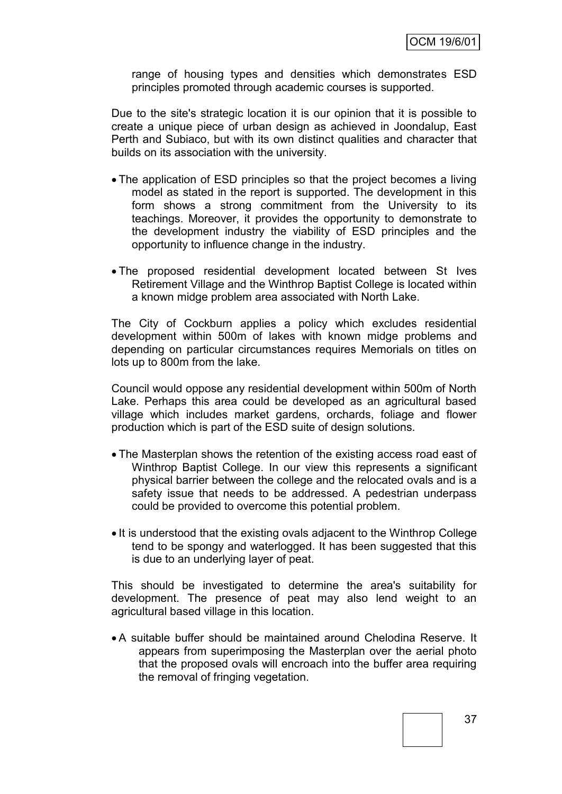range of housing types and densities which demonstrates ESD principles promoted through academic courses is supported.

Due to the site's strategic location it is our opinion that it is possible to create a unique piece of urban design as achieved in Joondalup, East Perth and Subiaco, but with its own distinct qualities and character that builds on its association with the university.

- The application of ESD principles so that the project becomes a living model as stated in the report is supported. The development in this form shows a strong commitment from the University to its teachings. Moreover, it provides the opportunity to demonstrate to the development industry the viability of ESD principles and the opportunity to influence change in the industry.
- The proposed residential development located between St Ives Retirement Village and the Winthrop Baptist College is located within a known midge problem area associated with North Lake.

The City of Cockburn applies a policy which excludes residential development within 500m of lakes with known midge problems and depending on particular circumstances requires Memorials on titles on lots up to 800m from the lake.

Council would oppose any residential development within 500m of North Lake. Perhaps this area could be developed as an agricultural based village which includes market gardens, orchards, foliage and flower production which is part of the ESD suite of design solutions.

- The Masterplan shows the retention of the existing access road east of Winthrop Baptist College. In our view this represents a significant physical barrier between the college and the relocated ovals and is a safety issue that needs to be addressed. A pedestrian underpass could be provided to overcome this potential problem.
- It is understood that the existing ovals adjacent to the Winthrop College tend to be spongy and waterlogged. It has been suggested that this is due to an underlying layer of peat.

This should be investigated to determine the area's suitability for development. The presence of peat may also lend weight to an agricultural based village in this location.

 A suitable buffer should be maintained around Chelodina Reserve. It appears from superimposing the Masterplan over the aerial photo that the proposed ovals will encroach into the buffer area requiring the removal of fringing vegetation.

37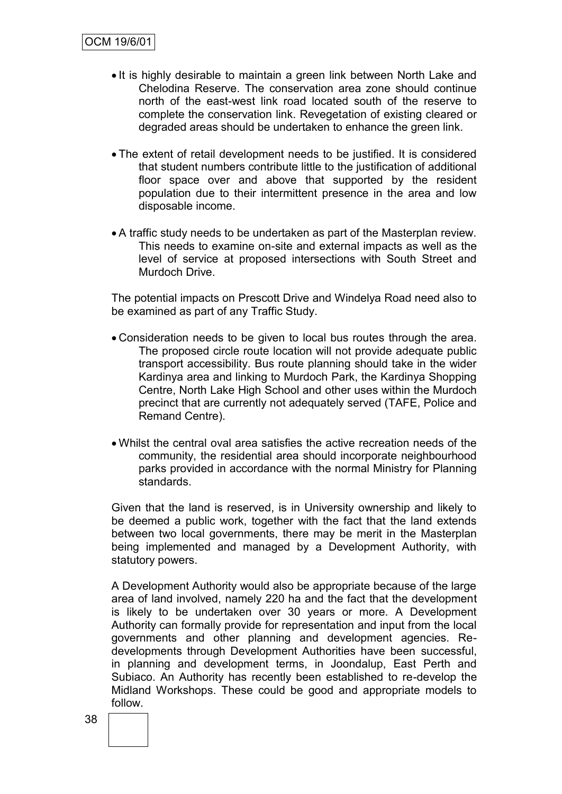- It is highly desirable to maintain a green link between North Lake and Chelodina Reserve. The conservation area zone should continue north of the east-west link road located south of the reserve to complete the conservation link. Revegetation of existing cleared or degraded areas should be undertaken to enhance the green link.
- The extent of retail development needs to be justified. It is considered that student numbers contribute little to the justification of additional floor space over and above that supported by the resident population due to their intermittent presence in the area and low disposable income.
- A traffic study needs to be undertaken as part of the Masterplan review. This needs to examine on-site and external impacts as well as the level of service at proposed intersections with South Street and Murdoch Drive.

The potential impacts on Prescott Drive and Windelya Road need also to be examined as part of any Traffic Study.

- Consideration needs to be given to local bus routes through the area. The proposed circle route location will not provide adequate public transport accessibility. Bus route planning should take in the wider Kardinya area and linking to Murdoch Park, the Kardinya Shopping Centre, North Lake High School and other uses within the Murdoch precinct that are currently not adequately served (TAFE, Police and Remand Centre).
- Whilst the central oval area satisfies the active recreation needs of the community, the residential area should incorporate neighbourhood parks provided in accordance with the normal Ministry for Planning standards.

Given that the land is reserved, is in University ownership and likely to be deemed a public work, together with the fact that the land extends between two local governments, there may be merit in the Masterplan being implemented and managed by a Development Authority, with statutory powers.

A Development Authority would also be appropriate because of the large area of land involved, namely 220 ha and the fact that the development is likely to be undertaken over 30 years or more. A Development Authority can formally provide for representation and input from the local governments and other planning and development agencies. Redevelopments through Development Authorities have been successful, in planning and development terms, in Joondalup, East Perth and Subiaco. An Authority has recently been established to re-develop the Midland Workshops. These could be good and appropriate models to follow.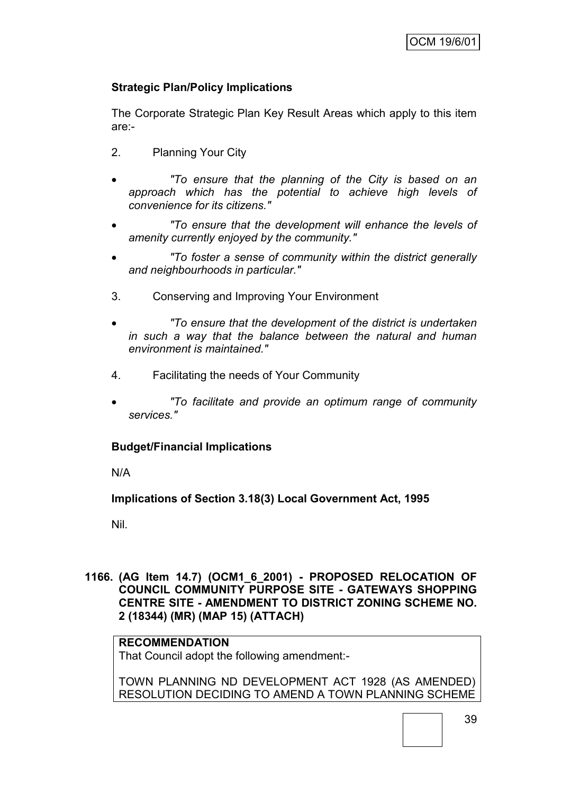## **Strategic Plan/Policy Implications**

The Corporate Strategic Plan Key Result Areas which apply to this item are:-

- 2. Planning Your City
- *"To ensure that the planning of the City is based on an approach which has the potential to achieve high levels of convenience for its citizens."*
- *"To ensure that the development will enhance the levels of amenity currently enjoyed by the community."*
- *"To foster a sense of community within the district generally and neighbourhoods in particular."*
- 3. Conserving and Improving Your Environment
- *"To ensure that the development of the district is undertaken in such a way that the balance between the natural and human environment is maintained."*
- 4. Facilitating the needs of Your Community
- *"To facilitate and provide an optimum range of community services."*

## **Budget/Financial Implications**

N/A

**Implications of Section 3.18(3) Local Government Act, 1995**

Nil.

## **1166. (AG Item 14.7) (OCM1\_6\_2001) - PROPOSED RELOCATION OF COUNCIL COMMUNITY PURPOSE SITE - GATEWAYS SHOPPING CENTRE SITE - AMENDMENT TO DISTRICT ZONING SCHEME NO. 2 (18344) (MR) (MAP 15) (ATTACH)**

## **RECOMMENDATION**

That Council adopt the following amendment:-

TOWN PLANNING ND DEVELOPMENT ACT 1928 (AS AMENDED) RESOLUTION DECIDING TO AMEND A TOWN PLANNING SCHEME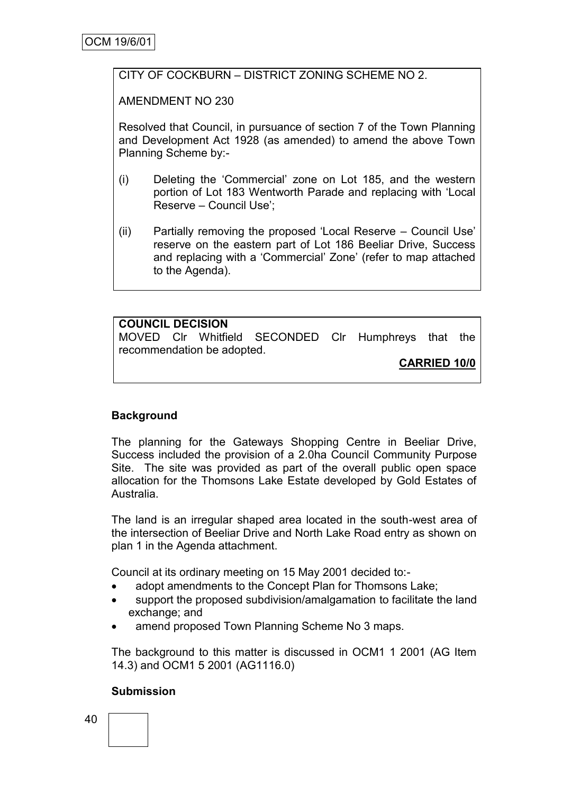## CITY OF COCKBURN – DISTRICT ZONING SCHEME NO 2.

AMENDMENT NO 230

Resolved that Council, in pursuance of section 7 of the Town Planning and Development Act 1928 (as amended) to amend the above Town Planning Scheme by:-

- (i) Deleting the "Commercial" zone on Lot 185, and the western portion of Lot 183 Wentworth Parade and replacing with "Local Reserve – Council Use";
- (ii) Partially removing the proposed "Local Reserve Council Use" reserve on the eastern part of Lot 186 Beeliar Drive, Success and replacing with a "Commercial" Zone" (refer to map attached to the Agenda).

## **COUNCIL DECISION**

MOVED Clr Whitfield SECONDED Clr Humphreys that the recommendation be adopted.

**CARRIED 10/0**

## **Background**

The planning for the Gateways Shopping Centre in Beeliar Drive, Success included the provision of a 2.0ha Council Community Purpose Site. The site was provided as part of the overall public open space allocation for the Thomsons Lake Estate developed by Gold Estates of Australia.

The land is an irregular shaped area located in the south-west area of the intersection of Beeliar Drive and North Lake Road entry as shown on plan 1 in the Agenda attachment.

Council at its ordinary meeting on 15 May 2001 decided to:-

- adopt amendments to the Concept Plan for Thomsons Lake;
- support the proposed subdivision/amalgamation to facilitate the land exchange; and
- amend proposed Town Planning Scheme No 3 maps.

The background to this matter is discussed in OCM1 1 2001 (AG Item 14.3) and OCM1 5 2001 (AG1116.0)

## **Submission**

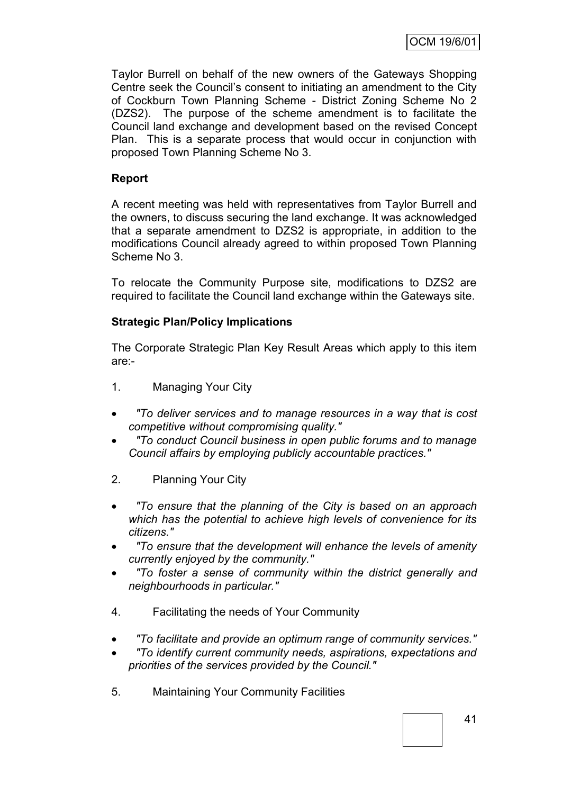Taylor Burrell on behalf of the new owners of the Gateways Shopping Centre seek the Council"s consent to initiating an amendment to the City of Cockburn Town Planning Scheme - District Zoning Scheme No 2 (DZS2). The purpose of the scheme amendment is to facilitate the Council land exchange and development based on the revised Concept Plan. This is a separate process that would occur in conjunction with proposed Town Planning Scheme No 3.

## **Report**

A recent meeting was held with representatives from Taylor Burrell and the owners, to discuss securing the land exchange. It was acknowledged that a separate amendment to DZS2 is appropriate, in addition to the modifications Council already agreed to within proposed Town Planning Scheme No 3.

To relocate the Community Purpose site, modifications to DZS2 are required to facilitate the Council land exchange within the Gateways site.

## **Strategic Plan/Policy Implications**

The Corporate Strategic Plan Key Result Areas which apply to this item are:-

- 1. Managing Your City
- *"To deliver services and to manage resources in a way that is cost competitive without compromising quality."*
- *"To conduct Council business in open public forums and to manage Council affairs by employing publicly accountable practices."*
- 2. Planning Your City
- *"To ensure that the planning of the City is based on an approach which has the potential to achieve high levels of convenience for its citizens."*
- *"To ensure that the development will enhance the levels of amenity currently enjoyed by the community."*
- *"To foster a sense of community within the district generally and neighbourhoods in particular."*
- 4. Facilitating the needs of Your Community
- *"To facilitate and provide an optimum range of community services."*
- *"To identify current community needs, aspirations, expectations and priorities of the services provided by the Council."*
- 5. Maintaining Your Community Facilities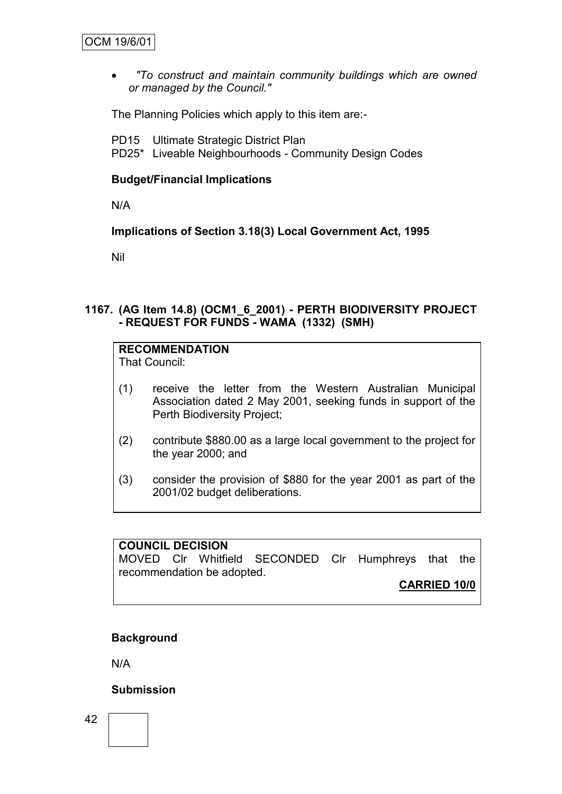*"To construct and maintain community buildings which are owned or managed by the Council."*

The Planning Policies which apply to this item are:-

PD15 Ultimate Strategic District Plan PD25\* Liveable Neighbourhoods - Community Design Codes

## **Budget/Financial Implications**

N/A

**Implications of Section 3.18(3) Local Government Act, 1995**

Nil

## **1167. (AG Item 14.8) (OCM1\_6\_2001) - PERTH BIODIVERSITY PROJECT - REQUEST FOR FUNDS - WAMA (1332) (SMH)**

**RECOMMENDATION**

That Council:

- (1) receive the letter from the Western Australian Municipal Association dated 2 May 2001, seeking funds in support of the Perth Biodiversity Project;
- (2) contribute \$880.00 as a large local government to the project for the year 2000; and
- (3) consider the provision of \$880 for the year 2001 as part of the 2001/02 budget deliberations.

## **COUNCIL DECISION**

MOVED Clr Whitfield SECONDED Clr Humphreys that the recommendation be adopted.

**CARRIED 10/0**

## **Background**

N/A

## **Submission**

42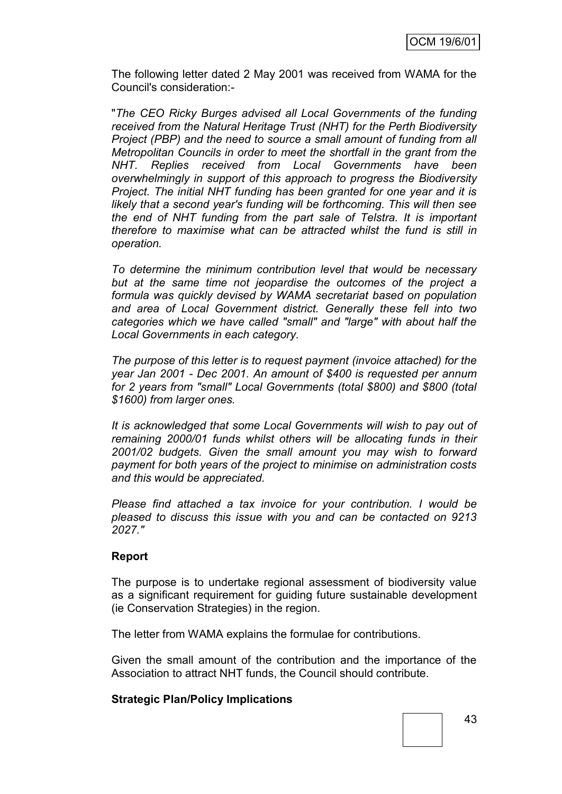The following letter dated 2 May 2001 was received from WAMA for the Council's consideration:-

"*The CEO Ricky Burges advised all Local Governments of the funding received from the Natural Heritage Trust (NHT) for the Perth Biodiversity Project (PBP) and the need to source a small amount of funding from all Metropolitan Councils in order to meet the shortfall in the grant from the NHT. Replies received from Local Governments have been overwhelmingly in support of this approach to progress the Biodiversity Project. The initial NHT funding has been granted for one year and it is likely that a second year's funding will be forthcoming. This will then see the end of NHT funding from the part sale of Telstra. It is important therefore to maximise what can be attracted whilst the fund is still in operation.*

*To determine the minimum contribution level that would be necessary but at the same time not jeopardise the outcomes of the project a formula was quickly devised by WAMA secretariat based on population and area of Local Government district. Generally these fell into two categories which we have called "small" and "large" with about half the Local Governments in each category.*

*The purpose of this letter is to request payment (invoice attached) for the year Jan 2001 - Dec 2001. An amount of \$400 is requested per annum for 2 years from "small" Local Governments (total \$800) and \$800 (total \$1600) from larger ones.*

*It is acknowledged that some Local Governments will wish to pay out of remaining 2000/01 funds whilst others will be allocating funds in their 2001/02 budgets. Given the small amount you may wish to forward payment for both years of the project to minimise on administration costs and this would be appreciated.*

*Please find attached a tax invoice for your contribution. I would be pleased to discuss this issue with you and can be contacted on 9213 2027."*

## **Report**

The purpose is to undertake regional assessment of biodiversity value as a significant requirement for guiding future sustainable development (ie Conservation Strategies) in the region.

The letter from WAMA explains the formulae for contributions.

Given the small amount of the contribution and the importance of the Association to attract NHT funds, the Council should contribute.

## **Strategic Plan/Policy Implications**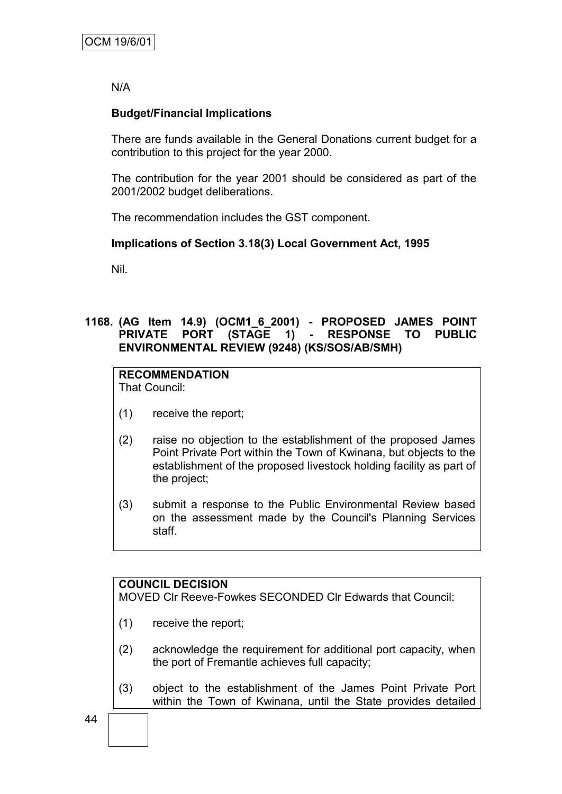N/A

## **Budget/Financial Implications**

There are funds available in the General Donations current budget for a contribution to this project for the year 2000.

The contribution for the year 2001 should be considered as part of the 2001/2002 budget deliberations.

The recommendation includes the GST component.

## **Implications of Section 3.18(3) Local Government Act, 1995**

Nil.

## **1168. (AG Item 14.9) (OCM1\_6\_2001) - PROPOSED JAMES POINT PRIVATE PORT (STAGE 1) - RESPONSE TO PUBLIC ENVIRONMENTAL REVIEW (9248) (KS/SOS/AB/SMH)**

## **RECOMMENDATION**

That Council:

- (1) receive the report;
- (2) raise no objection to the establishment of the proposed James Point Private Port within the Town of Kwinana, but objects to the establishment of the proposed livestock holding facility as part of the project;
- (3) submit a response to the Public Environmental Review based on the assessment made by the Council's Planning Services staff.

## **COUNCIL DECISION**

MOVED Clr Reeve-Fowkes SECONDED Clr Edwards that Council:

- (1) receive the report;
- (2) acknowledge the requirement for additional port capacity, when the port of Fremantle achieves full capacity;
- (3) object to the establishment of the James Point Private Port within the Town of Kwinana, until the State provides detailed

44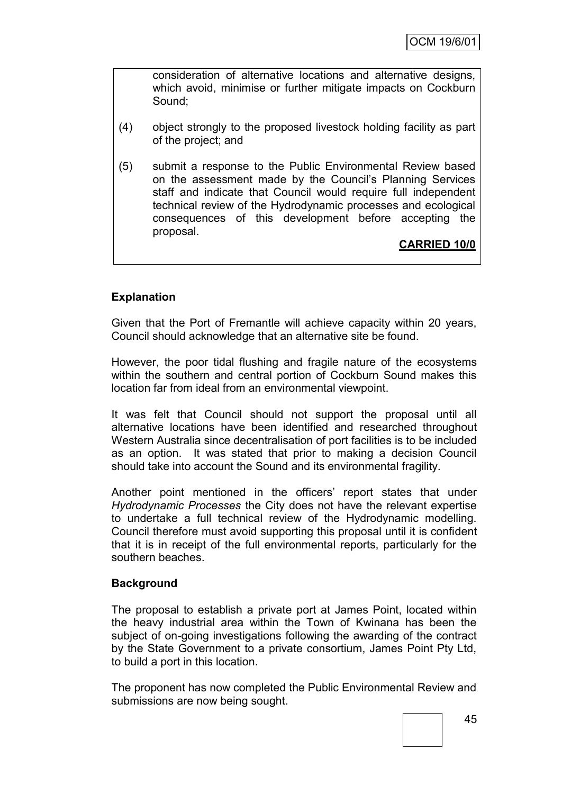consideration of alternative locations and alternative designs, which avoid, minimise or further mitigate impacts on Cockburn Sound;

- (4) object strongly to the proposed livestock holding facility as part of the project; and
- (5) submit a response to the Public Environmental Review based on the assessment made by the Council"s Planning Services staff and indicate that Council would require full independent technical review of the Hydrodynamic processes and ecological consequences of this development before accepting the proposal.

**CARRIED 10/0**

## **Explanation**

Given that the Port of Fremantle will achieve capacity within 20 years, Council should acknowledge that an alternative site be found.

However, the poor tidal flushing and fragile nature of the ecosystems within the southern and central portion of Cockburn Sound makes this location far from ideal from an environmental viewpoint.

It was felt that Council should not support the proposal until all alternative locations have been identified and researched throughout Western Australia since decentralisation of port facilities is to be included as an option. It was stated that prior to making a decision Council should take into account the Sound and its environmental fragility.

Another point mentioned in the officers' report states that under *Hydrodynamic Processes* the City does not have the relevant expertise to undertake a full technical review of the Hydrodynamic modelling. Council therefore must avoid supporting this proposal until it is confident that it is in receipt of the full environmental reports, particularly for the southern beaches.

## **Background**

The proposal to establish a private port at James Point, located within the heavy industrial area within the Town of Kwinana has been the subject of on-going investigations following the awarding of the contract by the State Government to a private consortium, James Point Pty Ltd, to build a port in this location.

The proponent has now completed the Public Environmental Review and submissions are now being sought.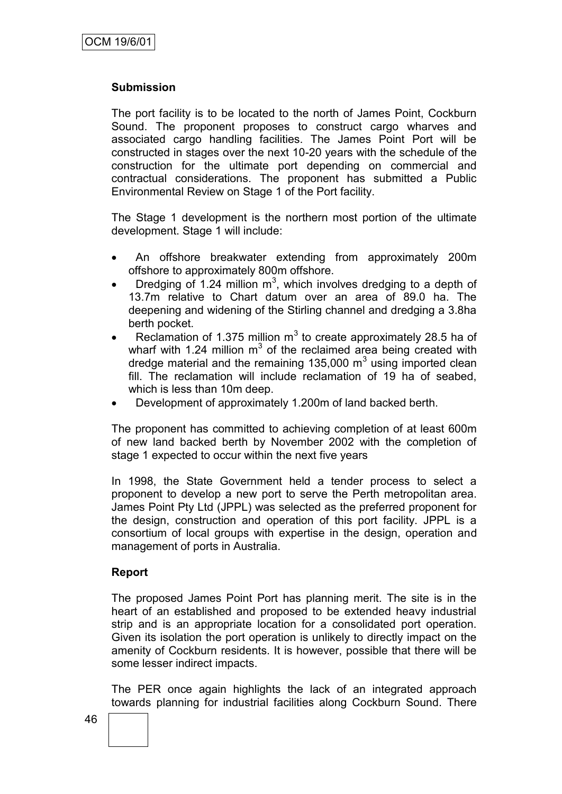## **Submission**

The port facility is to be located to the north of James Point, Cockburn Sound. The proponent proposes to construct cargo wharves and associated cargo handling facilities. The James Point Port will be constructed in stages over the next 10-20 years with the schedule of the construction for the ultimate port depending on commercial and contractual considerations. The proponent has submitted a Public Environmental Review on Stage 1 of the Port facility.

The Stage 1 development is the northern most portion of the ultimate development. Stage 1 will include:

- An offshore breakwater extending from approximately 200m offshore to approximately 800m offshore.
- Dredging of 1.24 million  $m^3$ , which involves dredging to a depth of 13.7m relative to Chart datum over an area of 89.0 ha. The deepening and widening of the Stirling channel and dredging a 3.8ha berth pocket.
- Reclamation of 1.375 million  $m^3$  to create approximately 28.5 ha of wharf with 1.24 million  $m^3$  of the reclaimed area being created with dredge material and the remaining 135,000  $m<sup>3</sup>$  using imported clean fill. The reclamation will include reclamation of 19 ha of seabed, which is less than 10m deep.
- Development of approximately 1.200m of land backed berth.

The proponent has committed to achieving completion of at least 600m of new land backed berth by November 2002 with the completion of stage 1 expected to occur within the next five years

In 1998, the State Government held a tender process to select a proponent to develop a new port to serve the Perth metropolitan area. James Point Pty Ltd (JPPL) was selected as the preferred proponent for the design, construction and operation of this port facility. JPPL is a consortium of local groups with expertise in the design, operation and management of ports in Australia.

#### **Report**

The proposed James Point Port has planning merit. The site is in the heart of an established and proposed to be extended heavy industrial strip and is an appropriate location for a consolidated port operation. Given its isolation the port operation is unlikely to directly impact on the amenity of Cockburn residents. It is however, possible that there will be some lesser indirect impacts.

The PER once again highlights the lack of an integrated approach towards planning for industrial facilities along Cockburn Sound. There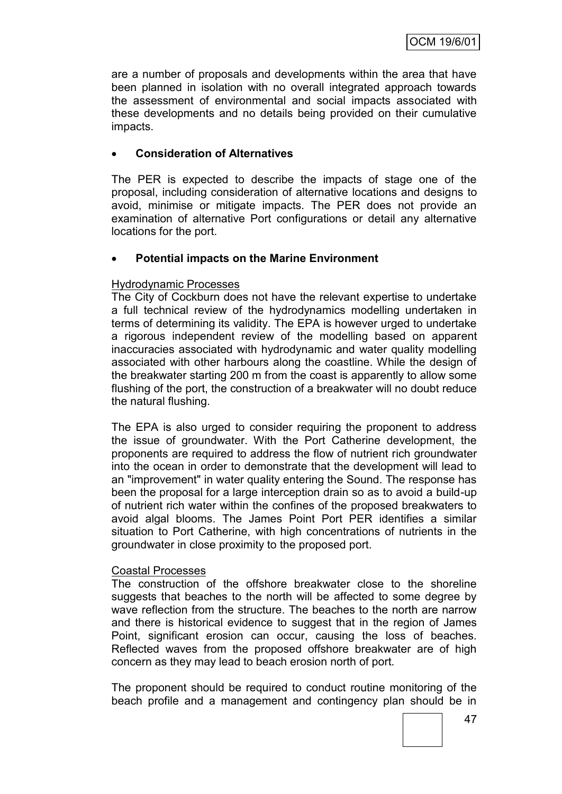are a number of proposals and developments within the area that have been planned in isolation with no overall integrated approach towards the assessment of environmental and social impacts associated with these developments and no details being provided on their cumulative impacts.

## **Consideration of Alternatives**

The PER is expected to describe the impacts of stage one of the proposal, including consideration of alternative locations and designs to avoid, minimise or mitigate impacts. The PER does not provide an examination of alternative Port configurations or detail any alternative locations for the port.

## **Potential impacts on the Marine Environment**

## Hydrodynamic Processes

The City of Cockburn does not have the relevant expertise to undertake a full technical review of the hydrodynamics modelling undertaken in terms of determining its validity. The EPA is however urged to undertake a rigorous independent review of the modelling based on apparent inaccuracies associated with hydrodynamic and water quality modelling associated with other harbours along the coastline. While the design of the breakwater starting 200 m from the coast is apparently to allow some flushing of the port, the construction of a breakwater will no doubt reduce the natural flushing.

The EPA is also urged to consider requiring the proponent to address the issue of groundwater. With the Port Catherine development, the proponents are required to address the flow of nutrient rich groundwater into the ocean in order to demonstrate that the development will lead to an "improvement" in water quality entering the Sound. The response has been the proposal for a large interception drain so as to avoid a build-up of nutrient rich water within the confines of the proposed breakwaters to avoid algal blooms. The James Point Port PER identifies a similar situation to Port Catherine, with high concentrations of nutrients in the groundwater in close proximity to the proposed port.

## Coastal Processes

The construction of the offshore breakwater close to the shoreline suggests that beaches to the north will be affected to some degree by wave reflection from the structure. The beaches to the north are narrow and there is historical evidence to suggest that in the region of James Point, significant erosion can occur, causing the loss of beaches. Reflected waves from the proposed offshore breakwater are of high concern as they may lead to beach erosion north of port.

The proponent should be required to conduct routine monitoring of the beach profile and a management and contingency plan should be in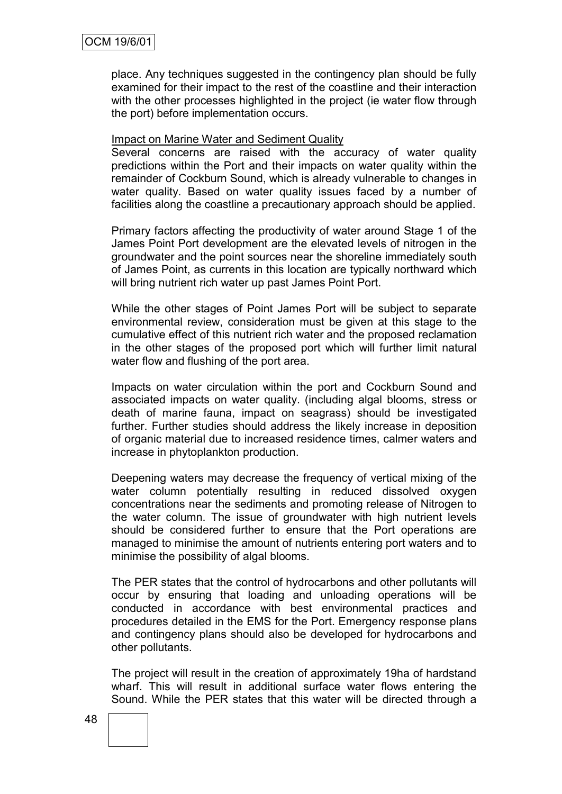place. Any techniques suggested in the contingency plan should be fully examined for their impact to the rest of the coastline and their interaction with the other processes highlighted in the project (ie water flow through the port) before implementation occurs.

#### Impact on Marine Water and Sediment Quality

Several concerns are raised with the accuracy of water quality predictions within the Port and their impacts on water quality within the remainder of Cockburn Sound, which is already vulnerable to changes in water quality. Based on water quality issues faced by a number of facilities along the coastline a precautionary approach should be applied.

Primary factors affecting the productivity of water around Stage 1 of the James Point Port development are the elevated levels of nitrogen in the groundwater and the point sources near the shoreline immediately south of James Point, as currents in this location are typically northward which will bring nutrient rich water up past James Point Port.

While the other stages of Point James Port will be subject to separate environmental review, consideration must be given at this stage to the cumulative effect of this nutrient rich water and the proposed reclamation in the other stages of the proposed port which will further limit natural water flow and flushing of the port area.

Impacts on water circulation within the port and Cockburn Sound and associated impacts on water quality. (including algal blooms, stress or death of marine fauna, impact on seagrass) should be investigated further. Further studies should address the likely increase in deposition of organic material due to increased residence times, calmer waters and increase in phytoplankton production.

Deepening waters may decrease the frequency of vertical mixing of the water column potentially resulting in reduced dissolved oxygen concentrations near the sediments and promoting release of Nitrogen to the water column. The issue of groundwater with high nutrient levels should be considered further to ensure that the Port operations are managed to minimise the amount of nutrients entering port waters and to minimise the possibility of algal blooms.

The PER states that the control of hydrocarbons and other pollutants will occur by ensuring that loading and unloading operations will be conducted in accordance with best environmental practices and procedures detailed in the EMS for the Port. Emergency response plans and contingency plans should also be developed for hydrocarbons and other pollutants.

The project will result in the creation of approximately 19ha of hardstand wharf. This will result in additional surface water flows entering the Sound. While the PER states that this water will be directed through a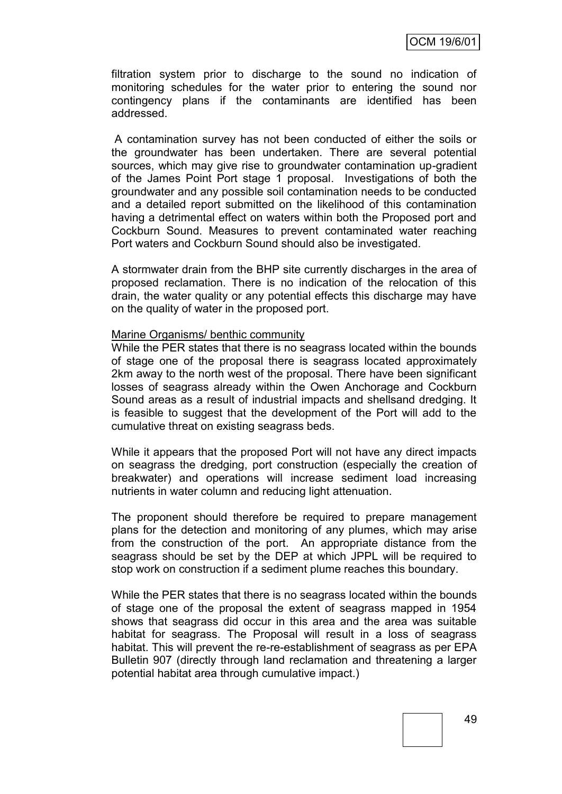filtration system prior to discharge to the sound no indication of monitoring schedules for the water prior to entering the sound nor contingency plans if the contaminants are identified has been addressed.

A contamination survey has not been conducted of either the soils or the groundwater has been undertaken. There are several potential sources, which may give rise to groundwater contamination up-gradient of the James Point Port stage 1 proposal. Investigations of both the groundwater and any possible soil contamination needs to be conducted and a detailed report submitted on the likelihood of this contamination having a detrimental effect on waters within both the Proposed port and Cockburn Sound. Measures to prevent contaminated water reaching Port waters and Cockburn Sound should also be investigated.

A stormwater drain from the BHP site currently discharges in the area of proposed reclamation. There is no indication of the relocation of this drain, the water quality or any potential effects this discharge may have on the quality of water in the proposed port.

#### Marine Organisms/ benthic community

While the PER states that there is no seagrass located within the bounds of stage one of the proposal there is seagrass located approximately 2km away to the north west of the proposal. There have been significant losses of seagrass already within the Owen Anchorage and Cockburn Sound areas as a result of industrial impacts and shellsand dredging. It is feasible to suggest that the development of the Port will add to the cumulative threat on existing seagrass beds.

While it appears that the proposed Port will not have any direct impacts on seagrass the dredging, port construction (especially the creation of breakwater) and operations will increase sediment load increasing nutrients in water column and reducing light attenuation.

The proponent should therefore be required to prepare management plans for the detection and monitoring of any plumes, which may arise from the construction of the port. An appropriate distance from the seagrass should be set by the DEP at which JPPL will be required to stop work on construction if a sediment plume reaches this boundary.

While the PER states that there is no seagrass located within the bounds of stage one of the proposal the extent of seagrass mapped in 1954 shows that seagrass did occur in this area and the area was suitable habitat for seagrass. The Proposal will result in a loss of seagrass habitat. This will prevent the re-re-establishment of seagrass as per EPA Bulletin 907 (directly through land reclamation and threatening a larger potential habitat area through cumulative impact.)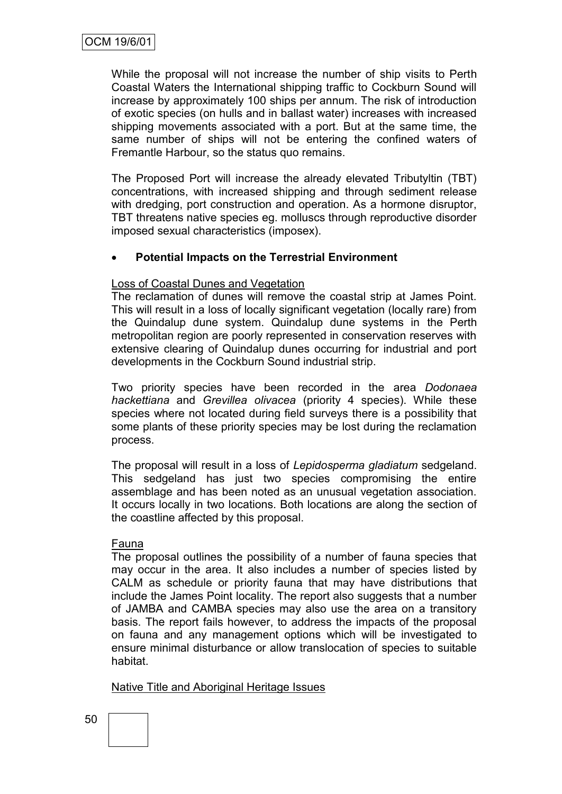While the proposal will not increase the number of ship visits to Perth Coastal Waters the International shipping traffic to Cockburn Sound will increase by approximately 100 ships per annum. The risk of introduction of exotic species (on hulls and in ballast water) increases with increased shipping movements associated with a port. But at the same time, the same number of ships will not be entering the confined waters of Fremantle Harbour, so the status quo remains.

The Proposed Port will increase the already elevated Tributyltin (TBT) concentrations, with increased shipping and through sediment release with dredging, port construction and operation. As a hormone disruptor, TBT threatens native species eg. molluscs through reproductive disorder imposed sexual characteristics (imposex).

## **Potential Impacts on the Terrestrial Environment**

#### Loss of Coastal Dunes and Vegetation

The reclamation of dunes will remove the coastal strip at James Point. This will result in a loss of locally significant vegetation (locally rare) from the Quindalup dune system. Quindalup dune systems in the Perth metropolitan region are poorly represented in conservation reserves with extensive clearing of Quindalup dunes occurring for industrial and port developments in the Cockburn Sound industrial strip.

Two priority species have been recorded in the area *Dodonaea hackettiana* and *Grevillea olivacea* (priority 4 species). While these species where not located during field surveys there is a possibility that some plants of these priority species may be lost during the reclamation process.

The proposal will result in a loss of *Lepidosperma gladiatum* sedgeland. This sedgeland has just two species compromising the entire assemblage and has been noted as an unusual vegetation association. It occurs locally in two locations. Both locations are along the section of the coastline affected by this proposal.

#### Fauna

The proposal outlines the possibility of a number of fauna species that may occur in the area. It also includes a number of species listed by CALM as schedule or priority fauna that may have distributions that include the James Point locality. The report also suggests that a number of JAMBA and CAMBA species may also use the area on a transitory basis. The report fails however, to address the impacts of the proposal on fauna and any management options which will be investigated to ensure minimal disturbance or allow translocation of species to suitable habitat.

Native Title and Aboriginal Heritage Issues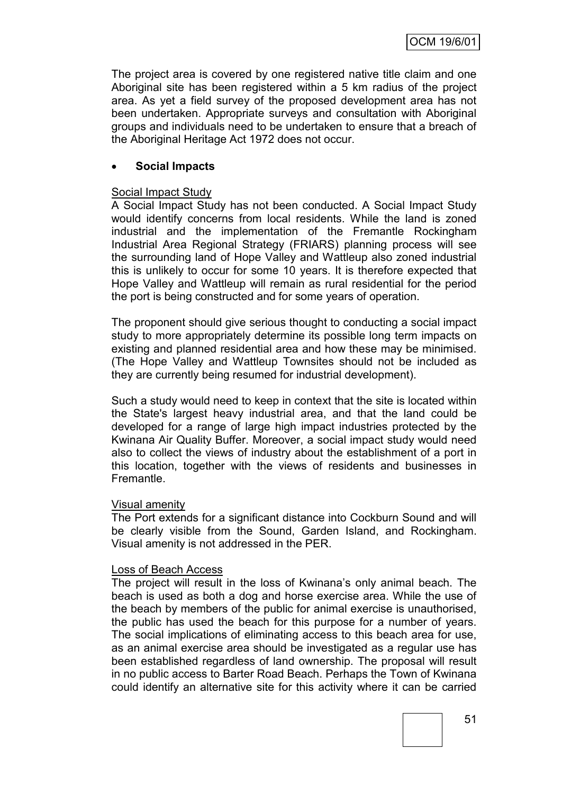The project area is covered by one registered native title claim and one Aboriginal site has been registered within a 5 km radius of the project area. As yet a field survey of the proposed development area has not been undertaken. Appropriate surveys and consultation with Aboriginal groups and individuals need to be undertaken to ensure that a breach of the Aboriginal Heritage Act 1972 does not occur.

## **Social Impacts**

#### Social Impact Study

A Social Impact Study has not been conducted. A Social Impact Study would identify concerns from local residents. While the land is zoned industrial and the implementation of the Fremantle Rockingham Industrial Area Regional Strategy (FRIARS) planning process will see the surrounding land of Hope Valley and Wattleup also zoned industrial this is unlikely to occur for some 10 years. It is therefore expected that Hope Valley and Wattleup will remain as rural residential for the period the port is being constructed and for some years of operation.

The proponent should give serious thought to conducting a social impact study to more appropriately determine its possible long term impacts on existing and planned residential area and how these may be minimised. (The Hope Valley and Wattleup Townsites should not be included as they are currently being resumed for industrial development).

Such a study would need to keep in context that the site is located within the State's largest heavy industrial area, and that the land could be developed for a range of large high impact industries protected by the Kwinana Air Quality Buffer. Moreover, a social impact study would need also to collect the views of industry about the establishment of a port in this location, together with the views of residents and businesses in Fremantle.

#### Visual amenity

The Port extends for a significant distance into Cockburn Sound and will be clearly visible from the Sound, Garden Island, and Rockingham. Visual amenity is not addressed in the PER.

#### Loss of Beach Access

The project will result in the loss of Kwinana"s only animal beach. The beach is used as both a dog and horse exercise area. While the use of the beach by members of the public for animal exercise is unauthorised, the public has used the beach for this purpose for a number of years. The social implications of eliminating access to this beach area for use, as an animal exercise area should be investigated as a regular use has been established regardless of land ownership. The proposal will result in no public access to Barter Road Beach. Perhaps the Town of Kwinana could identify an alternative site for this activity where it can be carried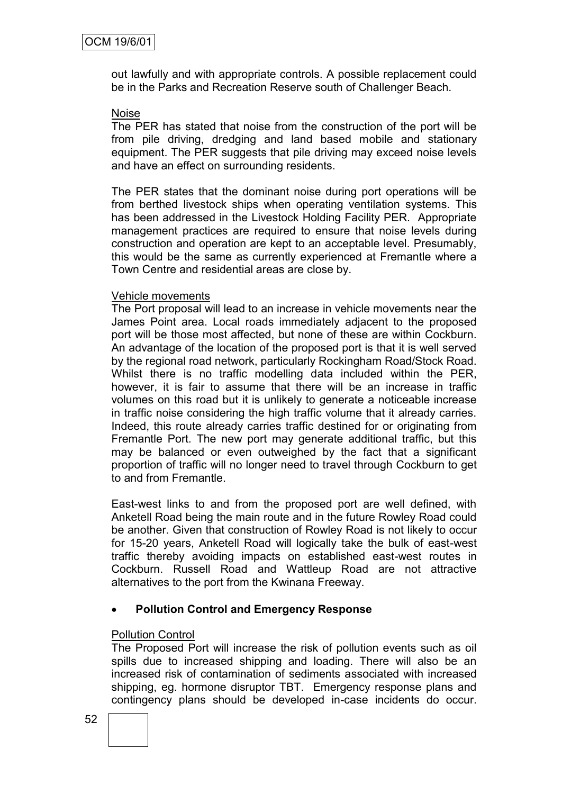out lawfully and with appropriate controls. A possible replacement could be in the Parks and Recreation Reserve south of Challenger Beach.

#### Noise

The PER has stated that noise from the construction of the port will be from pile driving, dredging and land based mobile and stationary equipment. The PER suggests that pile driving may exceed noise levels and have an effect on surrounding residents.

The PER states that the dominant noise during port operations will be from berthed livestock ships when operating ventilation systems. This has been addressed in the Livestock Holding Facility PER. Appropriate management practices are required to ensure that noise levels during construction and operation are kept to an acceptable level. Presumably, this would be the same as currently experienced at Fremantle where a Town Centre and residential areas are close by.

#### Vehicle movements

The Port proposal will lead to an increase in vehicle movements near the James Point area. Local roads immediately adjacent to the proposed port will be those most affected, but none of these are within Cockburn. An advantage of the location of the proposed port is that it is well served by the regional road network, particularly Rockingham Road/Stock Road. Whilst there is no traffic modelling data included within the PER, however, it is fair to assume that there will be an increase in traffic volumes on this road but it is unlikely to generate a noticeable increase in traffic noise considering the high traffic volume that it already carries. Indeed, this route already carries traffic destined for or originating from Fremantle Port. The new port may generate additional traffic, but this may be balanced or even outweighed by the fact that a significant proportion of traffic will no longer need to travel through Cockburn to get to and from Fremantle.

East-west links to and from the proposed port are well defined, with Anketell Road being the main route and in the future Rowley Road could be another. Given that construction of Rowley Road is not likely to occur for 15-20 years, Anketell Road will logically take the bulk of east-west traffic thereby avoiding impacts on established east-west routes in Cockburn. Russell Road and Wattleup Road are not attractive alternatives to the port from the Kwinana Freeway.

## **Pollution Control and Emergency Response**

## Pollution Control

The Proposed Port will increase the risk of pollution events such as oil spills due to increased shipping and loading. There will also be an increased risk of contamination of sediments associated with increased shipping, eg. hormone disruptor TBT. Emergency response plans and contingency plans should be developed in-case incidents do occur.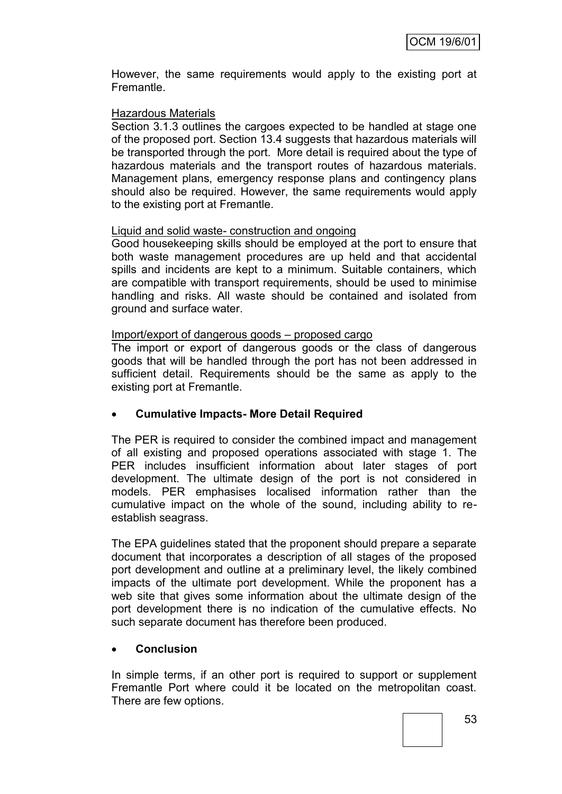However, the same requirements would apply to the existing port at Fremantle.

## Hazardous Materials

Section 3.1.3 outlines the cargoes expected to be handled at stage one of the proposed port. Section 13.4 suggests that hazardous materials will be transported through the port. More detail is required about the type of hazardous materials and the transport routes of hazardous materials. Management plans, emergency response plans and contingency plans should also be required. However, the same requirements would apply to the existing port at Fremantle.

## Liquid and solid waste- construction and ongoing

Good housekeeping skills should be employed at the port to ensure that both waste management procedures are up held and that accidental spills and incidents are kept to a minimum. Suitable containers, which are compatible with transport requirements, should be used to minimise handling and risks. All waste should be contained and isolated from ground and surface water.

## Import/export of dangerous goods – proposed cargo

The import or export of dangerous goods or the class of dangerous goods that will be handled through the port has not been addressed in sufficient detail. Requirements should be the same as apply to the existing port at Fremantle.

## **Cumulative Impacts- More Detail Required**

The PER is required to consider the combined impact and management of all existing and proposed operations associated with stage 1. The PER includes insufficient information about later stages of port development. The ultimate design of the port is not considered in models. PER emphasises localised information rather than the cumulative impact on the whole of the sound, including ability to reestablish seagrass.

The EPA guidelines stated that the proponent should prepare a separate document that incorporates a description of all stages of the proposed port development and outline at a preliminary level, the likely combined impacts of the ultimate port development. While the proponent has a web site that gives some information about the ultimate design of the port development there is no indication of the cumulative effects. No such separate document has therefore been produced.

## **Conclusion**

In simple terms, if an other port is required to support or supplement Fremantle Port where could it be located on the metropolitan coast. There are few options.

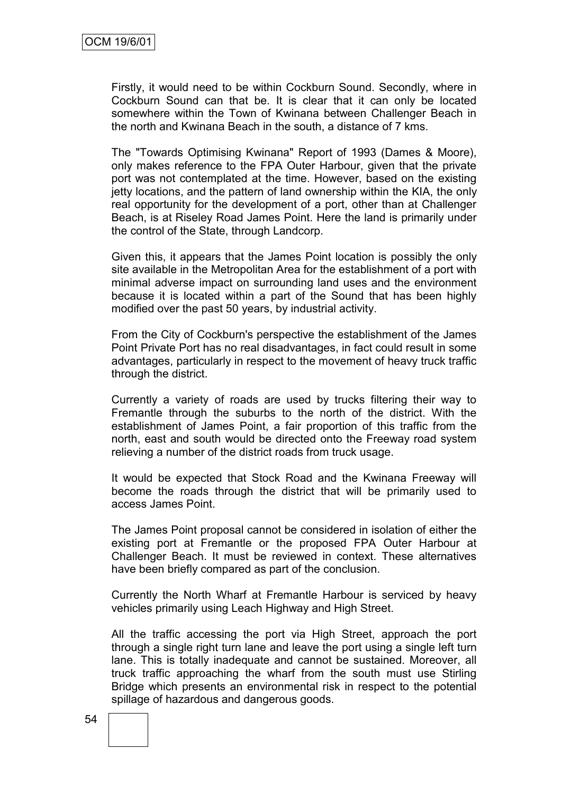Firstly, it would need to be within Cockburn Sound. Secondly, where in Cockburn Sound can that be. It is clear that it can only be located somewhere within the Town of Kwinana between Challenger Beach in the north and Kwinana Beach in the south, a distance of 7 kms.

The "Towards Optimising Kwinana" Report of 1993 (Dames & Moore), only makes reference to the FPA Outer Harbour, given that the private port was not contemplated at the time. However, based on the existing jetty locations, and the pattern of land ownership within the KIA, the only real opportunity for the development of a port, other than at Challenger Beach, is at Riseley Road James Point. Here the land is primarily under the control of the State, through Landcorp.

Given this, it appears that the James Point location is possibly the only site available in the Metropolitan Area for the establishment of a port with minimal adverse impact on surrounding land uses and the environment because it is located within a part of the Sound that has been highly modified over the past 50 years, by industrial activity.

From the City of Cockburn's perspective the establishment of the James Point Private Port has no real disadvantages, in fact could result in some advantages, particularly in respect to the movement of heavy truck traffic through the district.

Currently a variety of roads are used by trucks filtering their way to Fremantle through the suburbs to the north of the district. With the establishment of James Point, a fair proportion of this traffic from the north, east and south would be directed onto the Freeway road system relieving a number of the district roads from truck usage.

It would be expected that Stock Road and the Kwinana Freeway will become the roads through the district that will be primarily used to access James Point.

The James Point proposal cannot be considered in isolation of either the existing port at Fremantle or the proposed FPA Outer Harbour at Challenger Beach. It must be reviewed in context. These alternatives have been briefly compared as part of the conclusion.

Currently the North Wharf at Fremantle Harbour is serviced by heavy vehicles primarily using Leach Highway and High Street.

All the traffic accessing the port via High Street, approach the port through a single right turn lane and leave the port using a single left turn lane. This is totally inadequate and cannot be sustained. Moreover, all truck traffic approaching the wharf from the south must use Stirling Bridge which presents an environmental risk in respect to the potential spillage of hazardous and dangerous goods.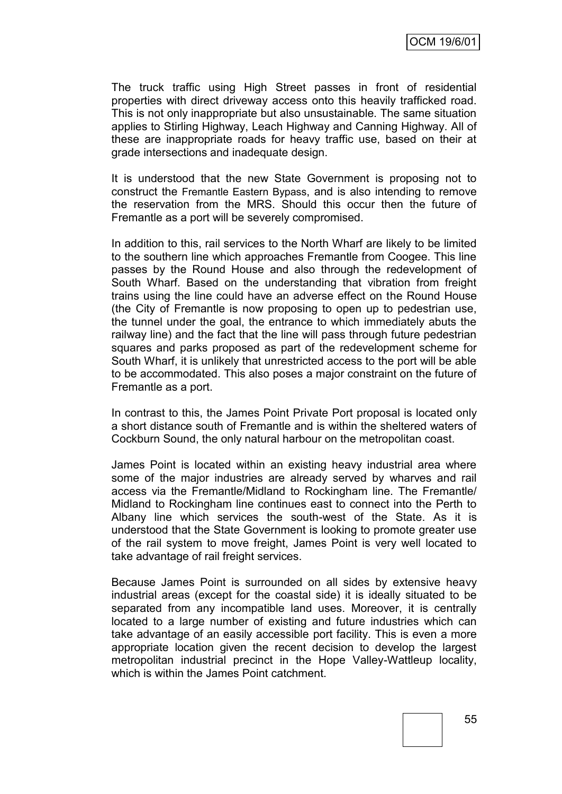The truck traffic using High Street passes in front of residential properties with direct driveway access onto this heavily trafficked road. This is not only inappropriate but also unsustainable. The same situation applies to Stirling Highway, Leach Highway and Canning Highway. All of these are inappropriate roads for heavy traffic use, based on their at grade intersections and inadequate design.

It is understood that the new State Government is proposing not to construct the Fremantle Eastern Bypass, and is also intending to remove the reservation from the MRS. Should this occur then the future of Fremantle as a port will be severely compromised.

In addition to this, rail services to the North Wharf are likely to be limited to the southern line which approaches Fremantle from Coogee. This line passes by the Round House and also through the redevelopment of South Wharf. Based on the understanding that vibration from freight trains using the line could have an adverse effect on the Round House (the City of Fremantle is now proposing to open up to pedestrian use, the tunnel under the goal, the entrance to which immediately abuts the railway line) and the fact that the line will pass through future pedestrian squares and parks proposed as part of the redevelopment scheme for South Wharf, it is unlikely that unrestricted access to the port will be able to be accommodated. This also poses a major constraint on the future of Fremantle as a port.

In contrast to this, the James Point Private Port proposal is located only a short distance south of Fremantle and is within the sheltered waters of Cockburn Sound, the only natural harbour on the metropolitan coast.

James Point is located within an existing heavy industrial area where some of the major industries are already served by wharves and rail access via the Fremantle/Midland to Rockingham line. The Fremantle/ Midland to Rockingham line continues east to connect into the Perth to Albany line which services the south-west of the State. As it is understood that the State Government is looking to promote greater use of the rail system to move freight, James Point is very well located to take advantage of rail freight services.

Because James Point is surrounded on all sides by extensive heavy industrial areas (except for the coastal side) it is ideally situated to be separated from any incompatible land uses. Moreover, it is centrally located to a large number of existing and future industries which can take advantage of an easily accessible port facility. This is even a more appropriate location given the recent decision to develop the largest metropolitan industrial precinct in the Hope Valley-Wattleup locality, which is within the James Point catchment.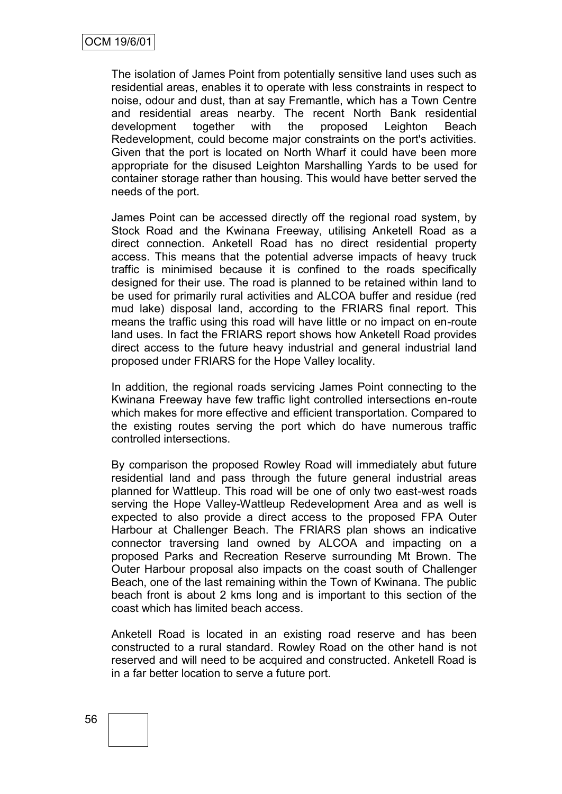The isolation of James Point from potentially sensitive land uses such as residential areas, enables it to operate with less constraints in respect to noise, odour and dust, than at say Fremantle, which has a Town Centre and residential areas nearby. The recent North Bank residential development together with the proposed Leighton Beach Redevelopment, could become major constraints on the port's activities. Given that the port is located on North Wharf it could have been more appropriate for the disused Leighton Marshalling Yards to be used for container storage rather than housing. This would have better served the needs of the port.

James Point can be accessed directly off the regional road system, by Stock Road and the Kwinana Freeway, utilising Anketell Road as a direct connection. Anketell Road has no direct residential property access. This means that the potential adverse impacts of heavy truck traffic is minimised because it is confined to the roads specifically designed for their use. The road is planned to be retained within land to be used for primarily rural activities and ALCOA buffer and residue (red mud lake) disposal land, according to the FRIARS final report. This means the traffic using this road will have little or no impact on en-route land uses. In fact the FRIARS report shows how Anketell Road provides direct access to the future heavy industrial and general industrial land proposed under FRIARS for the Hope Valley locality.

In addition, the regional roads servicing James Point connecting to the Kwinana Freeway have few traffic light controlled intersections en-route which makes for more effective and efficient transportation. Compared to the existing routes serving the port which do have numerous traffic controlled intersections.

By comparison the proposed Rowley Road will immediately abut future residential land and pass through the future general industrial areas planned for Wattleup. This road will be one of only two east-west roads serving the Hope Valley-Wattleup Redevelopment Area and as well is expected to also provide a direct access to the proposed FPA Outer Harbour at Challenger Beach. The FRIARS plan shows an indicative connector traversing land owned by ALCOA and impacting on a proposed Parks and Recreation Reserve surrounding Mt Brown. The Outer Harbour proposal also impacts on the coast south of Challenger Beach, one of the last remaining within the Town of Kwinana. The public beach front is about 2 kms long and is important to this section of the coast which has limited beach access.

Anketell Road is located in an existing road reserve and has been constructed to a rural standard. Rowley Road on the other hand is not reserved and will need to be acquired and constructed. Anketell Road is in a far better location to serve a future port.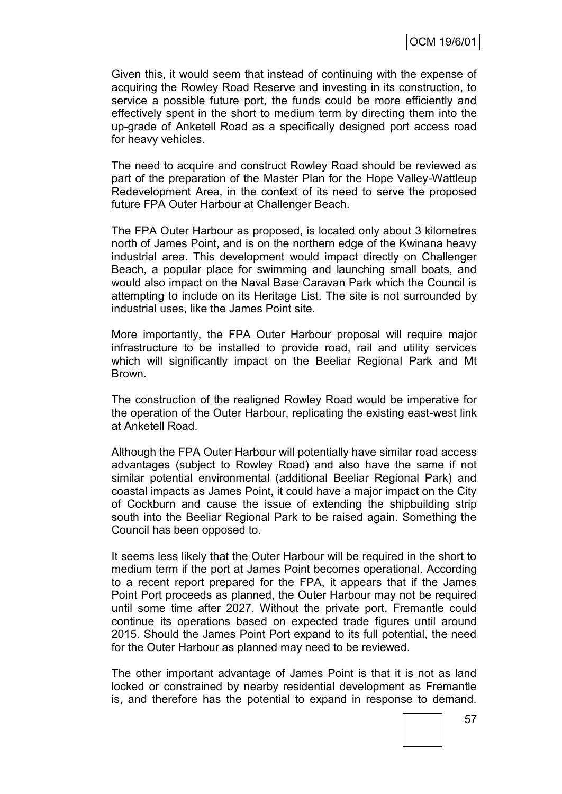Given this, it would seem that instead of continuing with the expense of acquiring the Rowley Road Reserve and investing in its construction, to service a possible future port, the funds could be more efficiently and effectively spent in the short to medium term by directing them into the up-grade of Anketell Road as a specifically designed port access road for heavy vehicles.

The need to acquire and construct Rowley Road should be reviewed as part of the preparation of the Master Plan for the Hope Valley-Wattleup Redevelopment Area, in the context of its need to serve the proposed future FPA Outer Harbour at Challenger Beach.

The FPA Outer Harbour as proposed, is located only about 3 kilometres north of James Point, and is on the northern edge of the Kwinana heavy industrial area. This development would impact directly on Challenger Beach, a popular place for swimming and launching small boats, and would also impact on the Naval Base Caravan Park which the Council is attempting to include on its Heritage List. The site is not surrounded by industrial uses, like the James Point site.

More importantly, the FPA Outer Harbour proposal will require major infrastructure to be installed to provide road, rail and utility services which will significantly impact on the Beeliar Regional Park and Mt Brown.

The construction of the realigned Rowley Road would be imperative for the operation of the Outer Harbour, replicating the existing east-west link at Anketell Road.

Although the FPA Outer Harbour will potentially have similar road access advantages (subject to Rowley Road) and also have the same if not similar potential environmental (additional Beeliar Regional Park) and coastal impacts as James Point, it could have a major impact on the City of Cockburn and cause the issue of extending the shipbuilding strip south into the Beeliar Regional Park to be raised again. Something the Council has been opposed to.

It seems less likely that the Outer Harbour will be required in the short to medium term if the port at James Point becomes operational. According to a recent report prepared for the FPA, it appears that if the James Point Port proceeds as planned, the Outer Harbour may not be required until some time after 2027. Without the private port, Fremantle could continue its operations based on expected trade figures until around 2015. Should the James Point Port expand to its full potential, the need for the Outer Harbour as planned may need to be reviewed.

The other important advantage of James Point is that it is not as land locked or constrained by nearby residential development as Fremantle is, and therefore has the potential to expand in response to demand.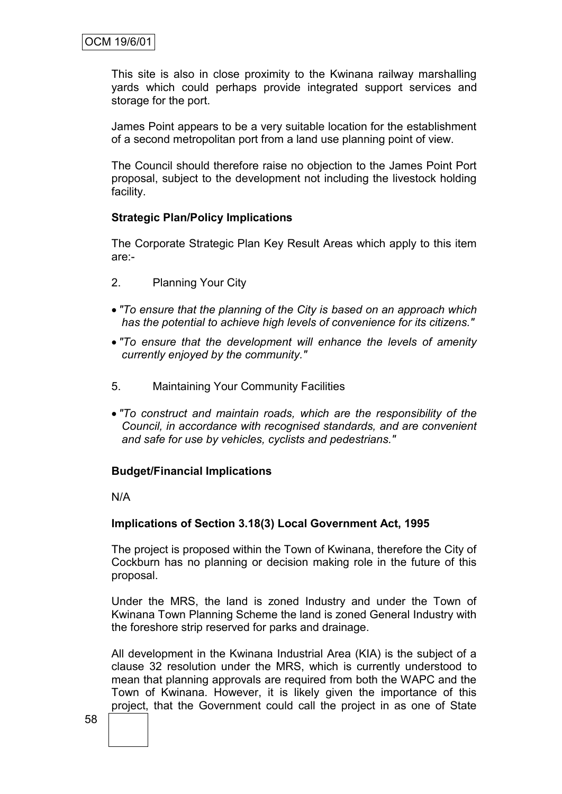This site is also in close proximity to the Kwinana railway marshalling yards which could perhaps provide integrated support services and storage for the port.

James Point appears to be a very suitable location for the establishment of a second metropolitan port from a land use planning point of view.

The Council should therefore raise no objection to the James Point Port proposal, subject to the development not including the livestock holding facility.

## **Strategic Plan/Policy Implications**

The Corporate Strategic Plan Key Result Areas which apply to this item are:-

- 2. Planning Your City
- *"To ensure that the planning of the City is based on an approach which has the potential to achieve high levels of convenience for its citizens."*
- *"To ensure that the development will enhance the levels of amenity currently enjoyed by the community."*
- 5. Maintaining Your Community Facilities
- *"To construct and maintain roads, which are the responsibility of the Council, in accordance with recognised standards, and are convenient and safe for use by vehicles, cyclists and pedestrians."*

#### **Budget/Financial Implications**

N/A

#### **Implications of Section 3.18(3) Local Government Act, 1995**

The project is proposed within the Town of Kwinana, therefore the City of Cockburn has no planning or decision making role in the future of this proposal.

Under the MRS, the land is zoned Industry and under the Town of Kwinana Town Planning Scheme the land is zoned General Industry with the foreshore strip reserved for parks and drainage.

All development in the Kwinana Industrial Area (KIA) is the subject of a clause 32 resolution under the MRS, which is currently understood to mean that planning approvals are required from both the WAPC and the Town of Kwinana. However, it is likely given the importance of this project, that the Government could call the project in as one of State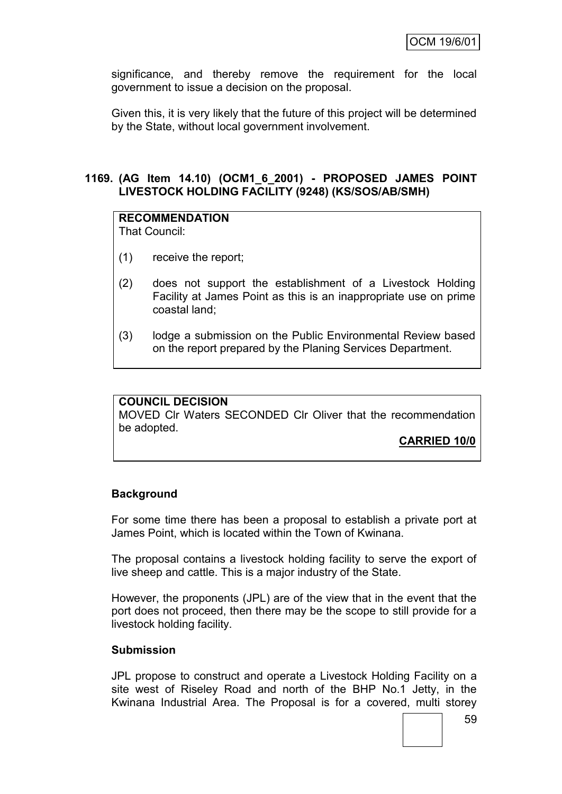significance, and thereby remove the requirement for the local government to issue a decision on the proposal.

Given this, it is very likely that the future of this project will be determined by the State, without local government involvement.

## **1169. (AG Item 14.10) (OCM1\_6\_2001) - PROPOSED JAMES POINT LIVESTOCK HOLDING FACILITY (9248) (KS/SOS/AB/SMH)**

## **RECOMMENDATION**

That Council:

- (1) receive the report;
- (2) does not support the establishment of a Livestock Holding Facility at James Point as this is an inappropriate use on prime coastal land;
- (3) lodge a submission on the Public Environmental Review based on the report prepared by the Planing Services Department.

## **COUNCIL DECISION**

MOVED Clr Waters SECONDED Clr Oliver that the recommendation be adopted.

**CARRIED 10/0**

## **Background**

For some time there has been a proposal to establish a private port at James Point, which is located within the Town of Kwinana.

The proposal contains a livestock holding facility to serve the export of live sheep and cattle. This is a major industry of the State.

However, the proponents (JPL) are of the view that in the event that the port does not proceed, then there may be the scope to still provide for a livestock holding facility.

#### **Submission**

JPL propose to construct and operate a Livestock Holding Facility on a site west of Riseley Road and north of the BHP No.1 Jetty, in the Kwinana Industrial Area. The Proposal is for a covered, multi storey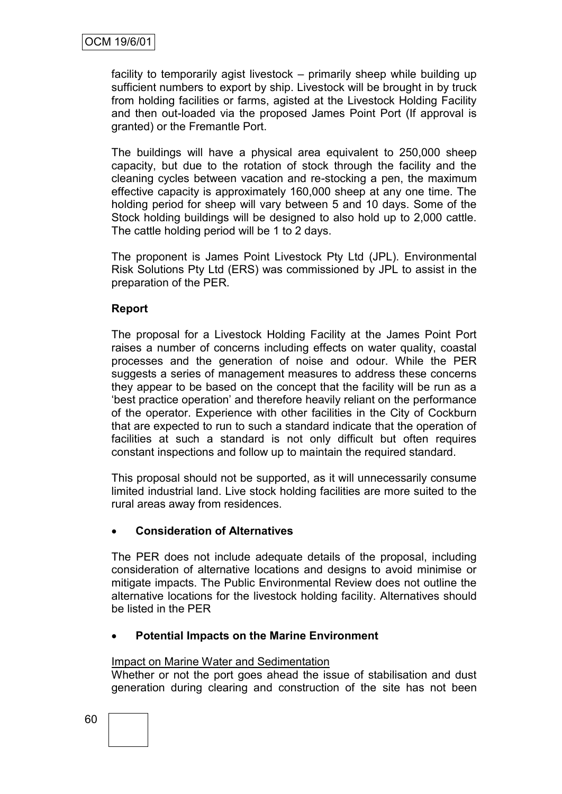facility to temporarily agist livestock – primarily sheep while building up sufficient numbers to export by ship. Livestock will be brought in by truck from holding facilities or farms, agisted at the Livestock Holding Facility and then out-loaded via the proposed James Point Port (If approval is granted) or the Fremantle Port.

The buildings will have a physical area equivalent to 250,000 sheep capacity, but due to the rotation of stock through the facility and the cleaning cycles between vacation and re-stocking a pen, the maximum effective capacity is approximately 160,000 sheep at any one time. The holding period for sheep will vary between 5 and 10 days. Some of the Stock holding buildings will be designed to also hold up to 2,000 cattle. The cattle holding period will be 1 to 2 days.

The proponent is James Point Livestock Pty Ltd (JPL). Environmental Risk Solutions Pty Ltd (ERS) was commissioned by JPL to assist in the preparation of the PER.

## **Report**

The proposal for a Livestock Holding Facility at the James Point Port raises a number of concerns including effects on water quality, coastal processes and the generation of noise and odour. While the PER suggests a series of management measures to address these concerns they appear to be based on the concept that the facility will be run as a "best practice operation" and therefore heavily reliant on the performance of the operator. Experience with other facilities in the City of Cockburn that are expected to run to such a standard indicate that the operation of facilities at such a standard is not only difficult but often requires constant inspections and follow up to maintain the required standard.

This proposal should not be supported, as it will unnecessarily consume limited industrial land. Live stock holding facilities are more suited to the rural areas away from residences.

## **Consideration of Alternatives**

The PER does not include adequate details of the proposal, including consideration of alternative locations and designs to avoid minimise or mitigate impacts. The Public Environmental Review does not outline the alternative locations for the livestock holding facility. Alternatives should be listed in the PER

## **Potential Impacts on the Marine Environment**

## Impact on Marine Water and Sedimentation

Whether or not the port goes ahead the issue of stabilisation and dust generation during clearing and construction of the site has not been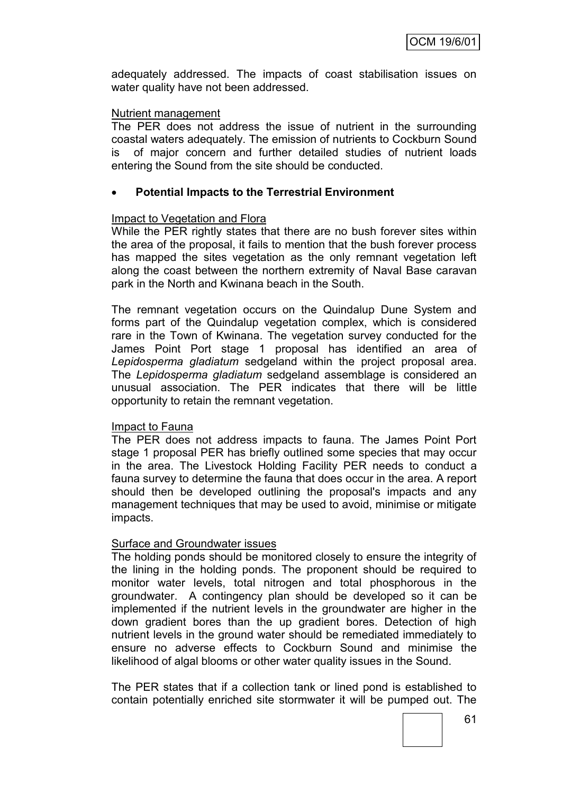adequately addressed. The impacts of coast stabilisation issues on water quality have not been addressed.

### Nutrient management

The PER does not address the issue of nutrient in the surrounding coastal waters adequately. The emission of nutrients to Cockburn Sound is of major concern and further detailed studies of nutrient loads entering the Sound from the site should be conducted.

## **Potential Impacts to the Terrestrial Environment**

## Impact to Vegetation and Flora

While the PER rightly states that there are no bush forever sites within the area of the proposal, it fails to mention that the bush forever process has mapped the sites vegetation as the only remnant vegetation left along the coast between the northern extremity of Naval Base caravan park in the North and Kwinana beach in the South.

The remnant vegetation occurs on the Quindalup Dune System and forms part of the Quindalup vegetation complex, which is considered rare in the Town of Kwinana. The vegetation survey conducted for the James Point Port stage 1 proposal has identified an area of *Lepidosperma gladiatum* sedgeland within the project proposal area. The *Lepidosperma gladiatum* sedgeland assemblage is considered an unusual association. The PER indicates that there will be little opportunity to retain the remnant vegetation.

## Impact to Fauna

The PER does not address impacts to fauna. The James Point Port stage 1 proposal PER has briefly outlined some species that may occur in the area. The Livestock Holding Facility PER needs to conduct a fauna survey to determine the fauna that does occur in the area. A report should then be developed outlining the proposal's impacts and any management techniques that may be used to avoid, minimise or mitigate impacts.

## Surface and Groundwater issues

The holding ponds should be monitored closely to ensure the integrity of the lining in the holding ponds. The proponent should be required to monitor water levels, total nitrogen and total phosphorous in the groundwater. A contingency plan should be developed so it can be implemented if the nutrient levels in the groundwater are higher in the down gradient bores than the up gradient bores. Detection of high nutrient levels in the ground water should be remediated immediately to ensure no adverse effects to Cockburn Sound and minimise the likelihood of algal blooms or other water quality issues in the Sound.

The PER states that if a collection tank or lined pond is established to contain potentially enriched site stormwater it will be pumped out. The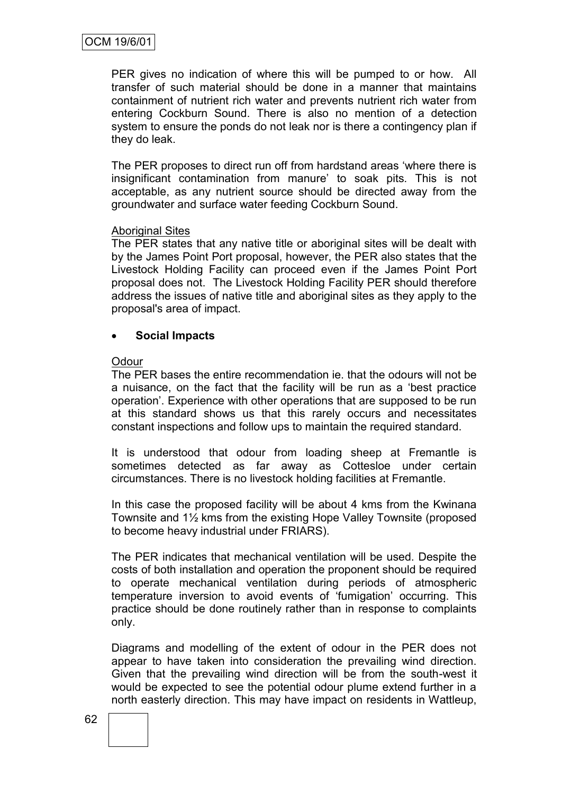PER gives no indication of where this will be pumped to or how. All transfer of such material should be done in a manner that maintains containment of nutrient rich water and prevents nutrient rich water from entering Cockburn Sound. There is also no mention of a detection system to ensure the ponds do not leak nor is there a contingency plan if they do leak.

The PER proposes to direct run off from hardstand areas "where there is insignificant contamination from manure' to soak pits. This is not acceptable, as any nutrient source should be directed away from the groundwater and surface water feeding Cockburn Sound.

#### Aboriginal Sites

The PER states that any native title or aboriginal sites will be dealt with by the James Point Port proposal, however, the PER also states that the Livestock Holding Facility can proceed even if the James Point Port proposal does not. The Livestock Holding Facility PER should therefore address the issues of native title and aboriginal sites as they apply to the proposal's area of impact.

## **Social Impacts**

#### **Odour**

The PER bases the entire recommendation ie. that the odours will not be a nuisance, on the fact that the facility will be run as a "best practice operation". Experience with other operations that are supposed to be run at this standard shows us that this rarely occurs and necessitates constant inspections and follow ups to maintain the required standard.

It is understood that odour from loading sheep at Fremantle is sometimes detected as far away as Cottesloe under certain circumstances. There is no livestock holding facilities at Fremantle.

In this case the proposed facility will be about 4 kms from the Kwinana Townsite and 1½ kms from the existing Hope Valley Townsite (proposed to become heavy industrial under FRIARS).

The PER indicates that mechanical ventilation will be used. Despite the costs of both installation and operation the proponent should be required to operate mechanical ventilation during periods of atmospheric temperature inversion to avoid events of "fumigation" occurring. This practice should be done routinely rather than in response to complaints only.

Diagrams and modelling of the extent of odour in the PER does not appear to have taken into consideration the prevailing wind direction. Given that the prevailing wind direction will be from the south-west it would be expected to see the potential odour plume extend further in a north easterly direction. This may have impact on residents in Wattleup,

62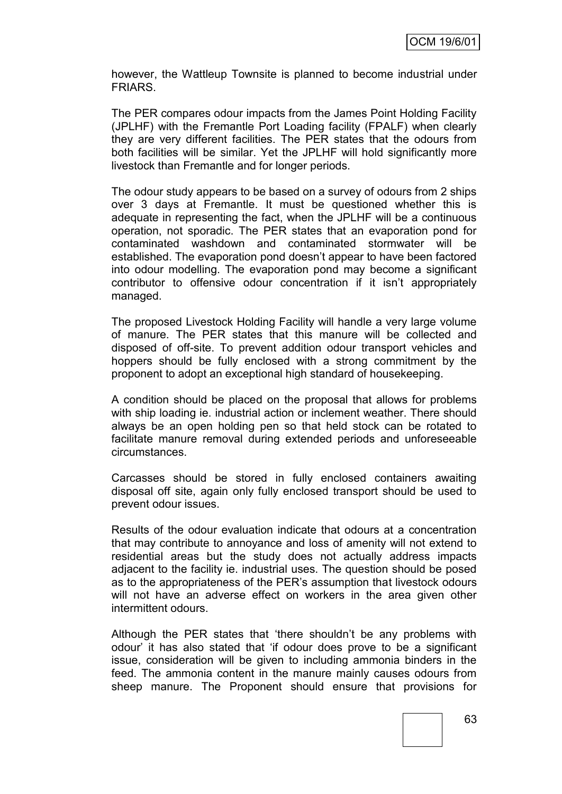however, the Wattleup Townsite is planned to become industrial under FRIARS.

The PER compares odour impacts from the James Point Holding Facility (JPLHF) with the Fremantle Port Loading facility (FPALF) when clearly they are very different facilities. The PER states that the odours from both facilities will be similar. Yet the JPLHF will hold significantly more livestock than Fremantle and for longer periods.

The odour study appears to be based on a survey of odours from 2 ships over 3 days at Fremantle. It must be questioned whether this is adequate in representing the fact, when the JPLHF will be a continuous operation, not sporadic. The PER states that an evaporation pond for contaminated washdown and contaminated stormwater will be established. The evaporation pond doesn"t appear to have been factored into odour modelling. The evaporation pond may become a significant contributor to offensive odour concentration if it isn"t appropriately managed.

The proposed Livestock Holding Facility will handle a very large volume of manure. The PER states that this manure will be collected and disposed of off-site. To prevent addition odour transport vehicles and hoppers should be fully enclosed with a strong commitment by the proponent to adopt an exceptional high standard of housekeeping.

A condition should be placed on the proposal that allows for problems with ship loading ie. industrial action or inclement weather. There should always be an open holding pen so that held stock can be rotated to facilitate manure removal during extended periods and unforeseeable circumstances.

Carcasses should be stored in fully enclosed containers awaiting disposal off site, again only fully enclosed transport should be used to prevent odour issues.

Results of the odour evaluation indicate that odours at a concentration that may contribute to annoyance and loss of amenity will not extend to residential areas but the study does not actually address impacts adjacent to the facility ie. industrial uses. The question should be posed as to the appropriateness of the PER's assumption that livestock odours will not have an adverse effect on workers in the area given other intermittent odours.

Although the PER states that "there shouldn"t be any problems with odour" it has also stated that "if odour does prove to be a significant issue, consideration will be given to including ammonia binders in the feed. The ammonia content in the manure mainly causes odours from sheep manure. The Proponent should ensure that provisions for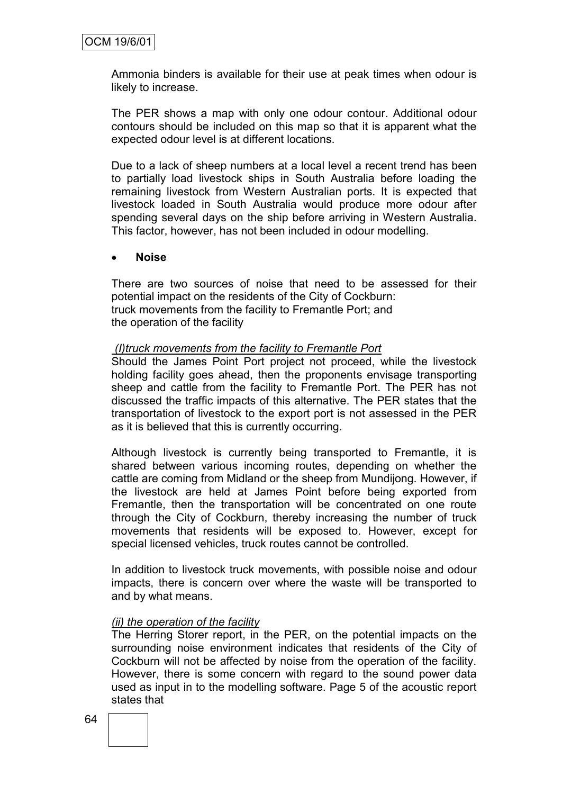Ammonia binders is available for their use at peak times when odour is likely to increase.

The PER shows a map with only one odour contour. Additional odour contours should be included on this map so that it is apparent what the expected odour level is at different locations.

Due to a lack of sheep numbers at a local level a recent trend has been to partially load livestock ships in South Australia before loading the remaining livestock from Western Australian ports. It is expected that livestock loaded in South Australia would produce more odour after spending several days on the ship before arriving in Western Australia. This factor, however, has not been included in odour modelling.

#### **Noise**

There are two sources of noise that need to be assessed for their potential impact on the residents of the City of Cockburn: truck movements from the facility to Fremantle Port; and the operation of the facility

#### *(I)truck movements from the facility to Fremantle Port*

Should the James Point Port project not proceed, while the livestock holding facility goes ahead, then the proponents envisage transporting sheep and cattle from the facility to Fremantle Port. The PER has not discussed the traffic impacts of this alternative. The PER states that the transportation of livestock to the export port is not assessed in the PER as it is believed that this is currently occurring.

Although livestock is currently being transported to Fremantle, it is shared between various incoming routes, depending on whether the cattle are coming from Midland or the sheep from Mundijong. However, if the livestock are held at James Point before being exported from Fremantle, then the transportation will be concentrated on one route through the City of Cockburn, thereby increasing the number of truck movements that residents will be exposed to. However, except for special licensed vehicles, truck routes cannot be controlled.

In addition to livestock truck movements, with possible noise and odour impacts, there is concern over where the waste will be transported to and by what means.

#### *(ii) the operation of the facility*

The Herring Storer report, in the PER, on the potential impacts on the surrounding noise environment indicates that residents of the City of Cockburn will not be affected by noise from the operation of the facility. However, there is some concern with regard to the sound power data used as input in to the modelling software. Page 5 of the acoustic report states that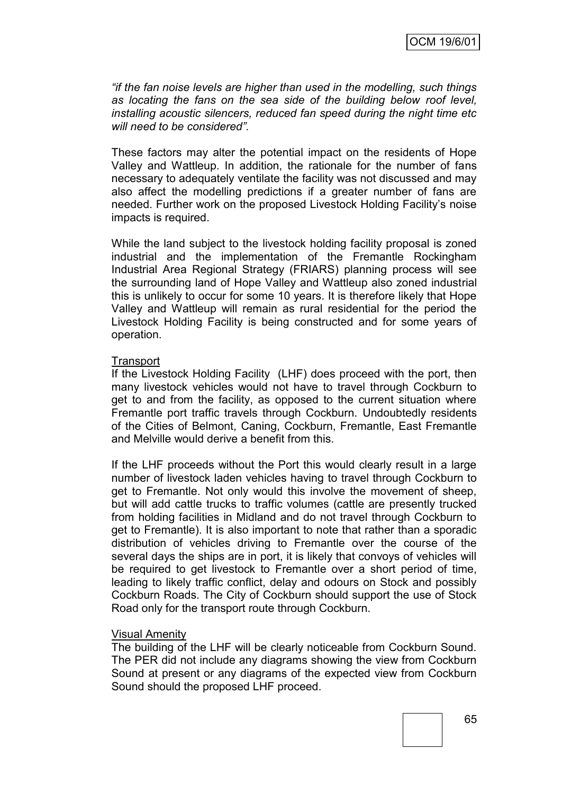*"if the fan noise levels are higher than used in the modelling, such things as locating the fans on the sea side of the building below roof level, installing acoustic silencers, reduced fan speed during the night time etc will need to be considered".*

These factors may alter the potential impact on the residents of Hope Valley and Wattleup. In addition, the rationale for the number of fans necessary to adequately ventilate the facility was not discussed and may also affect the modelling predictions if a greater number of fans are needed. Further work on the proposed Livestock Holding Facility"s noise impacts is required.

While the land subject to the livestock holding facility proposal is zoned industrial and the implementation of the Fremantle Rockingham Industrial Area Regional Strategy (FRIARS) planning process will see the surrounding land of Hope Valley and Wattleup also zoned industrial this is unlikely to occur for some 10 years. It is therefore likely that Hope Valley and Wattleup will remain as rural residential for the period the Livestock Holding Facility is being constructed and for some years of operation.

#### **Transport**

If the Livestock Holding Facility (LHF) does proceed with the port, then many livestock vehicles would not have to travel through Cockburn to get to and from the facility, as opposed to the current situation where Fremantle port traffic travels through Cockburn. Undoubtedly residents of the Cities of Belmont, Caning, Cockburn, Fremantle, East Fremantle and Melville would derive a benefit from this.

If the LHF proceeds without the Port this would clearly result in a large number of livestock laden vehicles having to travel through Cockburn to get to Fremantle. Not only would this involve the movement of sheep, but will add cattle trucks to traffic volumes (cattle are presently trucked from holding facilities in Midland and do not travel through Cockburn to get to Fremantle). It is also important to note that rather than a sporadic distribution of vehicles driving to Fremantle over the course of the several days the ships are in port, it is likely that convoys of vehicles will be required to get livestock to Fremantle over a short period of time, leading to likely traffic conflict, delay and odours on Stock and possibly Cockburn Roads. The City of Cockburn should support the use of Stock Road only for the transport route through Cockburn.

#### Visual Amenity

The building of the LHF will be clearly noticeable from Cockburn Sound. The PER did not include any diagrams showing the view from Cockburn Sound at present or any diagrams of the expected view from Cockburn Sound should the proposed LHF proceed.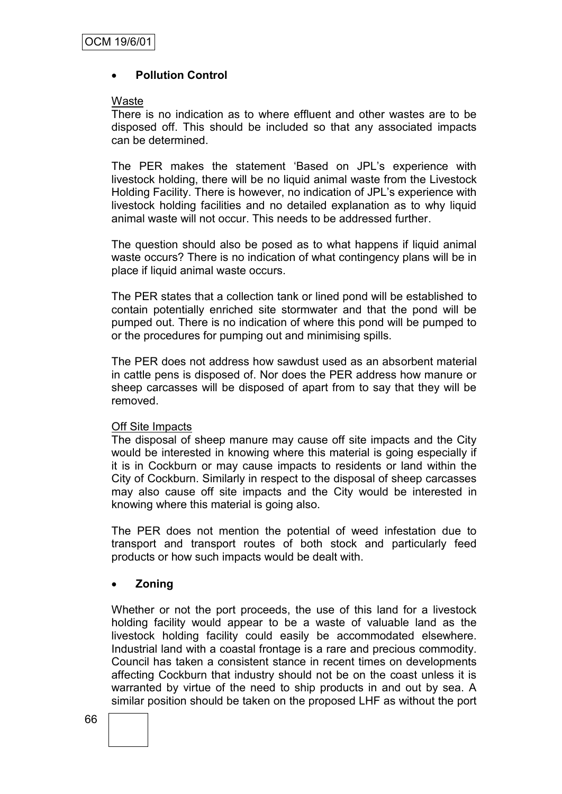## **Pollution Control**

#### **Waste**

There is no indication as to where effluent and other wastes are to be disposed off. This should be included so that any associated impacts can be determined.

The PER makes the statement "Based on JPL"s experience with livestock holding, there will be no liquid animal waste from the Livestock Holding Facility. There is however, no indication of JPL"s experience with livestock holding facilities and no detailed explanation as to why liquid animal waste will not occur. This needs to be addressed further.

The question should also be posed as to what happens if liquid animal waste occurs? There is no indication of what contingency plans will be in place if liquid animal waste occurs.

The PER states that a collection tank or lined pond will be established to contain potentially enriched site stormwater and that the pond will be pumped out. There is no indication of where this pond will be pumped to or the procedures for pumping out and minimising spills.

The PER does not address how sawdust used as an absorbent material in cattle pens is disposed of. Nor does the PER address how manure or sheep carcasses will be disposed of apart from to say that they will be removed.

#### Off Site Impacts

The disposal of sheep manure may cause off site impacts and the City would be interested in knowing where this material is going especially if it is in Cockburn or may cause impacts to residents or land within the City of Cockburn. Similarly in respect to the disposal of sheep carcasses may also cause off site impacts and the City would be interested in knowing where this material is going also.

The PER does not mention the potential of weed infestation due to transport and transport routes of both stock and particularly feed products or how such impacts would be dealt with.

## **Zoning**

Whether or not the port proceeds, the use of this land for a livestock holding facility would appear to be a waste of valuable land as the livestock holding facility could easily be accommodated elsewhere. Industrial land with a coastal frontage is a rare and precious commodity. Council has taken a consistent stance in recent times on developments affecting Cockburn that industry should not be on the coast unless it is warranted by virtue of the need to ship products in and out by sea. A similar position should be taken on the proposed LHF as without the port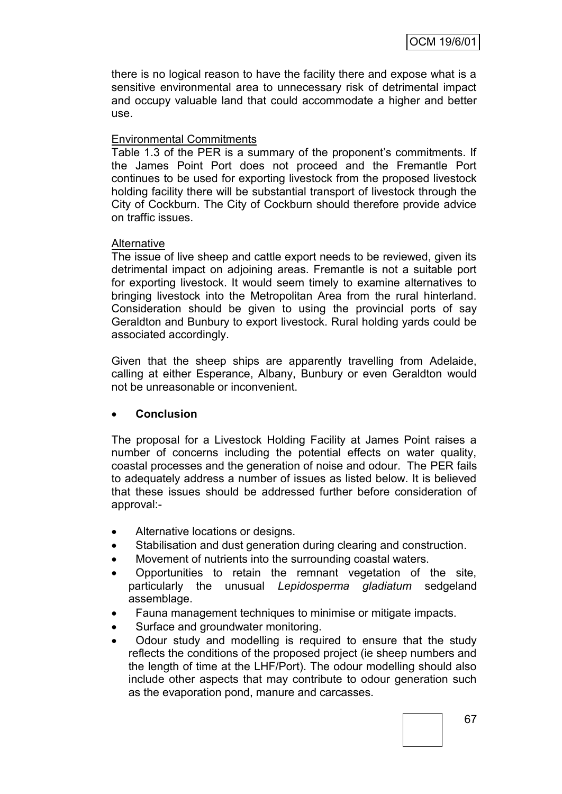there is no logical reason to have the facility there and expose what is a sensitive environmental area to unnecessary risk of detrimental impact and occupy valuable land that could accommodate a higher and better use.

## Environmental Commitments

Table 1.3 of the PER is a summary of the proponent's commitments. If the James Point Port does not proceed and the Fremantle Port continues to be used for exporting livestock from the proposed livestock holding facility there will be substantial transport of livestock through the City of Cockburn. The City of Cockburn should therefore provide advice on traffic issues.

## **Alternative**

The issue of live sheep and cattle export needs to be reviewed, given its detrimental impact on adjoining areas. Fremantle is not a suitable port for exporting livestock. It would seem timely to examine alternatives to bringing livestock into the Metropolitan Area from the rural hinterland. Consideration should be given to using the provincial ports of say Geraldton and Bunbury to export livestock. Rural holding yards could be associated accordingly.

Given that the sheep ships are apparently travelling from Adelaide, calling at either Esperance, Albany, Bunbury or even Geraldton would not be unreasonable or inconvenient.

## **Conclusion**

The proposal for a Livestock Holding Facility at James Point raises a number of concerns including the potential effects on water quality, coastal processes and the generation of noise and odour. The PER fails to adequately address a number of issues as listed below. It is believed that these issues should be addressed further before consideration of approval:-

- Alternative locations or designs.
- Stabilisation and dust generation during clearing and construction.
- Movement of nutrients into the surrounding coastal waters.
- Opportunities to retain the remnant vegetation of the site, particularly the unusual *Lepidosperma gladiatum* sedgeland assemblage.
- Fauna management techniques to minimise or mitigate impacts.
- Surface and groundwater monitoring.
- Odour study and modelling is required to ensure that the study reflects the conditions of the proposed project (ie sheep numbers and the length of time at the LHF/Port). The odour modelling should also include other aspects that may contribute to odour generation such as the evaporation pond, manure and carcasses.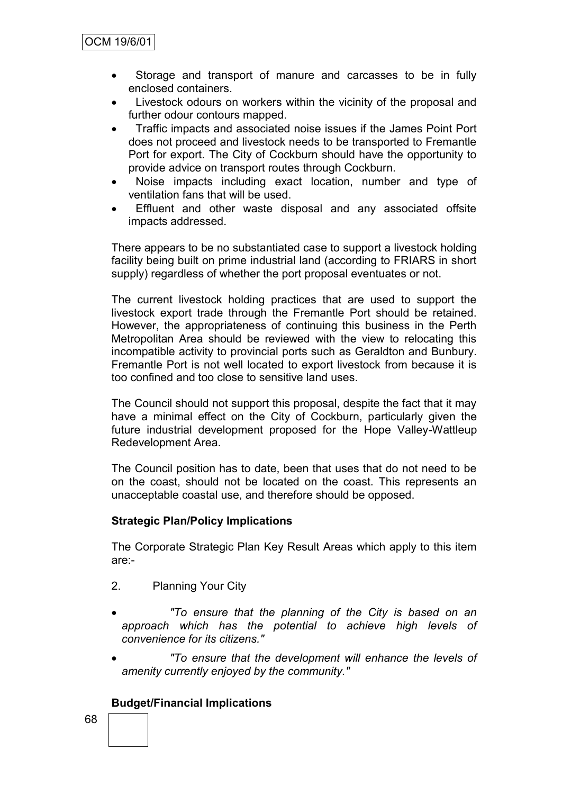- Storage and transport of manure and carcasses to be in fully enclosed containers.
- Livestock odours on workers within the vicinity of the proposal and further odour contours mapped.
- Traffic impacts and associated noise issues if the James Point Port does not proceed and livestock needs to be transported to Fremantle Port for export. The City of Cockburn should have the opportunity to provide advice on transport routes through Cockburn.
- Noise impacts including exact location, number and type of ventilation fans that will be used.
- Effluent and other waste disposal and any associated offsite impacts addressed.

There appears to be no substantiated case to support a livestock holding facility being built on prime industrial land (according to FRIARS in short supply) regardless of whether the port proposal eventuates or not.

The current livestock holding practices that are used to support the livestock export trade through the Fremantle Port should be retained. However, the appropriateness of continuing this business in the Perth Metropolitan Area should be reviewed with the view to relocating this incompatible activity to provincial ports such as Geraldton and Bunbury. Fremantle Port is not well located to export livestock from because it is too confined and too close to sensitive land uses.

The Council should not support this proposal, despite the fact that it may have a minimal effect on the City of Cockburn, particularly given the future industrial development proposed for the Hope Valley-Wattleup Redevelopment Area.

The Council position has to date, been that uses that do not need to be on the coast, should not be located on the coast. This represents an unacceptable coastal use, and therefore should be opposed.

## **Strategic Plan/Policy Implications**

The Corporate Strategic Plan Key Result Areas which apply to this item are:-

- 2. Planning Your City
- *"To ensure that the planning of the City is based on an approach which has the potential to achieve high levels of convenience for its citizens."*
- *"To ensure that the development will enhance the levels of amenity currently enjoyed by the community."*

## **Budget/Financial Implications**

68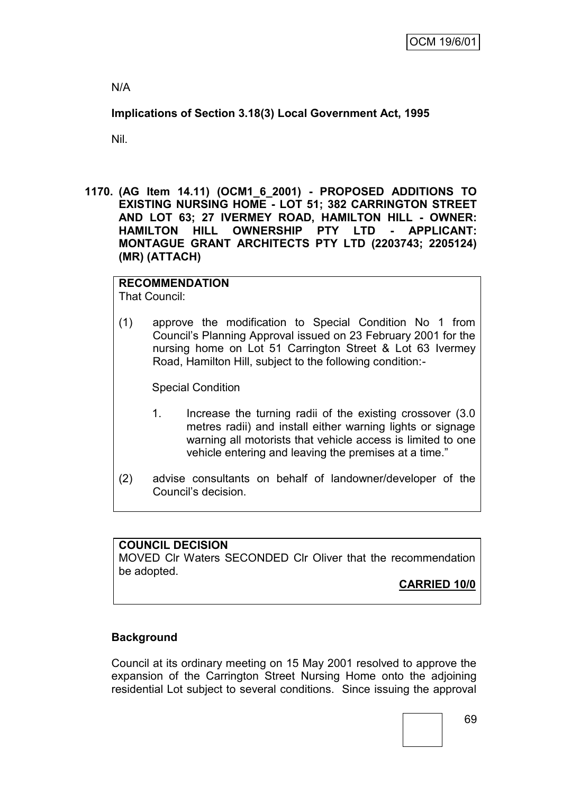N/A

**Implications of Section 3.18(3) Local Government Act, 1995**

Nil.

**1170. (AG Item 14.11) (OCM1\_6\_2001) - PROPOSED ADDITIONS TO EXISTING NURSING HOME - LOT 51; 382 CARRINGTON STREET AND LOT 63; 27 IVERMEY ROAD, HAMILTON HILL - OWNER: HAMILTON HILL OWNERSHIP PTY LTD - APPLICANT: MONTAGUE GRANT ARCHITECTS PTY LTD (2203743; 2205124) (MR) (ATTACH)**

# **RECOMMENDATION**

That Council:

(1) approve the modification to Special Condition No 1 from Council"s Planning Approval issued on 23 February 2001 for the nursing home on Lot 51 Carrington Street & Lot 63 Ivermey Road, Hamilton Hill, subject to the following condition:-

Special Condition

- 1. Increase the turning radii of the existing crossover (3.0 metres radii) and install either warning lights or signage warning all motorists that vehicle access is limited to one vehicle entering and leaving the premises at a time."
- (2) advise consultants on behalf of landowner/developer of the Council"s decision.

## **COUNCIL DECISION**

MOVED Clr Waters SECONDED Clr Oliver that the recommendation be adopted.

**CARRIED 10/0**

## **Background**

Council at its ordinary meeting on 15 May 2001 resolved to approve the expansion of the Carrington Street Nursing Home onto the adjoining residential Lot subject to several conditions. Since issuing the approval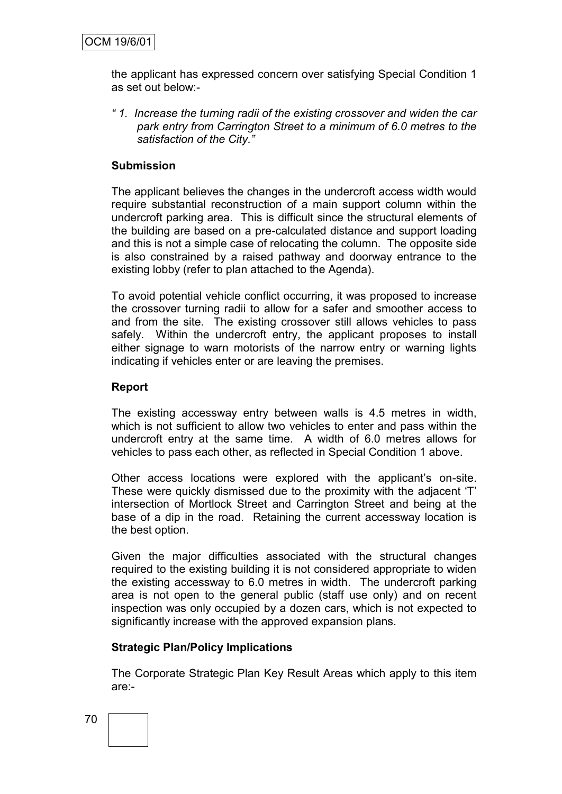the applicant has expressed concern over satisfying Special Condition 1 as set out below:-

*" 1. Increase the turning radii of the existing crossover and widen the car park entry from Carrington Street to a minimum of 6.0 metres to the satisfaction of the City."*

#### **Submission**

The applicant believes the changes in the undercroft access width would require substantial reconstruction of a main support column within the undercroft parking area. This is difficult since the structural elements of the building are based on a pre-calculated distance and support loading and this is not a simple case of relocating the column. The opposite side is also constrained by a raised pathway and doorway entrance to the existing lobby (refer to plan attached to the Agenda).

To avoid potential vehicle conflict occurring, it was proposed to increase the crossover turning radii to allow for a safer and smoother access to and from the site. The existing crossover still allows vehicles to pass safely. Within the undercroft entry, the applicant proposes to install either signage to warn motorists of the narrow entry or warning lights indicating if vehicles enter or are leaving the premises.

#### **Report**

The existing accessway entry between walls is 4.5 metres in width, which is not sufficient to allow two vehicles to enter and pass within the undercroft entry at the same time. A width of 6.0 metres allows for vehicles to pass each other, as reflected in Special Condition 1 above.

Other access locations were explored with the applicant"s on-site. These were quickly dismissed due to the proximity with the adjacent "T" intersection of Mortlock Street and Carrington Street and being at the base of a dip in the road. Retaining the current accessway location is the best option.

Given the major difficulties associated with the structural changes required to the existing building it is not considered appropriate to widen the existing accessway to 6.0 metres in width. The undercroft parking area is not open to the general public (staff use only) and on recent inspection was only occupied by a dozen cars, which is not expected to significantly increase with the approved expansion plans.

#### **Strategic Plan/Policy Implications**

The Corporate Strategic Plan Key Result Areas which apply to this item are:-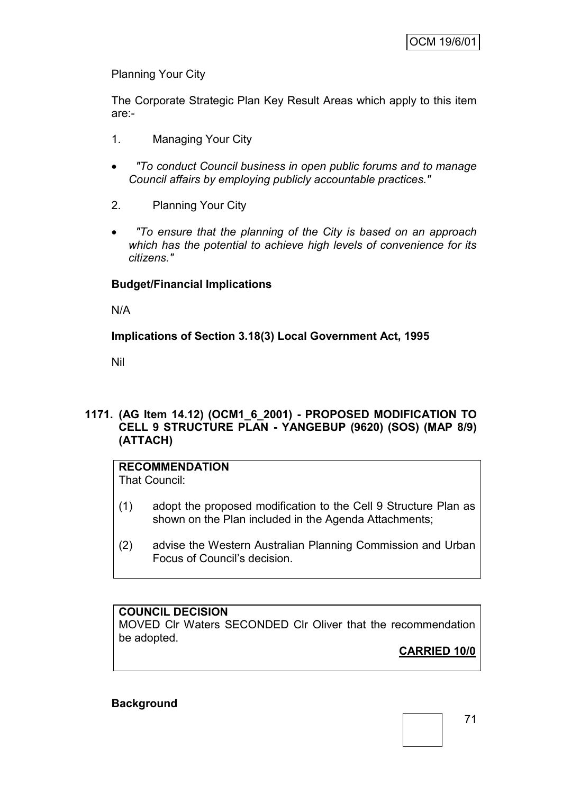Planning Your City

The Corporate Strategic Plan Key Result Areas which apply to this item are:-

- 1. Managing Your City
- *"To conduct Council business in open public forums and to manage Council affairs by employing publicly accountable practices."*
- 2. Planning Your City
- *"To ensure that the planning of the City is based on an approach which has the potential to achieve high levels of convenience for its citizens."*

#### **Budget/Financial Implications**

N/A

**Implications of Section 3.18(3) Local Government Act, 1995**

Nil

#### **1171. (AG Item 14.12) (OCM1\_6\_2001) - PROPOSED MODIFICATION TO CELL 9 STRUCTURE PLAN - YANGEBUP (9620) (SOS) (MAP 8/9) (ATTACH)**

## **RECOMMENDATION**

That Council:

- (1) adopt the proposed modification to the Cell 9 Structure Plan as shown on the Plan included in the Agenda Attachments;
- (2) advise the Western Australian Planning Commission and Urban Focus of Council"s decision.

## **COUNCIL DECISION**

MOVED Clr Waters SECONDED Clr Oliver that the recommendation be adopted.

**CARRIED 10/0**

#### **Background**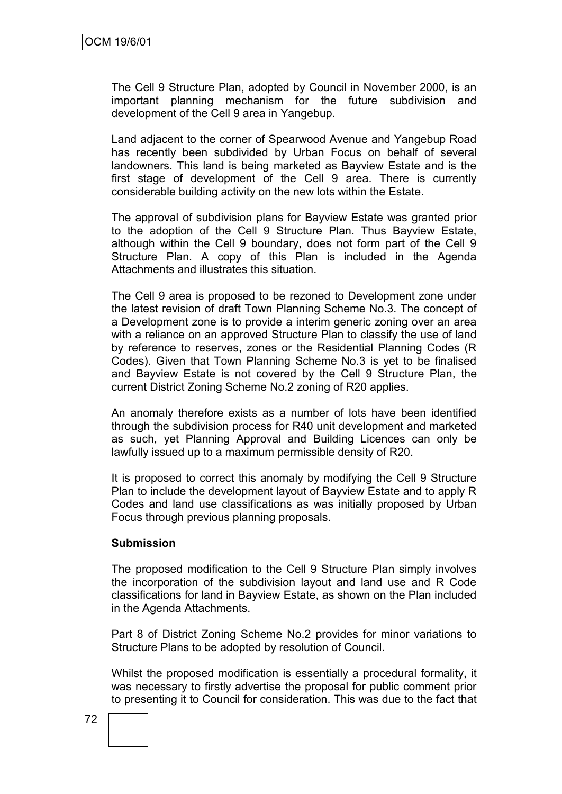The Cell 9 Structure Plan, adopted by Council in November 2000, is an important planning mechanism for the future subdivision and development of the Cell 9 area in Yangebup.

Land adjacent to the corner of Spearwood Avenue and Yangebup Road has recently been subdivided by Urban Focus on behalf of several landowners. This land is being marketed as Bayview Estate and is the first stage of development of the Cell 9 area. There is currently considerable building activity on the new lots within the Estate.

The approval of subdivision plans for Bayview Estate was granted prior to the adoption of the Cell 9 Structure Plan. Thus Bayview Estate, although within the Cell 9 boundary, does not form part of the Cell 9 Structure Plan. A copy of this Plan is included in the Agenda Attachments and illustrates this situation.

The Cell 9 area is proposed to be rezoned to Development zone under the latest revision of draft Town Planning Scheme No.3. The concept of a Development zone is to provide a interim generic zoning over an area with a reliance on an approved Structure Plan to classify the use of land by reference to reserves, zones or the Residential Planning Codes (R Codes). Given that Town Planning Scheme No.3 is yet to be finalised and Bayview Estate is not covered by the Cell 9 Structure Plan, the current District Zoning Scheme No.2 zoning of R20 applies.

An anomaly therefore exists as a number of lots have been identified through the subdivision process for R40 unit development and marketed as such, yet Planning Approval and Building Licences can only be lawfully issued up to a maximum permissible density of R20.

It is proposed to correct this anomaly by modifying the Cell 9 Structure Plan to include the development layout of Bayview Estate and to apply R Codes and land use classifications as was initially proposed by Urban Focus through previous planning proposals.

#### **Submission**

The proposed modification to the Cell 9 Structure Plan simply involves the incorporation of the subdivision layout and land use and R Code classifications for land in Bayview Estate, as shown on the Plan included in the Agenda Attachments.

Part 8 of District Zoning Scheme No.2 provides for minor variations to Structure Plans to be adopted by resolution of Council.

Whilst the proposed modification is essentially a procedural formality, it was necessary to firstly advertise the proposal for public comment prior to presenting it to Council for consideration. This was due to the fact that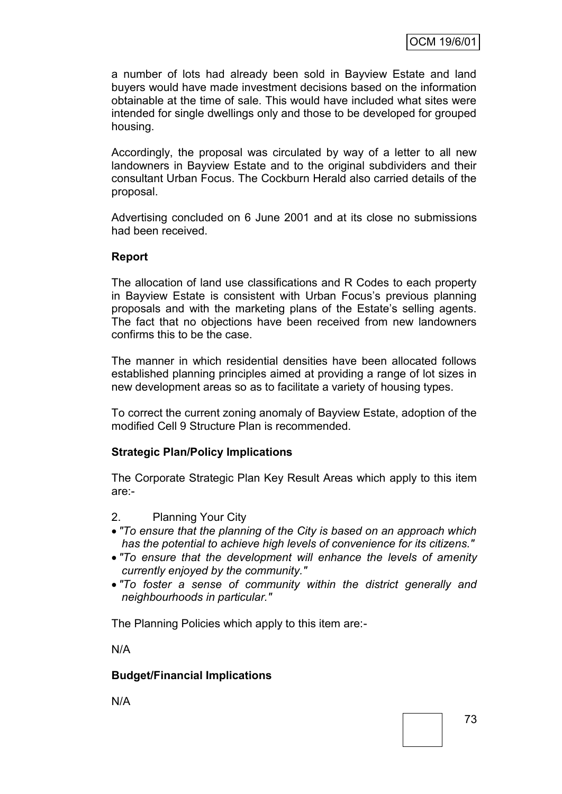a number of lots had already been sold in Bayview Estate and land buyers would have made investment decisions based on the information obtainable at the time of sale. This would have included what sites were intended for single dwellings only and those to be developed for grouped housing.

Accordingly, the proposal was circulated by way of a letter to all new landowners in Bayview Estate and to the original subdividers and their consultant Urban Focus. The Cockburn Herald also carried details of the proposal.

Advertising concluded on 6 June 2001 and at its close no submissions had been received.

## **Report**

The allocation of land use classifications and R Codes to each property in Bayview Estate is consistent with Urban Focus"s previous planning proposals and with the marketing plans of the Estate"s selling agents. The fact that no objections have been received from new landowners confirms this to be the case.

The manner in which residential densities have been allocated follows established planning principles aimed at providing a range of lot sizes in new development areas so as to facilitate a variety of housing types.

To correct the current zoning anomaly of Bayview Estate, adoption of the modified Cell 9 Structure Plan is recommended.

## **Strategic Plan/Policy Implications**

The Corporate Strategic Plan Key Result Areas which apply to this item are:-

- 2. Planning Your City
- *"To ensure that the planning of the City is based on an approach which has the potential to achieve high levels of convenience for its citizens."*
- *"To ensure that the development will enhance the levels of amenity currently enjoyed by the community."*
- *"To foster a sense of community within the district generally and neighbourhoods in particular."*

The Planning Policies which apply to this item are:-

N/A

#### **Budget/Financial Implications**

N/A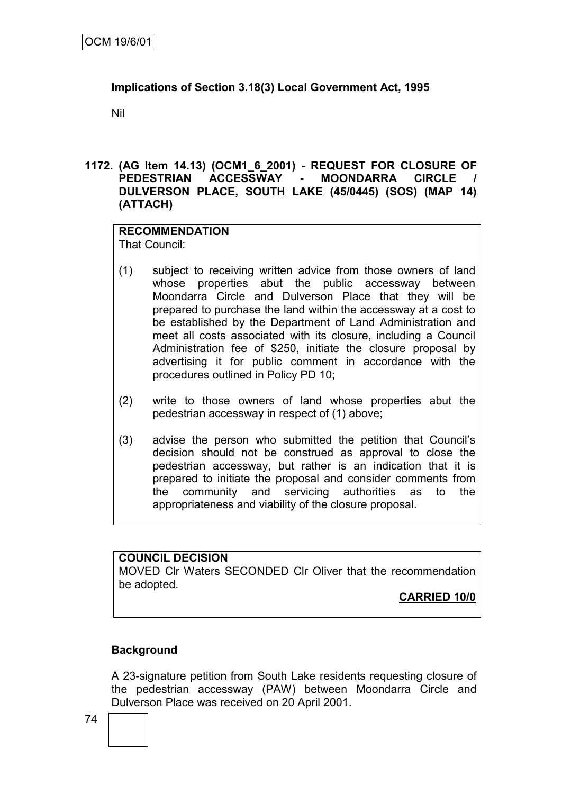## **Implications of Section 3.18(3) Local Government Act, 1995**

Nil

#### **1172. (AG Item 14.13) (OCM1\_6\_2001) - REQUEST FOR CLOSURE OF PEDESTRIAN ACCESSWAY - MOONDARRA CIRCLE / DULVERSON PLACE, SOUTH LAKE (45/0445) (SOS) (MAP 14) (ATTACH)**

#### **RECOMMENDATION** That Council:

- (1) subject to receiving written advice from those owners of land whose properties abut the public accessway between Moondarra Circle and Dulverson Place that they will be prepared to purchase the land within the accessway at a cost to be established by the Department of Land Administration and meet all costs associated with its closure, including a Council Administration fee of \$250, initiate the closure proposal by advertising it for public comment in accordance with the procedures outlined in Policy PD 10;
- (2) write to those owners of land whose properties abut the pedestrian accessway in respect of (1) above;
- (3) advise the person who submitted the petition that Council"s decision should not be construed as approval to close the pedestrian accessway, but rather is an indication that it is prepared to initiate the proposal and consider comments from the community and servicing authorities as to the appropriateness and viability of the closure proposal.

#### **COUNCIL DECISION**

MOVED Clr Waters SECONDED Clr Oliver that the recommendation be adopted.

**CARRIED 10/0**

## **Background**

A 23-signature petition from South Lake residents requesting closure of the pedestrian accessway (PAW) between Moondarra Circle and Dulverson Place was received on 20 April 2001.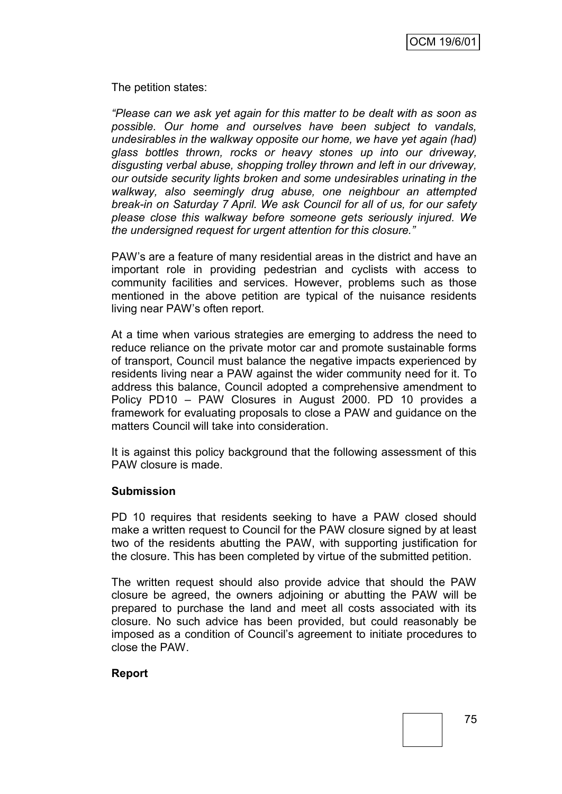The petition states:

*"Please can we ask yet again for this matter to be dealt with as soon as possible. Our home and ourselves have been subject to vandals, undesirables in the walkway opposite our home, we have yet again (had) glass bottles thrown, rocks or heavy stones up into our driveway, disgusting verbal abuse, shopping trolley thrown and left in our driveway, our outside security lights broken and some undesirables urinating in the walkway, also seemingly drug abuse, one neighbour an attempted break-in on Saturday 7 April. We ask Council for all of us, for our safety please close this walkway before someone gets seriously injured. We the undersigned request for urgent attention for this closure."* 

PAW"s are a feature of many residential areas in the district and have an important role in providing pedestrian and cyclists with access to community facilities and services. However, problems such as those mentioned in the above petition are typical of the nuisance residents living near PAW"s often report.

At a time when various strategies are emerging to address the need to reduce reliance on the private motor car and promote sustainable forms of transport, Council must balance the negative impacts experienced by residents living near a PAW against the wider community need for it. To address this balance, Council adopted a comprehensive amendment to Policy PD10 – PAW Closures in August 2000. PD 10 provides a framework for evaluating proposals to close a PAW and guidance on the matters Council will take into consideration.

It is against this policy background that the following assessment of this PAW closure is made.

#### **Submission**

PD 10 requires that residents seeking to have a PAW closed should make a written request to Council for the PAW closure signed by at least two of the residents abutting the PAW, with supporting justification for the closure. This has been completed by virtue of the submitted petition.

The written request should also provide advice that should the PAW closure be agreed, the owners adjoining or abutting the PAW will be prepared to purchase the land and meet all costs associated with its closure. No such advice has been provided, but could reasonably be imposed as a condition of Council"s agreement to initiate procedures to close the PAW.

#### **Report**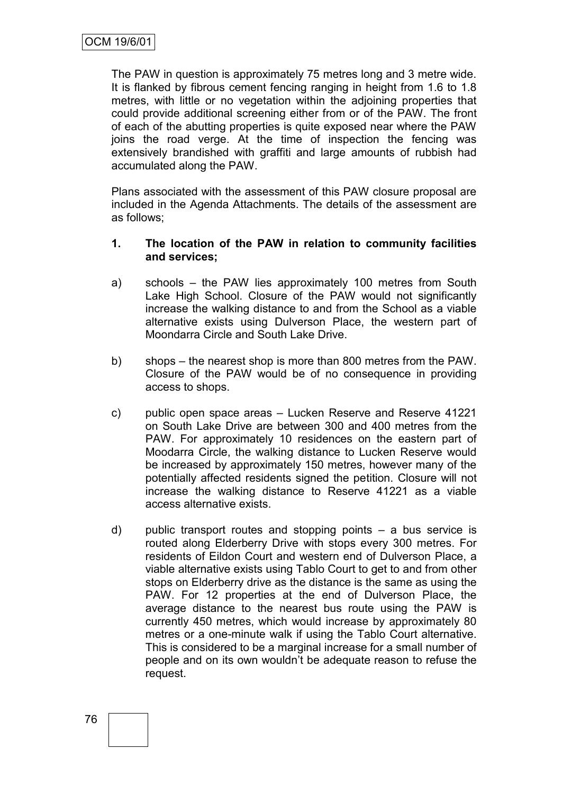The PAW in question is approximately 75 metres long and 3 metre wide. It is flanked by fibrous cement fencing ranging in height from 1.6 to 1.8 metres, with little or no vegetation within the adjoining properties that could provide additional screening either from or of the PAW. The front of each of the abutting properties is quite exposed near where the PAW joins the road verge. At the time of inspection the fencing was extensively brandished with graffiti and large amounts of rubbish had accumulated along the PAW.

Plans associated with the assessment of this PAW closure proposal are included in the Agenda Attachments. The details of the assessment are as follows;

#### **1. The location of the PAW in relation to community facilities and services;**

- a) schools the PAW lies approximately 100 metres from South Lake High School. Closure of the PAW would not significantly increase the walking distance to and from the School as a viable alternative exists using Dulverson Place, the western part of Moondarra Circle and South Lake Drive.
- b) shops the nearest shop is more than 800 metres from the PAW. Closure of the PAW would be of no consequence in providing access to shops.
- c) public open space areas Lucken Reserve and Reserve 41221 on South Lake Drive are between 300 and 400 metres from the PAW. For approximately 10 residences on the eastern part of Moodarra Circle, the walking distance to Lucken Reserve would be increased by approximately 150 metres, however many of the potentially affected residents signed the petition. Closure will not increase the walking distance to Reserve 41221 as a viable access alternative exists.
- d) public transport routes and stopping points a bus service is routed along Elderberry Drive with stops every 300 metres. For residents of Eildon Court and western end of Dulverson Place, a viable alternative exists using Tablo Court to get to and from other stops on Elderberry drive as the distance is the same as using the PAW. For 12 properties at the end of Dulverson Place, the average distance to the nearest bus route using the PAW is currently 450 metres, which would increase by approximately 80 metres or a one-minute walk if using the Tablo Court alternative. This is considered to be a marginal increase for a small number of people and on its own wouldn"t be adequate reason to refuse the request.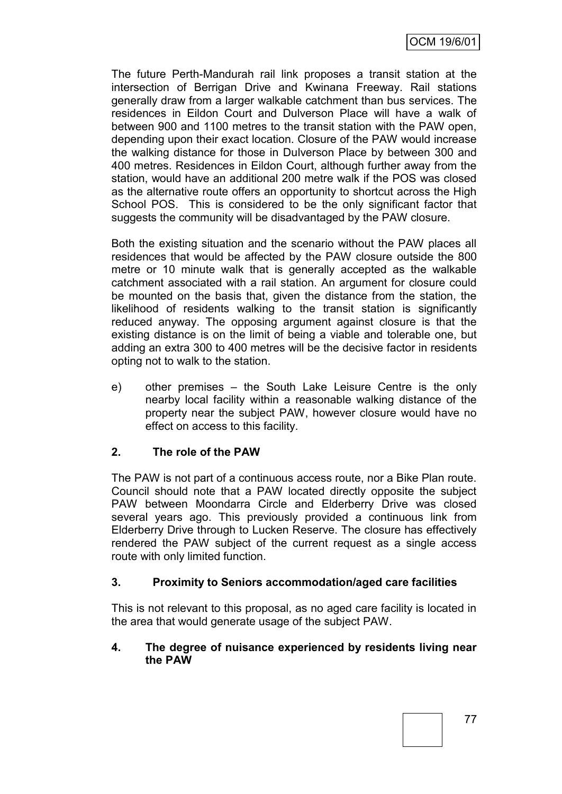The future Perth-Mandurah rail link proposes a transit station at the intersection of Berrigan Drive and Kwinana Freeway. Rail stations generally draw from a larger walkable catchment than bus services. The residences in Eildon Court and Dulverson Place will have a walk of between 900 and 1100 metres to the transit station with the PAW open, depending upon their exact location. Closure of the PAW would increase the walking distance for those in Dulverson Place by between 300 and 400 metres. Residences in Eildon Court, although further away from the station, would have an additional 200 metre walk if the POS was closed as the alternative route offers an opportunity to shortcut across the High School POS. This is considered to be the only significant factor that suggests the community will be disadvantaged by the PAW closure.

Both the existing situation and the scenario without the PAW places all residences that would be affected by the PAW closure outside the 800 metre or 10 minute walk that is generally accepted as the walkable catchment associated with a rail station. An argument for closure could be mounted on the basis that, given the distance from the station, the likelihood of residents walking to the transit station is significantly reduced anyway. The opposing argument against closure is that the existing distance is on the limit of being a viable and tolerable one, but adding an extra 300 to 400 metres will be the decisive factor in residents opting not to walk to the station.

e) other premises – the South Lake Leisure Centre is the only nearby local facility within a reasonable walking distance of the property near the subject PAW, however closure would have no effect on access to this facility.

## **2. The role of the PAW**

The PAW is not part of a continuous access route, nor a Bike Plan route. Council should note that a PAW located directly opposite the subject PAW between Moondarra Circle and Elderberry Drive was closed several years ago. This previously provided a continuous link from Elderberry Drive through to Lucken Reserve. The closure has effectively rendered the PAW subject of the current request as a single access route with only limited function.

## **3. Proximity to Seniors accommodation/aged care facilities**

This is not relevant to this proposal, as no aged care facility is located in the area that would generate usage of the subject PAW.

#### **4. The degree of nuisance experienced by residents living near the PAW**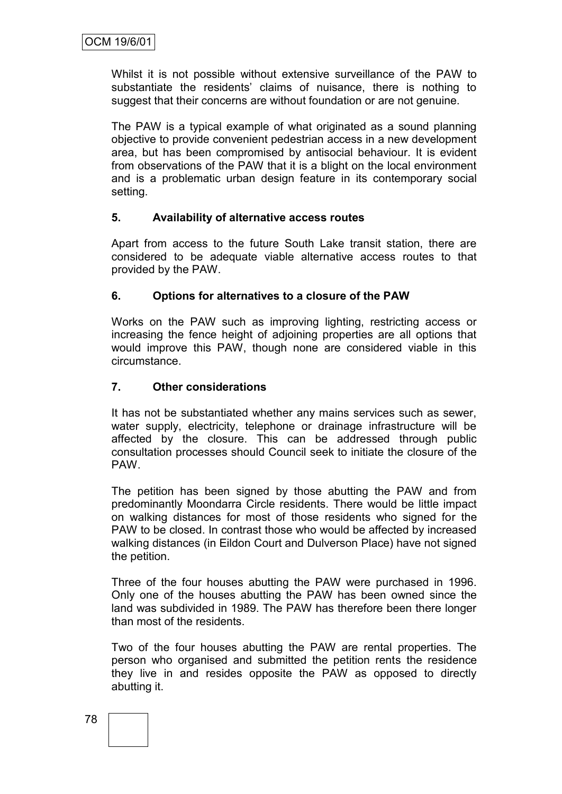Whilst it is not possible without extensive surveillance of the PAW to substantiate the residents' claims of nuisance, there is nothing to suggest that their concerns are without foundation or are not genuine.

The PAW is a typical example of what originated as a sound planning objective to provide convenient pedestrian access in a new development area, but has been compromised by antisocial behaviour. It is evident from observations of the PAW that it is a blight on the local environment and is a problematic urban design feature in its contemporary social setting.

## **5. Availability of alternative access routes**

Apart from access to the future South Lake transit station, there are considered to be adequate viable alternative access routes to that provided by the PAW.

## **6. Options for alternatives to a closure of the PAW**

Works on the PAW such as improving lighting, restricting access or increasing the fence height of adjoining properties are all options that would improve this PAW, though none are considered viable in this circumstance.

#### **7. Other considerations**

It has not be substantiated whether any mains services such as sewer, water supply, electricity, telephone or drainage infrastructure will be affected by the closure. This can be addressed through public consultation processes should Council seek to initiate the closure of the PAW.

The petition has been signed by those abutting the PAW and from predominantly Moondarra Circle residents. There would be little impact on walking distances for most of those residents who signed for the PAW to be closed. In contrast those who would be affected by increased walking distances (in Eildon Court and Dulverson Place) have not signed the petition.

Three of the four houses abutting the PAW were purchased in 1996. Only one of the houses abutting the PAW has been owned since the land was subdivided in 1989. The PAW has therefore been there longer than most of the residents.

Two of the four houses abutting the PAW are rental properties. The person who organised and submitted the petition rents the residence they live in and resides opposite the PAW as opposed to directly abutting it.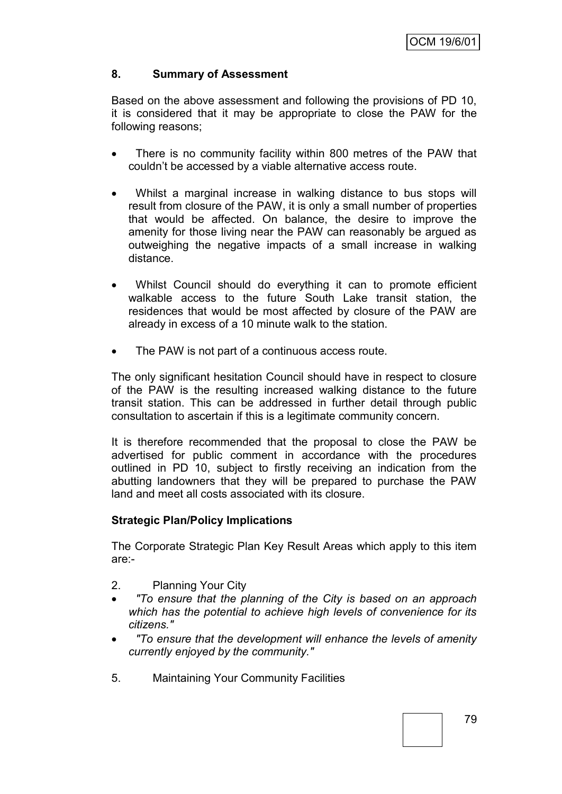## **8. Summary of Assessment**

Based on the above assessment and following the provisions of PD 10, it is considered that it may be appropriate to close the PAW for the following reasons;

- There is no community facility within 800 metres of the PAW that couldn"t be accessed by a viable alternative access route.
- Whilst a marginal increase in walking distance to bus stops will result from closure of the PAW, it is only a small number of properties that would be affected. On balance, the desire to improve the amenity for those living near the PAW can reasonably be argued as outweighing the negative impacts of a small increase in walking distance.
- Whilst Council should do everything it can to promote efficient walkable access to the future South Lake transit station, the residences that would be most affected by closure of the PAW are already in excess of a 10 minute walk to the station.
- The PAW is not part of a continuous access route.

The only significant hesitation Council should have in respect to closure of the PAW is the resulting increased walking distance to the future transit station. This can be addressed in further detail through public consultation to ascertain if this is a legitimate community concern.

It is therefore recommended that the proposal to close the PAW be advertised for public comment in accordance with the procedures outlined in PD 10, subject to firstly receiving an indication from the abutting landowners that they will be prepared to purchase the PAW land and meet all costs associated with its closure.

## **Strategic Plan/Policy Implications**

The Corporate Strategic Plan Key Result Areas which apply to this item are:-

- 2. Planning Your City
- *"To ensure that the planning of the City is based on an approach which has the potential to achieve high levels of convenience for its citizens."*
- *"To ensure that the development will enhance the levels of amenity currently enjoyed by the community."*
- 5. Maintaining Your Community Facilities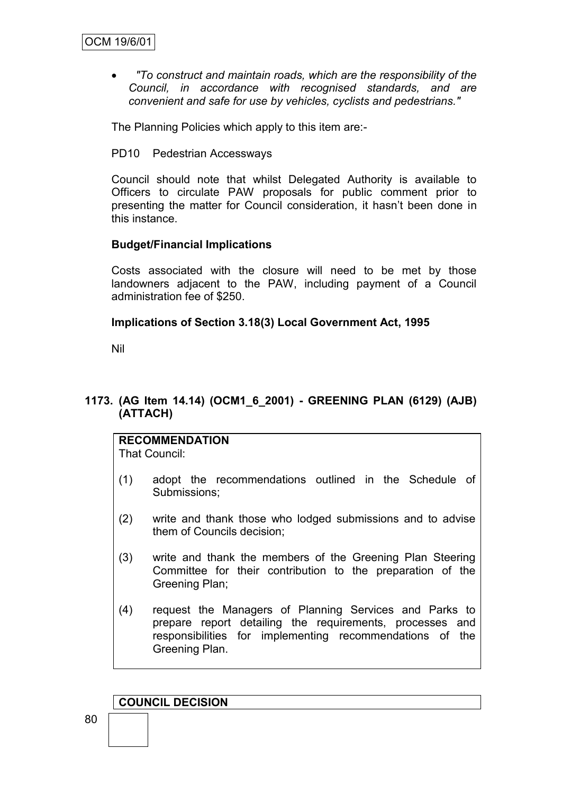*"To construct and maintain roads, which are the responsibility of the Council, in accordance with recognised standards, and are convenient and safe for use by vehicles, cyclists and pedestrians."*

The Planning Policies which apply to this item are:-

PD10 Pedestrian Accessways

Council should note that whilst Delegated Authority is available to Officers to circulate PAW proposals for public comment prior to presenting the matter for Council consideration, it hasn"t been done in this instance.

## **Budget/Financial Implications**

Costs associated with the closure will need to be met by those landowners adjacent to the PAW, including payment of a Council administration fee of \$250.

#### **Implications of Section 3.18(3) Local Government Act, 1995**

Nil

## **1173. (AG Item 14.14) (OCM1\_6\_2001) - GREENING PLAN (6129) (AJB) (ATTACH)**

#### **RECOMMENDATION**

That Council:

- (1) adopt the recommendations outlined in the Schedule of Submissions;
- (2) write and thank those who lodged submissions and to advise them of Councils decision;
- (3) write and thank the members of the Greening Plan Steering Committee for their contribution to the preparation of the Greening Plan;
- (4) request the Managers of Planning Services and Parks to prepare report detailing the requirements, processes and responsibilities for implementing recommendations of the Greening Plan.

#### **COUNCIL DECISION**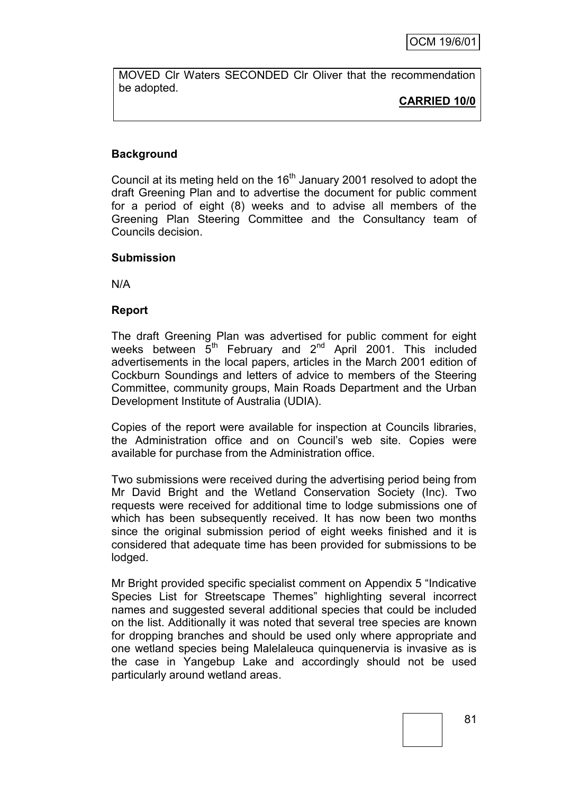MOVED Clr Waters SECONDED Clr Oliver that the recommendation be adopted.

**CARRIED 10/0**

## **Background**

Council at its meting held on the  $16<sup>th</sup>$  January 2001 resolved to adopt the draft Greening Plan and to advertise the document for public comment for a period of eight (8) weeks and to advise all members of the Greening Plan Steering Committee and the Consultancy team of Councils decision.

#### **Submission**

N/A

#### **Report**

The draft Greening Plan was advertised for public comment for eight weeks between  $\breve{5}^{th}$  February and  $2^{nd}$  April 2001. This included advertisements in the local papers, articles in the March 2001 edition of Cockburn Soundings and letters of advice to members of the Steering Committee, community groups, Main Roads Department and the Urban Development Institute of Australia (UDIA).

Copies of the report were available for inspection at Councils libraries, the Administration office and on Council"s web site. Copies were available for purchase from the Administration office.

Two submissions were received during the advertising period being from Mr David Bright and the Wetland Conservation Society (Inc). Two requests were received for additional time to lodge submissions one of which has been subsequently received. It has now been two months since the original submission period of eight weeks finished and it is considered that adequate time has been provided for submissions to be lodged.

Mr Bright provided specific specialist comment on Appendix 5 "Indicative Species List for Streetscape Themes" highlighting several incorrect names and suggested several additional species that could be included on the list. Additionally it was noted that several tree species are known for dropping branches and should be used only where appropriate and one wetland species being Malelaleuca quinquenervia is invasive as is the case in Yangebup Lake and accordingly should not be used particularly around wetland areas.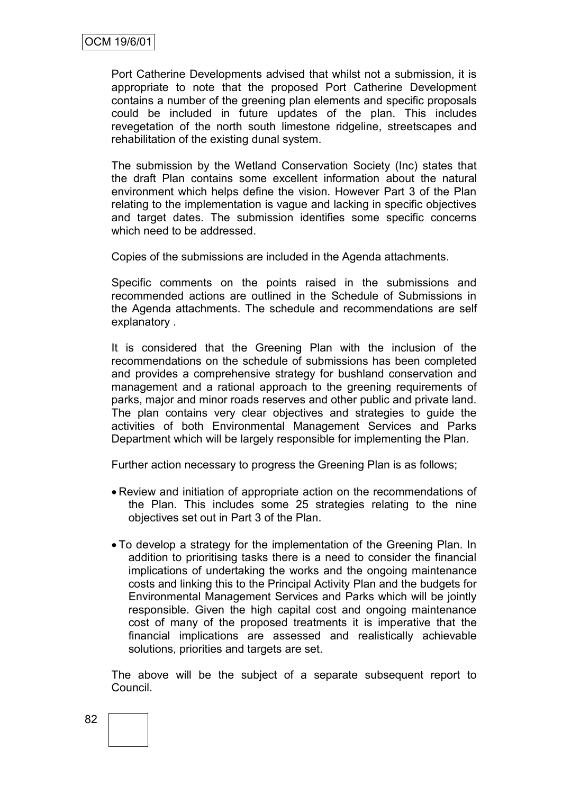Port Catherine Developments advised that whilst not a submission, it is appropriate to note that the proposed Port Catherine Development contains a number of the greening plan elements and specific proposals could be included in future updates of the plan. This includes revegetation of the north south limestone ridgeline, streetscapes and rehabilitation of the existing dunal system.

The submission by the Wetland Conservation Society (Inc) states that the draft Plan contains some excellent information about the natural environment which helps define the vision. However Part 3 of the Plan relating to the implementation is vague and lacking in specific objectives and target dates. The submission identifies some specific concerns which need to be addressed.

Copies of the submissions are included in the Agenda attachments.

Specific comments on the points raised in the submissions and recommended actions are outlined in the Schedule of Submissions in the Agenda attachments. The schedule and recommendations are self explanatory .

It is considered that the Greening Plan with the inclusion of the recommendations on the schedule of submissions has been completed and provides a comprehensive strategy for bushland conservation and management and a rational approach to the greening requirements of parks, major and minor roads reserves and other public and private land. The plan contains very clear objectives and strategies to guide the activities of both Environmental Management Services and Parks Department which will be largely responsible for implementing the Plan.

Further action necessary to progress the Greening Plan is as follows;

- Review and initiation of appropriate action on the recommendations of the Plan. This includes some 25 strategies relating to the nine objectives set out in Part 3 of the Plan.
- To develop a strategy for the implementation of the Greening Plan. In addition to prioritising tasks there is a need to consider the financial implications of undertaking the works and the ongoing maintenance costs and linking this to the Principal Activity Plan and the budgets for Environmental Management Services and Parks which will be jointly responsible. Given the high capital cost and ongoing maintenance cost of many of the proposed treatments it is imperative that the financial implications are assessed and realistically achievable solutions, priorities and targets are set.

The above will be the subject of a separate subsequent report to Council.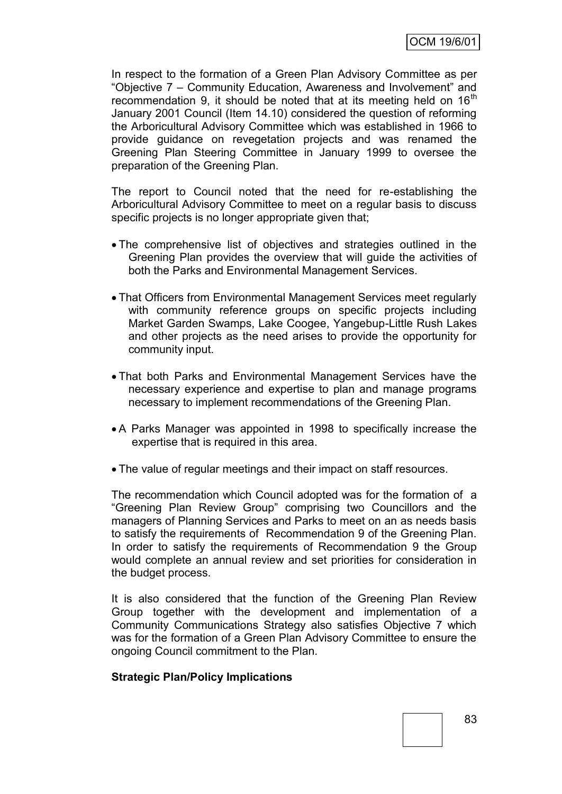In respect to the formation of a Green Plan Advisory Committee as per "Objective 7 – Community Education, Awareness and Involvement" and recommendation 9, it should be noted that at its meeting held on  $16<sup>th</sup>$ January 2001 Council (Item 14.10) considered the question of reforming the Arboricultural Advisory Committee which was established in 1966 to provide guidance on revegetation projects and was renamed the Greening Plan Steering Committee in January 1999 to oversee the preparation of the Greening Plan.

The report to Council noted that the need for re-establishing the Arboricultural Advisory Committee to meet on a regular basis to discuss specific projects is no longer appropriate given that;

- The comprehensive list of objectives and strategies outlined in the Greening Plan provides the overview that will guide the activities of both the Parks and Environmental Management Services.
- That Officers from Environmental Management Services meet regularly with community reference groups on specific projects including Market Garden Swamps, Lake Coogee, Yangebup-Little Rush Lakes and other projects as the need arises to provide the opportunity for community input.
- That both Parks and Environmental Management Services have the necessary experience and expertise to plan and manage programs necessary to implement recommendations of the Greening Plan.
- A Parks Manager was appointed in 1998 to specifically increase the expertise that is required in this area.
- The value of regular meetings and their impact on staff resources.

The recommendation which Council adopted was for the formation of a "Greening Plan Review Group" comprising two Councillors and the managers of Planning Services and Parks to meet on an as needs basis to satisfy the requirements of Recommendation 9 of the Greening Plan. In order to satisfy the requirements of Recommendation 9 the Group would complete an annual review and set priorities for consideration in the budget process.

It is also considered that the function of the Greening Plan Review Group together with the development and implementation of a Community Communications Strategy also satisfies Objective 7 which was for the formation of a Green Plan Advisory Committee to ensure the ongoing Council commitment to the Plan.

#### **Strategic Plan/Policy Implications**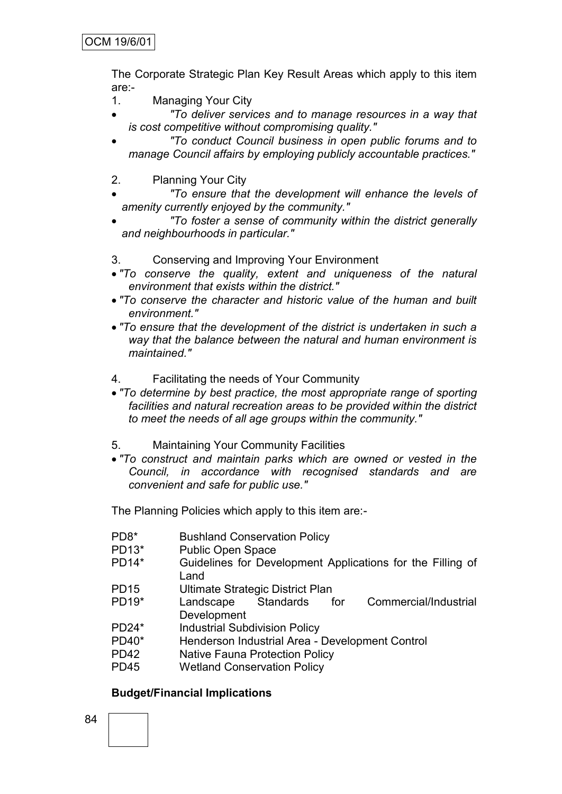The Corporate Strategic Plan Key Result Areas which apply to this item are:-

- 1. Managing Your City
- *"To deliver services and to manage resources in a way that is cost competitive without compromising quality."*
- *"To conduct Council business in open public forums and to manage Council affairs by employing publicly accountable practices."*
- 2. Planning Your City
- *"To ensure that the development will enhance the levels of amenity currently enjoyed by the community."*
- *"To foster a sense of community within the district generally and neighbourhoods in particular."*
- 3. Conserving and Improving Your Environment
- *"To conserve the quality, extent and uniqueness of the natural environment that exists within the district."*
- *"To conserve the character and historic value of the human and built environment."*
- *"To ensure that the development of the district is undertaken in such a way that the balance between the natural and human environment is maintained."*
- 4. Facilitating the needs of Your Community
- *"To determine by best practice, the most appropriate range of sporting facilities and natural recreation areas to be provided within the district to meet the needs of all age groups within the community."*
- 5. Maintaining Your Community Facilities
- *"To construct and maintain parks which are owned or vested in the Council, in accordance with recognised standards and are convenient and safe for public use."*

The Planning Policies which apply to this item are:-

PD8\* Bushland Conservation Policy PD13\* Public Open Space PD14\* Guidelines for Development Applications for the Filling of Land PD15 Ultimate Strategic District Plan PD19\* Landscape Standards for Commercial/Industrial Development PD24\* Industrial Subdivision Policy PD40\* Henderson Industrial Area - Development Control PD42 Native Fauna Protection Policy PD45 Wetland Conservation Policy

#### **Budget/Financial Implications**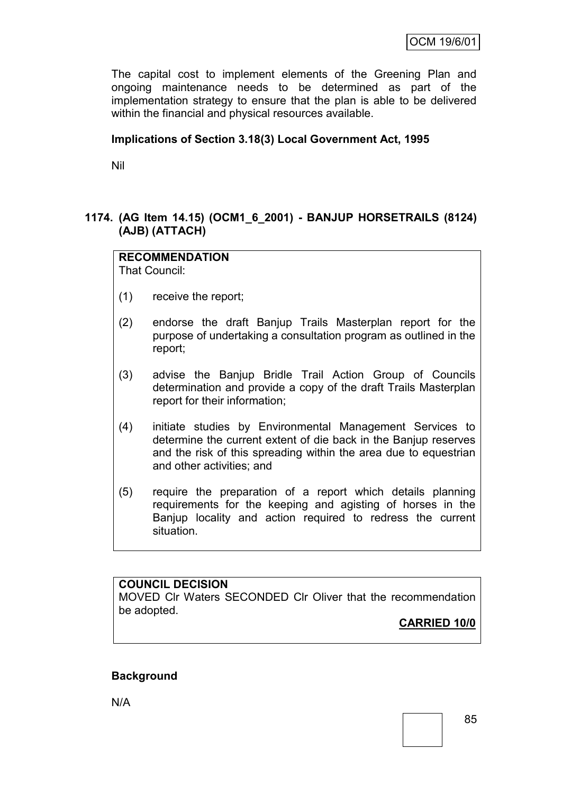The capital cost to implement elements of the Greening Plan and ongoing maintenance needs to be determined as part of the implementation strategy to ensure that the plan is able to be delivered within the financial and physical resources available.

## **Implications of Section 3.18(3) Local Government Act, 1995**

Nil

## **1174. (AG Item 14.15) (OCM1\_6\_2001) - BANJUP HORSETRAILS (8124) (AJB) (ATTACH)**

## **RECOMMENDATION**

That Council:

- (1) receive the report;
- (2) endorse the draft Banjup Trails Masterplan report for the purpose of undertaking a consultation program as outlined in the report;
- (3) advise the Banjup Bridle Trail Action Group of Councils determination and provide a copy of the draft Trails Masterplan report for their information;
- (4) initiate studies by Environmental Management Services to determine the current extent of die back in the Banjup reserves and the risk of this spreading within the area due to equestrian and other activities; and
- (5) require the preparation of a report which details planning requirements for the keeping and agisting of horses in the Banjup locality and action required to redress the current situation.

## **COUNCIL DECISION**

MOVED Clr Waters SECONDED Clr Oliver that the recommendation be adopted.

**CARRIED 10/0**

## **Background**

N/A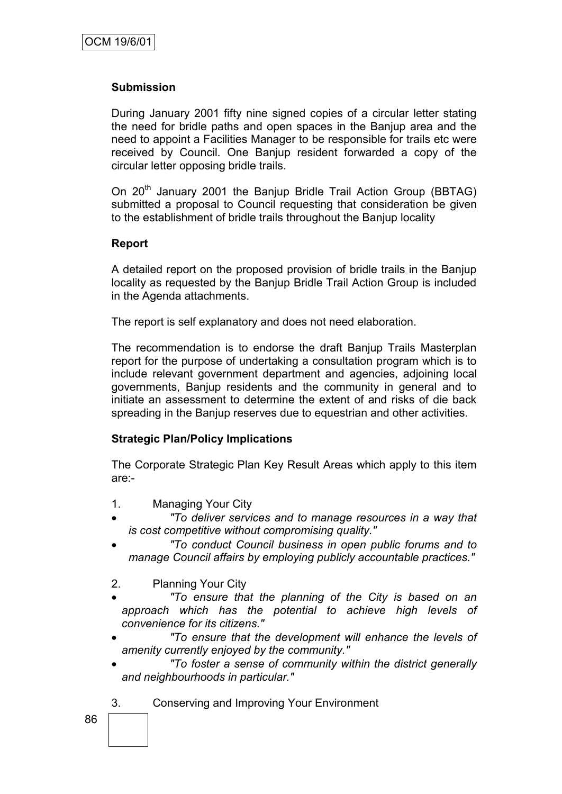#### **Submission**

During January 2001 fifty nine signed copies of a circular letter stating the need for bridle paths and open spaces in the Banjup area and the need to appoint a Facilities Manager to be responsible for trails etc were received by Council. One Banjup resident forwarded a copy of the circular letter opposing bridle trails.

On 20<sup>th</sup> January 2001 the Banjup Bridle Trail Action Group (BBTAG) submitted a proposal to Council requesting that consideration be given to the establishment of bridle trails throughout the Banjup locality

#### **Report**

A detailed report on the proposed provision of bridle trails in the Banjup locality as requested by the Banjup Bridle Trail Action Group is included in the Agenda attachments.

The report is self explanatory and does not need elaboration.

The recommendation is to endorse the draft Banjup Trails Masterplan report for the purpose of undertaking a consultation program which is to include relevant government department and agencies, adjoining local governments, Banjup residents and the community in general and to initiate an assessment to determine the extent of and risks of die back spreading in the Banjup reserves due to equestrian and other activities.

#### **Strategic Plan/Policy Implications**

The Corporate Strategic Plan Key Result Areas which apply to this item are:-

- 1. Managing Your City
- *"To deliver services and to manage resources in a way that is cost competitive without compromising quality."*
- *"To conduct Council business in open public forums and to manage Council affairs by employing publicly accountable practices."*
- 2. Planning Your City

- *"To ensure that the planning of the City is based on an approach which has the potential to achieve high levels of convenience for its citizens."*
- *"To ensure that the development will enhance the levels of amenity currently enjoyed by the community."*
- *"To foster a sense of community within the district generally and neighbourhoods in particular."*
- 3. Conserving and Improving Your Environment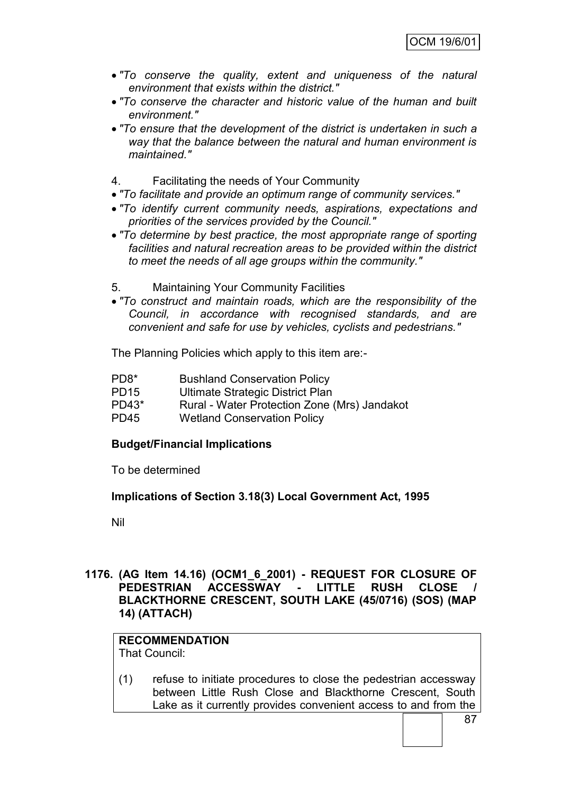- *"To conserve the quality, extent and uniqueness of the natural environment that exists within the district."*
- *"To conserve the character and historic value of the human and built environment."*
- *"To ensure that the development of the district is undertaken in such a way that the balance between the natural and human environment is maintained."*
- 4. Facilitating the needs of Your Community
- *"To facilitate and provide an optimum range of community services."*
- *"To identify current community needs, aspirations, expectations and priorities of the services provided by the Council."*
- *"To determine by best practice, the most appropriate range of sporting facilities and natural recreation areas to be provided within the district to meet the needs of all age groups within the community."*
- 5. Maintaining Your Community Facilities
- *"To construct and maintain roads, which are the responsibility of the Council, in accordance with recognised standards, and are convenient and safe for use by vehicles, cyclists and pedestrians."*

The Planning Policies which apply to this item are:-

- PD8\* Bushland Conservation Policy
- PD15 Ultimate Strategic District Plan
- PD43\* Rural Water Protection Zone (Mrs) Jandakot
- PD45 Wetland Conservation Policy

#### **Budget/Financial Implications**

To be determined

#### **Implications of Section 3.18(3) Local Government Act, 1995**

Nil

#### **1176. (AG Item 14.16) (OCM1\_6\_2001) - REQUEST FOR CLOSURE OF PEDESTRIAN ACCESSWAY - LITTLE RUSH CLOSE / BLACKTHORNE CRESCENT, SOUTH LAKE (45/0716) (SOS) (MAP 14) (ATTACH)**

### **RECOMMENDATION**

That Council:

(1) refuse to initiate procedures to close the pedestrian accessway between Little Rush Close and Blackthorne Crescent, South Lake as it currently provides convenient access to and from the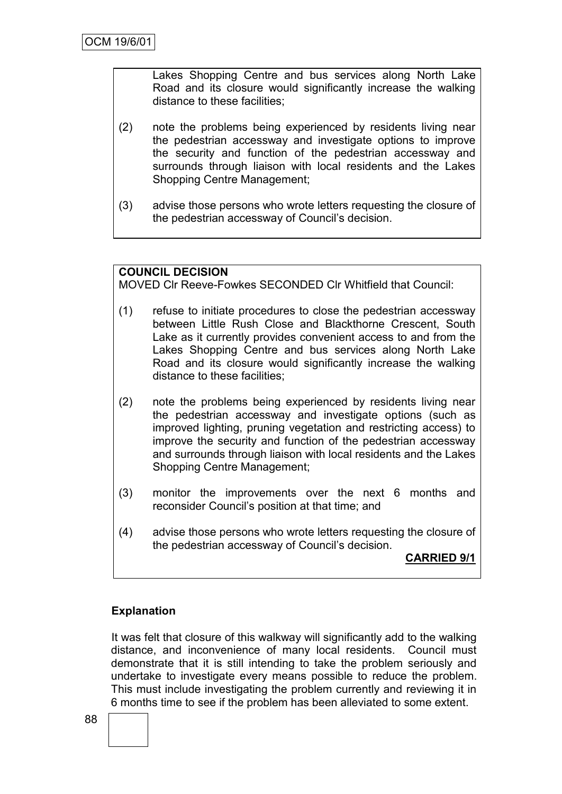Lakes Shopping Centre and bus services along North Lake Road and its closure would significantly increase the walking distance to these facilities;

- (2) note the problems being experienced by residents living near the pedestrian accessway and investigate options to improve the security and function of the pedestrian accessway and surrounds through liaison with local residents and the Lakes Shopping Centre Management;
- (3) advise those persons who wrote letters requesting the closure of the pedestrian accessway of Council"s decision.

#### **COUNCIL DECISION**

MOVED Clr Reeve-Fowkes SECONDED Clr Whitfield that Council:

- (1) refuse to initiate procedures to close the pedestrian accessway between Little Rush Close and Blackthorne Crescent, South Lake as it currently provides convenient access to and from the Lakes Shopping Centre and bus services along North Lake Road and its closure would significantly increase the walking distance to these facilities;
- (2) note the problems being experienced by residents living near the pedestrian accessway and investigate options (such as improved lighting, pruning vegetation and restricting access) to improve the security and function of the pedestrian accessway and surrounds through liaison with local residents and the Lakes Shopping Centre Management;
- (3) monitor the improvements over the next 6 months and reconsider Council"s position at that time; and
- (4) advise those persons who wrote letters requesting the closure of the pedestrian accessway of Council"s decision.

**CARRIED 9/1**

#### **Explanation**

It was felt that closure of this walkway will significantly add to the walking distance, and inconvenience of many local residents. Council must demonstrate that it is still intending to take the problem seriously and undertake to investigate every means possible to reduce the problem. This must include investigating the problem currently and reviewing it in 6 months time to see if the problem has been alleviated to some extent.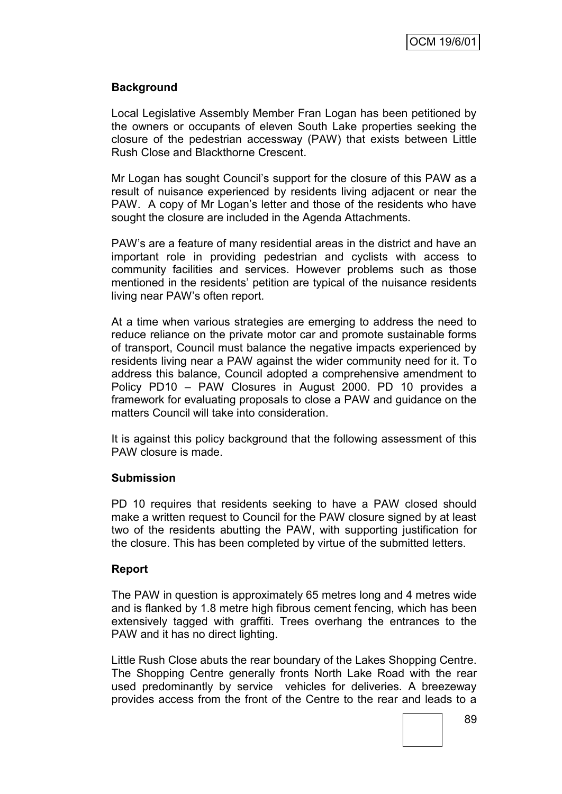## **Background**

Local Legislative Assembly Member Fran Logan has been petitioned by the owners or occupants of eleven South Lake properties seeking the closure of the pedestrian accessway (PAW) that exists between Little Rush Close and Blackthorne Crescent.

Mr Logan has sought Council"s support for the closure of this PAW as a result of nuisance experienced by residents living adjacent or near the PAW. A copy of Mr Logan"s letter and those of the residents who have sought the closure are included in the Agenda Attachments.

PAW"s are a feature of many residential areas in the district and have an important role in providing pedestrian and cyclists with access to community facilities and services. However problems such as those mentioned in the residents" petition are typical of the nuisance residents living near PAW"s often report.

At a time when various strategies are emerging to address the need to reduce reliance on the private motor car and promote sustainable forms of transport, Council must balance the negative impacts experienced by residents living near a PAW against the wider community need for it. To address this balance, Council adopted a comprehensive amendment to Policy PD10 – PAW Closures in August 2000. PD 10 provides a framework for evaluating proposals to close a PAW and guidance on the matters Council will take into consideration.

It is against this policy background that the following assessment of this PAW closure is made.

#### **Submission**

PD 10 requires that residents seeking to have a PAW closed should make a written request to Council for the PAW closure signed by at least two of the residents abutting the PAW, with supporting justification for the closure. This has been completed by virtue of the submitted letters.

#### **Report**

The PAW in question is approximately 65 metres long and 4 metres wide and is flanked by 1.8 metre high fibrous cement fencing, which has been extensively tagged with graffiti. Trees overhang the entrances to the PAW and it has no direct lighting.

Little Rush Close abuts the rear boundary of the Lakes Shopping Centre. The Shopping Centre generally fronts North Lake Road with the rear used predominantly by service vehicles for deliveries. A breezeway provides access from the front of the Centre to the rear and leads to a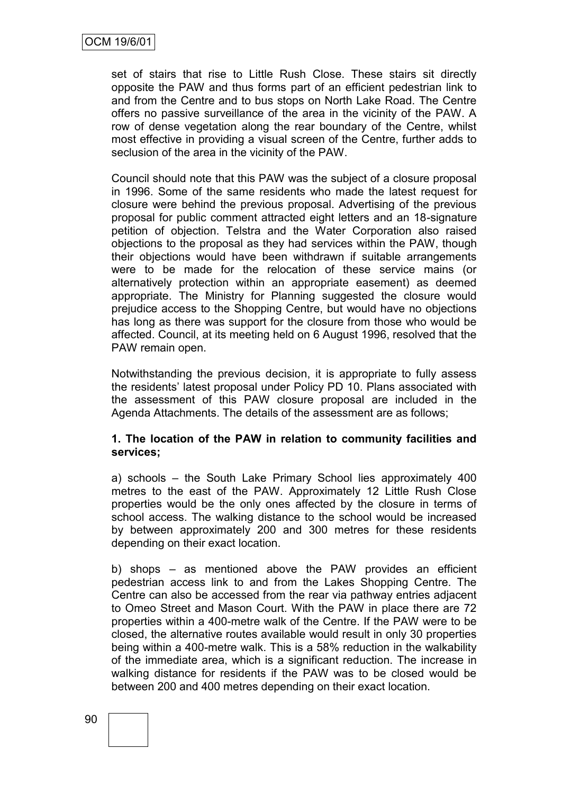set of stairs that rise to Little Rush Close. These stairs sit directly opposite the PAW and thus forms part of an efficient pedestrian link to and from the Centre and to bus stops on North Lake Road. The Centre offers no passive surveillance of the area in the vicinity of the PAW. A row of dense vegetation along the rear boundary of the Centre, whilst most effective in providing a visual screen of the Centre, further adds to seclusion of the area in the vicinity of the PAW.

Council should note that this PAW was the subject of a closure proposal in 1996. Some of the same residents who made the latest request for closure were behind the previous proposal. Advertising of the previous proposal for public comment attracted eight letters and an 18-signature petition of objection. Telstra and the Water Corporation also raised objections to the proposal as they had services within the PAW, though their objections would have been withdrawn if suitable arrangements were to be made for the relocation of these service mains (or alternatively protection within an appropriate easement) as deemed appropriate. The Ministry for Planning suggested the closure would prejudice access to the Shopping Centre, but would have no objections has long as there was support for the closure from those who would be affected. Council, at its meeting held on 6 August 1996, resolved that the PAW remain open.

Notwithstanding the previous decision, it is appropriate to fully assess the residents" latest proposal under Policy PD 10. Plans associated with the assessment of this PAW closure proposal are included in the Agenda Attachments. The details of the assessment are as follows;

#### **1. The location of the PAW in relation to community facilities and services;**

a) schools – the South Lake Primary School lies approximately 400 metres to the east of the PAW. Approximately 12 Little Rush Close properties would be the only ones affected by the closure in terms of school access. The walking distance to the school would be increased by between approximately 200 and 300 metres for these residents depending on their exact location.

b) shops – as mentioned above the PAW provides an efficient pedestrian access link to and from the Lakes Shopping Centre. The Centre can also be accessed from the rear via pathway entries adjacent to Omeo Street and Mason Court. With the PAW in place there are 72 properties within a 400-metre walk of the Centre. If the PAW were to be closed, the alternative routes available would result in only 30 properties being within a 400-metre walk. This is a 58% reduction in the walkability of the immediate area, which is a significant reduction. The increase in walking distance for residents if the PAW was to be closed would be between 200 and 400 metres depending on their exact location.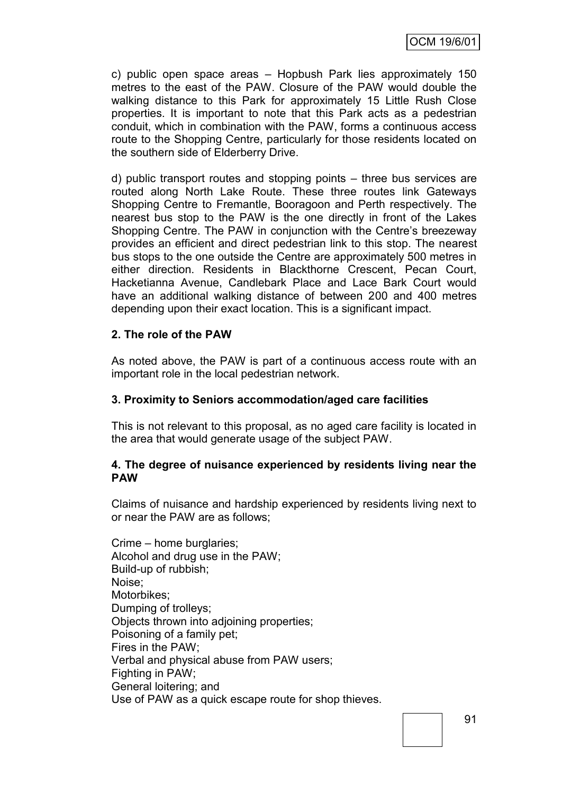OCM 19/6/01

c) public open space areas – Hopbush Park lies approximately 150 metres to the east of the PAW. Closure of the PAW would double the walking distance to this Park for approximately 15 Little Rush Close properties. It is important to note that this Park acts as a pedestrian conduit, which in combination with the PAW, forms a continuous access route to the Shopping Centre, particularly for those residents located on the southern side of Elderberry Drive.

d) public transport routes and stopping points – three bus services are routed along North Lake Route. These three routes link Gateways Shopping Centre to Fremantle, Booragoon and Perth respectively. The nearest bus stop to the PAW is the one directly in front of the Lakes Shopping Centre. The PAW in conjunction with the Centre's breezeway provides an efficient and direct pedestrian link to this stop. The nearest bus stops to the one outside the Centre are approximately 500 metres in either direction. Residents in Blackthorne Crescent, Pecan Court, Hacketianna Avenue, Candlebark Place and Lace Bark Court would have an additional walking distance of between 200 and 400 metres depending upon their exact location. This is a significant impact.

## **2. The role of the PAW**

As noted above, the PAW is part of a continuous access route with an important role in the local pedestrian network.

#### **3. Proximity to Seniors accommodation/aged care facilities**

This is not relevant to this proposal, as no aged care facility is located in the area that would generate usage of the subject PAW.

#### **4. The degree of nuisance experienced by residents living near the PAW**

Claims of nuisance and hardship experienced by residents living next to or near the PAW are as follows;

Crime – home burglaries; Alcohol and drug use in the PAW; Build-up of rubbish; Noise; Motorbikes; Dumping of trolleys; Objects thrown into adjoining properties; Poisoning of a family pet; Fires in the PAW; Verbal and physical abuse from PAW users; Fighting in PAW; General loitering; and Use of PAW as a quick escape route for shop thieves.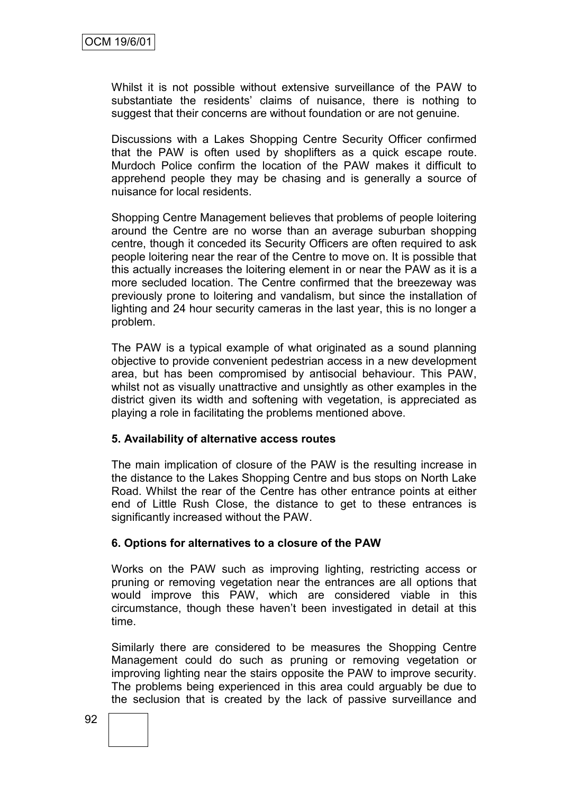Whilst it is not possible without extensive surveillance of the PAW to substantiate the residents' claims of nuisance, there is nothing to suggest that their concerns are without foundation or are not genuine.

Discussions with a Lakes Shopping Centre Security Officer confirmed that the PAW is often used by shoplifters as a quick escape route. Murdoch Police confirm the location of the PAW makes it difficult to apprehend people they may be chasing and is generally a source of nuisance for local residents.

Shopping Centre Management believes that problems of people loitering around the Centre are no worse than an average suburban shopping centre, though it conceded its Security Officers are often required to ask people loitering near the rear of the Centre to move on. It is possible that this actually increases the loitering element in or near the PAW as it is a more secluded location. The Centre confirmed that the breezeway was previously prone to loitering and vandalism, but since the installation of lighting and 24 hour security cameras in the last year, this is no longer a problem.

The PAW is a typical example of what originated as a sound planning objective to provide convenient pedestrian access in a new development area, but has been compromised by antisocial behaviour. This PAW, whilst not as visually unattractive and unsightly as other examples in the district given its width and softening with vegetation, is appreciated as playing a role in facilitating the problems mentioned above.

#### **5. Availability of alternative access routes**

The main implication of closure of the PAW is the resulting increase in the distance to the Lakes Shopping Centre and bus stops on North Lake Road. Whilst the rear of the Centre has other entrance points at either end of Little Rush Close, the distance to get to these entrances is significantly increased without the PAW.

#### **6. Options for alternatives to a closure of the PAW**

Works on the PAW such as improving lighting, restricting access or pruning or removing vegetation near the entrances are all options that would improve this PAW, which are considered viable in this circumstance, though these haven"t been investigated in detail at this time.

Similarly there are considered to be measures the Shopping Centre Management could do such as pruning or removing vegetation or improving lighting near the stairs opposite the PAW to improve security. The problems being experienced in this area could arguably be due to the seclusion that is created by the lack of passive surveillance and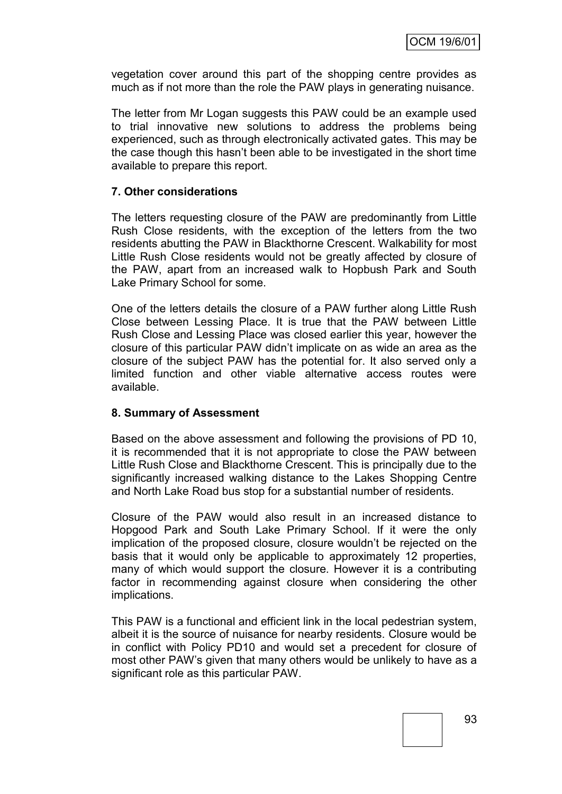vegetation cover around this part of the shopping centre provides as much as if not more than the role the PAW plays in generating nuisance.

The letter from Mr Logan suggests this PAW could be an example used to trial innovative new solutions to address the problems being experienced, such as through electronically activated gates. This may be the case though this hasn"t been able to be investigated in the short time available to prepare this report.

#### **7. Other considerations**

The letters requesting closure of the PAW are predominantly from Little Rush Close residents, with the exception of the letters from the two residents abutting the PAW in Blackthorne Crescent. Walkability for most Little Rush Close residents would not be greatly affected by closure of the PAW, apart from an increased walk to Hopbush Park and South Lake Primary School for some.

One of the letters details the closure of a PAW further along Little Rush Close between Lessing Place. It is true that the PAW between Little Rush Close and Lessing Place was closed earlier this year, however the closure of this particular PAW didn"t implicate on as wide an area as the closure of the subject PAW has the potential for. It also served only a limited function and other viable alternative access routes were available.

#### **8. Summary of Assessment**

Based on the above assessment and following the provisions of PD 10, it is recommended that it is not appropriate to close the PAW between Little Rush Close and Blackthorne Crescent. This is principally due to the significantly increased walking distance to the Lakes Shopping Centre and North Lake Road bus stop for a substantial number of residents.

Closure of the PAW would also result in an increased distance to Hopgood Park and South Lake Primary School. If it were the only implication of the proposed closure, closure wouldn"t be rejected on the basis that it would only be applicable to approximately 12 properties, many of which would support the closure. However it is a contributing factor in recommending against closure when considering the other implications.

This PAW is a functional and efficient link in the local pedestrian system, albeit it is the source of nuisance for nearby residents. Closure would be in conflict with Policy PD10 and would set a precedent for closure of most other PAW"s given that many others would be unlikely to have as a significant role as this particular PAW.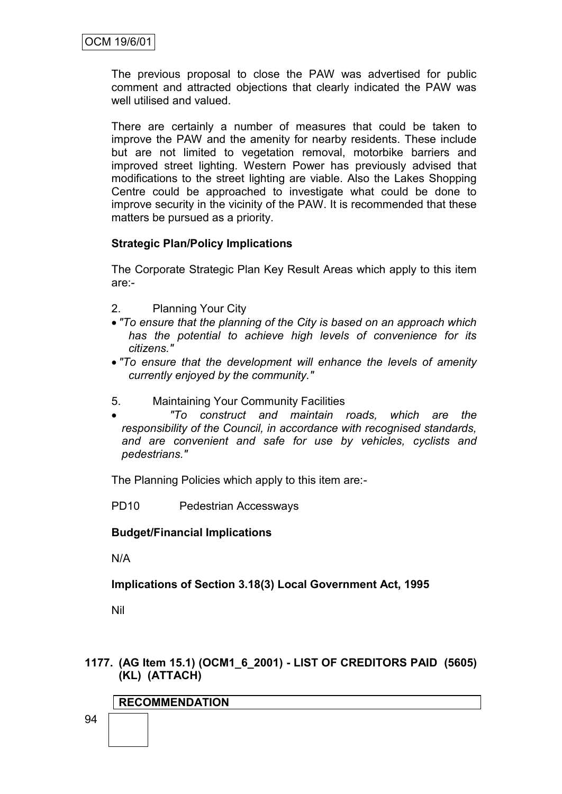The previous proposal to close the PAW was advertised for public comment and attracted objections that clearly indicated the PAW was well utilised and valued.

There are certainly a number of measures that could be taken to improve the PAW and the amenity for nearby residents. These include but are not limited to vegetation removal, motorbike barriers and improved street lighting. Western Power has previously advised that modifications to the street lighting are viable. Also the Lakes Shopping Centre could be approached to investigate what could be done to improve security in the vicinity of the PAW. It is recommended that these matters be pursued as a priority.

## **Strategic Plan/Policy Implications**

The Corporate Strategic Plan Key Result Areas which apply to this item are:-

- 2. Planning Your City
- *"To ensure that the planning of the City is based on an approach which has the potential to achieve high levels of convenience for its citizens."*
- *"To ensure that the development will enhance the levels of amenity currently enjoyed by the community."*
- 5. Maintaining Your Community Facilities

 *"To construct and maintain roads, which are the responsibility of the Council, in accordance with recognised standards, and are convenient and safe for use by vehicles, cyclists and pedestrians."*

The Planning Policies which apply to this item are:-

PD10 Pedestrian Accessways

#### **Budget/Financial Implications**

N/A

**Implications of Section 3.18(3) Local Government Act, 1995**

Nil

#### **1177. (AG Item 15.1) (OCM1\_6\_2001) - LIST OF CREDITORS PAID (5605) (KL) (ATTACH)**

## **RECOMMENDATION**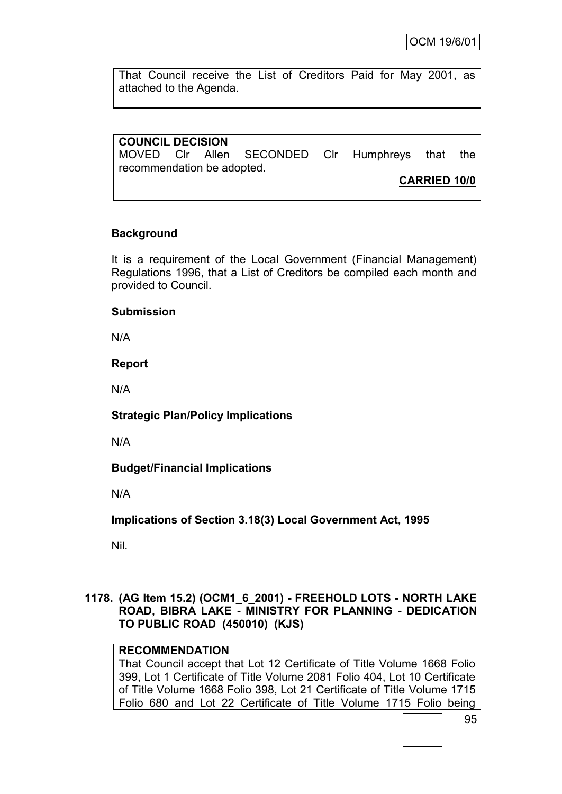That Council receive the List of Creditors Paid for May 2001, as attached to the Agenda.

## **COUNCIL DECISION**

MOVED Clr Allen SECONDED Clr Humphreys that the recommendation be adopted.

**CARRIED 10/0**

## **Background**

It is a requirement of the Local Government (Financial Management) Regulations 1996, that a List of Creditors be compiled each month and provided to Council.

#### **Submission**

N/A

#### **Report**

N/A

#### **Strategic Plan/Policy Implications**

N/A

## **Budget/Financial Implications**

N/A

**Implications of Section 3.18(3) Local Government Act, 1995**

Nil.

## **1178. (AG Item 15.2) (OCM1\_6\_2001) - FREEHOLD LOTS - NORTH LAKE ROAD, BIBRA LAKE - MINISTRY FOR PLANNING - DEDICATION TO PUBLIC ROAD (450010) (KJS)**

## **RECOMMENDATION**

That Council accept that Lot 12 Certificate of Title Volume 1668 Folio 399, Lot 1 Certificate of Title Volume 2081 Folio 404, Lot 10 Certificate of Title Volume 1668 Folio 398, Lot 21 Certificate of Title Volume 1715 Folio 680 and Lot 22 Certificate of Title Volume 1715 Folio being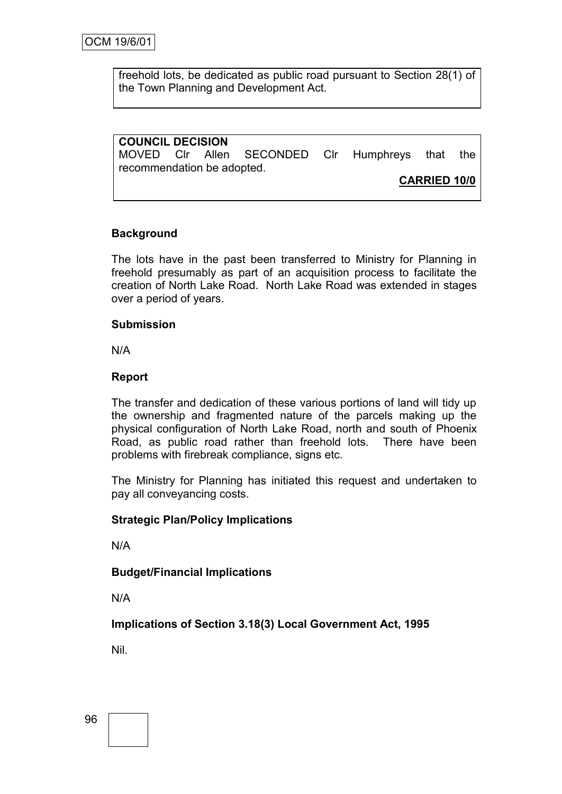freehold lots, be dedicated as public road pursuant to Section 28(1) of the Town Planning and Development Act.

## **COUNCIL DECISION**

MOVED Clr Allen SECONDED Clr Humphreys that the recommendation be adopted.

**CARRIED 10/0**

## **Background**

The lots have in the past been transferred to Ministry for Planning in freehold presumably as part of an acquisition process to facilitate the creation of North Lake Road. North Lake Road was extended in stages over a period of years.

## **Submission**

N/A

## **Report**

The transfer and dedication of these various portions of land will tidy up the ownership and fragmented nature of the parcels making up the physical configuration of North Lake Road, north and south of Phoenix Road, as public road rather than freehold lots. There have been problems with firebreak compliance, signs etc.

The Ministry for Planning has initiated this request and undertaken to pay all conveyancing costs.

## **Strategic Plan/Policy Implications**

N/A

#### **Budget/Financial Implications**

N/A

**Implications of Section 3.18(3) Local Government Act, 1995**

Nil.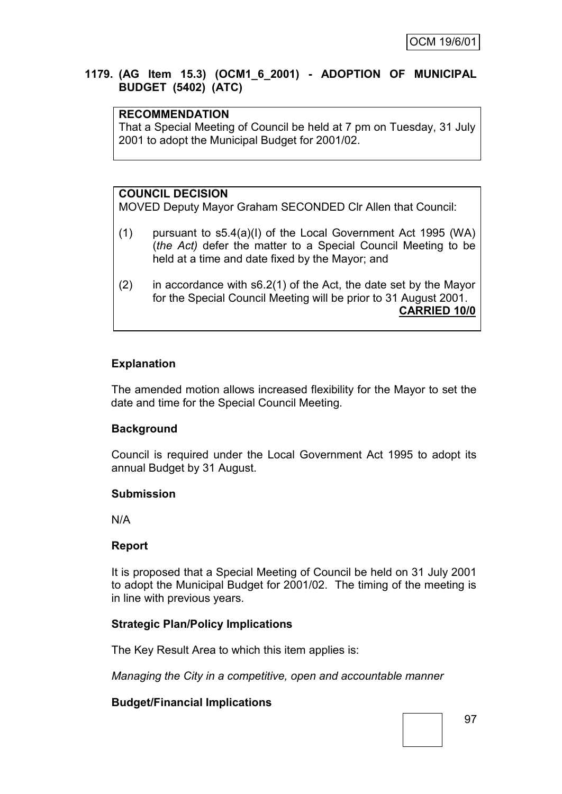#### **1179. (AG Item 15.3) (OCM1\_6\_2001) - ADOPTION OF MUNICIPAL BUDGET (5402) (ATC)**

## **RECOMMENDATION**

That a Special Meeting of Council be held at 7 pm on Tuesday, 31 July 2001 to adopt the Municipal Budget for 2001/02.

## **COUNCIL DECISION**

MOVED Deputy Mayor Graham SECONDED Clr Allen that Council:

- (1) pursuant to s5.4(a)(I) of the Local Government Act 1995 (WA) (*the Act)* defer the matter to a Special Council Meeting to be held at a time and date fixed by the Mayor; and
- (2) in accordance with s6.2(1) of the Act, the date set by the Mayor for the Special Council Meeting will be prior to 31 August 2001. **CARRIED 10/0**

## **Explanation**

The amended motion allows increased flexibility for the Mayor to set the date and time for the Special Council Meeting.

#### **Background**

Council is required under the Local Government Act 1995 to adopt its annual Budget by 31 August.

#### **Submission**

N/A

#### **Report**

It is proposed that a Special Meeting of Council be held on 31 July 2001 to adopt the Municipal Budget for 2001/02. The timing of the meeting is in line with previous years.

#### **Strategic Plan/Policy Implications**

The Key Result Area to which this item applies is:

*Managing the City in a competitive, open and accountable manner*

#### **Budget/Financial Implications**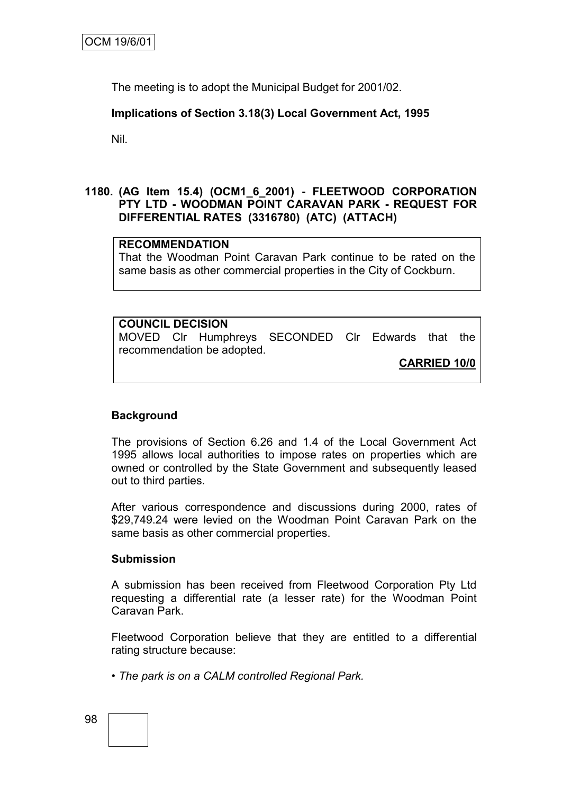The meeting is to adopt the Municipal Budget for 2001/02.

## **Implications of Section 3.18(3) Local Government Act, 1995**

Nil.

#### **1180. (AG Item 15.4) (OCM1\_6\_2001) - FLEETWOOD CORPORATION PTY LTD - WOODMAN POINT CARAVAN PARK - REQUEST FOR DIFFERENTIAL RATES (3316780) (ATC) (ATTACH)**

#### **RECOMMENDATION**

That the Woodman Point Caravan Park continue to be rated on the same basis as other commercial properties in the City of Cockburn.

## **COUNCIL DECISION** MOVED Clr Humphreys SECONDED Clr Edwards that the recommendation be adopted.

**CARRIED 10/0**

#### **Background**

The provisions of Section 6.26 and 1.4 of the Local Government Act 1995 allows local authorities to impose rates on properties which are owned or controlled by the State Government and subsequently leased out to third parties.

After various correspondence and discussions during 2000, rates of \$29,749.24 were levied on the Woodman Point Caravan Park on the same basis as other commercial properties.

#### **Submission**

A submission has been received from Fleetwood Corporation Pty Ltd requesting a differential rate (a lesser rate) for the Woodman Point Caravan Park.

Fleetwood Corporation believe that they are entitled to a differential rating structure because:

*• The park is on a CALM controlled Regional Park.*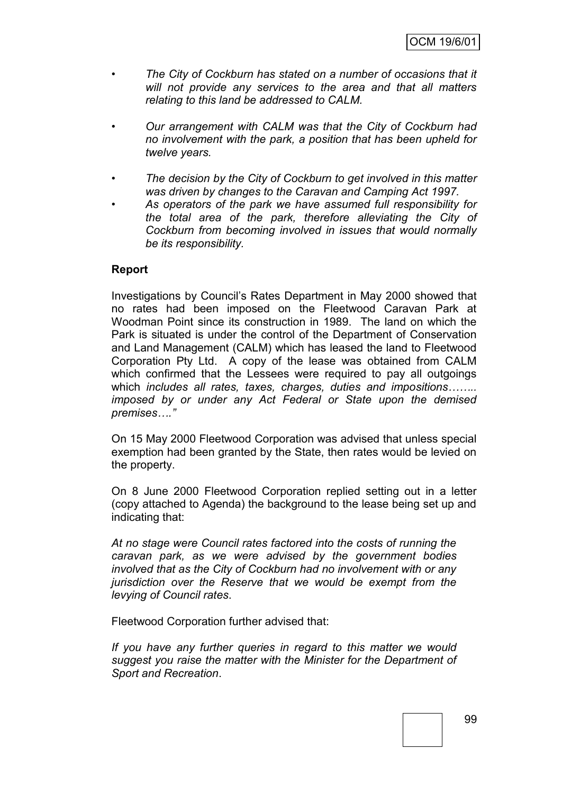- *• The City of Cockburn has stated on a number of occasions that it will not provide any services to the area and that all matters relating to this land be addressed to CALM.*
- *• Our arrangement with CALM was that the City of Cockburn had no involvement with the park, a position that has been upheld for twelve years.*
- *• The decision by the City of Cockburn to get involved in this matter was driven by changes to the Caravan and Camping Act 1997.*
- *• As operators of the park we have assumed full responsibility for the total area of the park, therefore alleviating the City of Cockburn from becoming involved in issues that would normally be its responsibility.*

#### **Report**

Investigations by Council"s Rates Department in May 2000 showed that no rates had been imposed on the Fleetwood Caravan Park at Woodman Point since its construction in 1989. The land on which the Park is situated is under the control of the Department of Conservation and Land Management (CALM) which has leased the land to Fleetwood Corporation Pty Ltd. A copy of the lease was obtained from CALM which confirmed that the Lessees were required to pay all outgoings which *includes all rates, taxes, charges, duties and impositions…….. imposed by or under any Act Federal or State upon the demised premises…."*

On 15 May 2000 Fleetwood Corporation was advised that unless special exemption had been granted by the State, then rates would be levied on the property.

On 8 June 2000 Fleetwood Corporation replied setting out in a letter (copy attached to Agenda) the background to the lease being set up and indicating that:

*At no stage were Council rates factored into the costs of running the caravan park, as we were advised by the government bodies involved that as the City of Cockburn had no involvement with or any jurisdiction over the Reserve that we would be exempt from the levying of Council rates*.

Fleetwood Corporation further advised that:

*If you have any further queries in regard to this matter we would suggest you raise the matter with the Minister for the Department of Sport and Recreation*.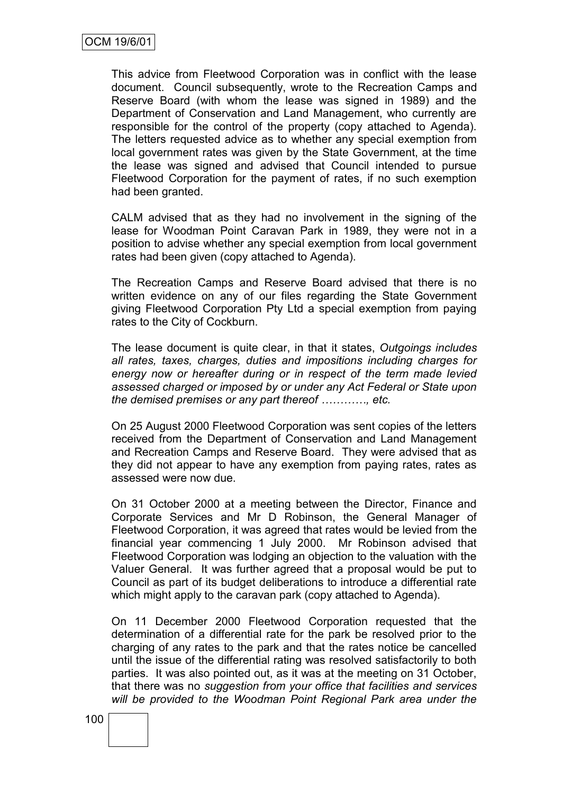This advice from Fleetwood Corporation was in conflict with the lease document. Council subsequently, wrote to the Recreation Camps and Reserve Board (with whom the lease was signed in 1989) and the Department of Conservation and Land Management, who currently are responsible for the control of the property (copy attached to Agenda). The letters requested advice as to whether any special exemption from local government rates was given by the State Government, at the time the lease was signed and advised that Council intended to pursue Fleetwood Corporation for the payment of rates, if no such exemption had been granted.

CALM advised that as they had no involvement in the signing of the lease for Woodman Point Caravan Park in 1989, they were not in a position to advise whether any special exemption from local government rates had been given (copy attached to Agenda).

The Recreation Camps and Reserve Board advised that there is no written evidence on any of our files regarding the State Government giving Fleetwood Corporation Pty Ltd a special exemption from paying rates to the City of Cockburn.

The lease document is quite clear, in that it states, *Outgoings includes all rates, taxes, charges, duties and impositions including charges for energy now or hereafter during or in respect of the term made levied assessed charged or imposed by or under any Act Federal or State upon the demised premises or any part thereof …………, etc.*

On 25 August 2000 Fleetwood Corporation was sent copies of the letters received from the Department of Conservation and Land Management and Recreation Camps and Reserve Board. They were advised that as they did not appear to have any exemption from paying rates, rates as assessed were now due.

On 31 October 2000 at a meeting between the Director, Finance and Corporate Services and Mr D Robinson, the General Manager of Fleetwood Corporation, it was agreed that rates would be levied from the financial year commencing 1 July 2000. Mr Robinson advised that Fleetwood Corporation was lodging an objection to the valuation with the Valuer General. It was further agreed that a proposal would be put to Council as part of its budget deliberations to introduce a differential rate which might apply to the caravan park (copy attached to Agenda).

On 11 December 2000 Fleetwood Corporation requested that the determination of a differential rate for the park be resolved prior to the charging of any rates to the park and that the rates notice be cancelled until the issue of the differential rating was resolved satisfactorily to both parties. It was also pointed out, as it was at the meeting on 31 October, that there was no *suggestion from your office that facilities and services will be provided to the Woodman Point Regional Park area under the*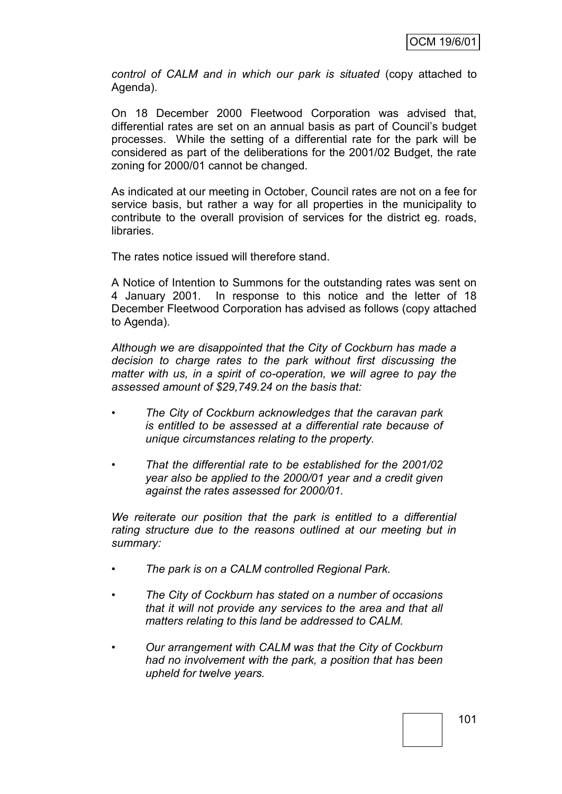*control of CALM and in which our park is situated* (copy attached to Agenda).

On 18 December 2000 Fleetwood Corporation was advised that, differential rates are set on an annual basis as part of Council"s budget processes. While the setting of a differential rate for the park will be considered as part of the deliberations for the 2001/02 Budget, the rate zoning for 2000/01 cannot be changed.

As indicated at our meeting in October, Council rates are not on a fee for service basis, but rather a way for all properties in the municipality to contribute to the overall provision of services for the district eg. roads, libraries.

The rates notice issued will therefore stand.

A Notice of Intention to Summons for the outstanding rates was sent on 4 January 2001. In response to this notice and the letter of 18 December Fleetwood Corporation has advised as follows (copy attached to Agenda).

*Although we are disappointed that the City of Cockburn has made a decision to charge rates to the park without first discussing the matter with us, in a spirit of co-operation, we will agree to pay the assessed amount of \$29,749.24 on the basis that:*

- *• The City of Cockburn acknowledges that the caravan park is entitled to be assessed at a differential rate because of unique circumstances relating to the property.*
- *• That the differential rate to be established for the 2001/02 year also be applied to the 2000/01 year and a credit given against the rates assessed for 2000/01.*

*We reiterate our position that the park is entitled to a differential rating structure due to the reasons outlined at our meeting but in summary:*

- *• The park is on a CALM controlled Regional Park.*
- *• The City of Cockburn has stated on a number of occasions that it will not provide any services to the area and that all matters relating to this land be addressed to CALM.*
- *• Our arrangement with CALM was that the City of Cockburn had no involvement with the park, a position that has been upheld for twelve years.*

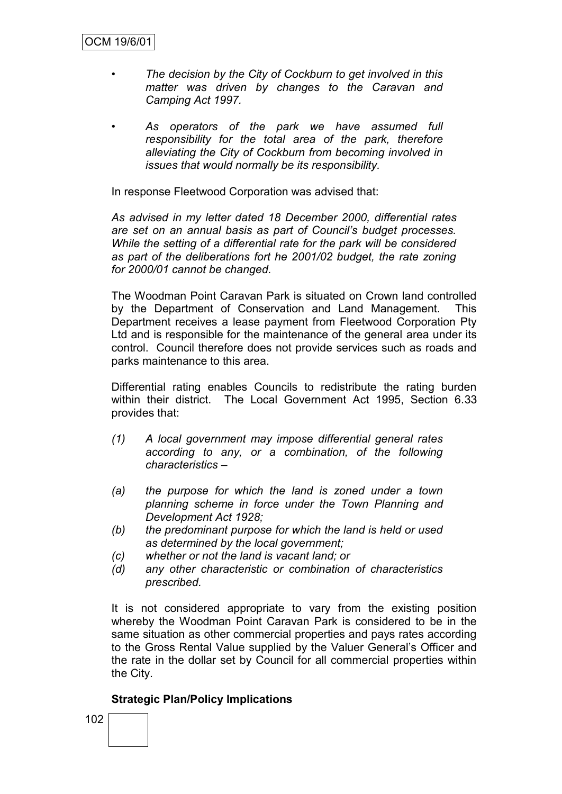- *• The decision by the City of Cockburn to get involved in this matter was driven by changes to the Caravan and Camping Act 1997.*
- *• As operators of the park we have assumed full responsibility for the total area of the park, therefore alleviating the City of Cockburn from becoming involved in issues that would normally be its responsibility.*

In response Fleetwood Corporation was advised that:

*As advised in my letter dated 18 December 2000, differential rates are set on an annual basis as part of Council's budget processes. While the setting of a differential rate for the park will be considered as part of the deliberations fort he 2001/02 budget, the rate zoning for 2000/01 cannot be changed.*

The Woodman Point Caravan Park is situated on Crown land controlled by the Department of Conservation and Land Management. This Department receives a lease payment from Fleetwood Corporation Pty Ltd and is responsible for the maintenance of the general area under its control. Council therefore does not provide services such as roads and parks maintenance to this area.

Differential rating enables Councils to redistribute the rating burden within their district. The Local Government Act 1995, Section 6.33 provides that:

- *(1) A local government may impose differential general rates according to any, or a combination, of the following characteristics –*
- *(a) the purpose for which the land is zoned under a town planning scheme in force under the Town Planning and Development Act 1928;*
- *(b) the predominant purpose for which the land is held or used as determined by the local government;*
- *(c) whether or not the land is vacant land; or*
- *(d) any other characteristic or combination of characteristics prescribed.*

It is not considered appropriate to vary from the existing position whereby the Woodman Point Caravan Park is considered to be in the same situation as other commercial properties and pays rates according to the Gross Rental Value supplied by the Valuer General"s Officer and the rate in the dollar set by Council for all commercial properties within the City.

#### **Strategic Plan/Policy Implications**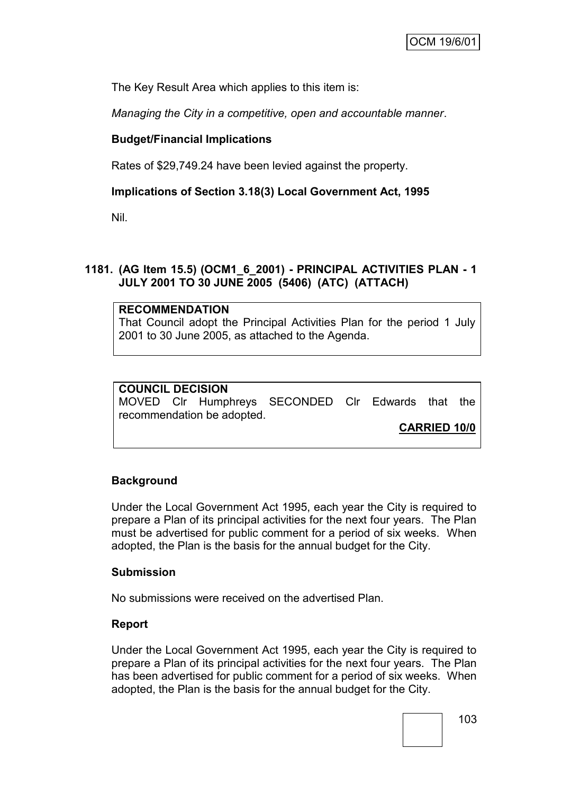The Key Result Area which applies to this item is:

*Managing the City in a competitive, open and accountable manner*.

## **Budget/Financial Implications**

Rates of \$29,749.24 have been levied against the property.

## **Implications of Section 3.18(3) Local Government Act, 1995**

Nil.

## **1181. (AG Item 15.5) (OCM1\_6\_2001) - PRINCIPAL ACTIVITIES PLAN - 1 JULY 2001 TO 30 JUNE 2005 (5406) (ATC) (ATTACH)**

#### **RECOMMENDATION**

That Council adopt the Principal Activities Plan for the period 1 July 2001 to 30 June 2005, as attached to the Agenda.

#### **COUNCIL DECISION** MOVED Clr Humphreys SECONDED Clr Edwards that the recommendation be adopted.

**CARRIED 10/0**

#### **Background**

Under the Local Government Act 1995, each year the City is required to prepare a Plan of its principal activities for the next four years. The Plan must be advertised for public comment for a period of six weeks. When adopted, the Plan is the basis for the annual budget for the City.

#### **Submission**

No submissions were received on the advertised Plan.

#### **Report**

Under the Local Government Act 1995, each year the City is required to prepare a Plan of its principal activities for the next four years. The Plan has been advertised for public comment for a period of six weeks. When adopted, the Plan is the basis for the annual budget for the City.

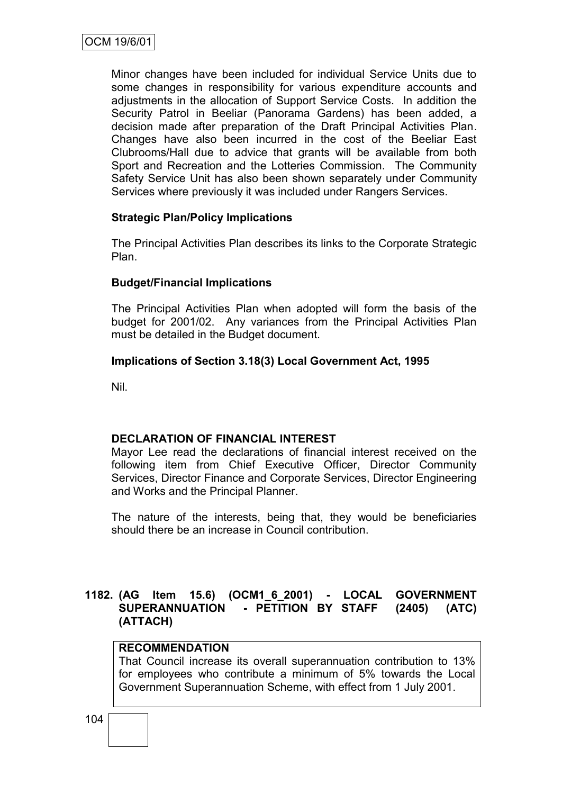Minor changes have been included for individual Service Units due to some changes in responsibility for various expenditure accounts and adjustments in the allocation of Support Service Costs. In addition the Security Patrol in Beeliar (Panorama Gardens) has been added, a decision made after preparation of the Draft Principal Activities Plan. Changes have also been incurred in the cost of the Beeliar East Clubrooms/Hall due to advice that grants will be available from both Sport and Recreation and the Lotteries Commission. The Community Safety Service Unit has also been shown separately under Community Services where previously it was included under Rangers Services.

## **Strategic Plan/Policy Implications**

The Principal Activities Plan describes its links to the Corporate Strategic Plan.

#### **Budget/Financial Implications**

The Principal Activities Plan when adopted will form the basis of the budget for 2001/02. Any variances from the Principal Activities Plan must be detailed in the Budget document.

#### **Implications of Section 3.18(3) Local Government Act, 1995**

Nil.

#### **DECLARATION OF FINANCIAL INTEREST**

Mayor Lee read the declarations of financial interest received on the following item from Chief Executive Officer, Director Community Services, Director Finance and Corporate Services, Director Engineering and Works and the Principal Planner.

The nature of the interests, being that, they would be beneficiaries should there be an increase in Council contribution.

## **1182. (AG Item 15.6) (OCM1\_6\_2001) - LOCAL GOVERNMENT SUPERANNUATION - PETITION BY STAFF (2405) (ATC) (ATTACH)**

## **RECOMMENDATION**

That Council increase its overall superannuation contribution to 13% for employees who contribute a minimum of 5% towards the Local Government Superannuation Scheme, with effect from 1 July 2001.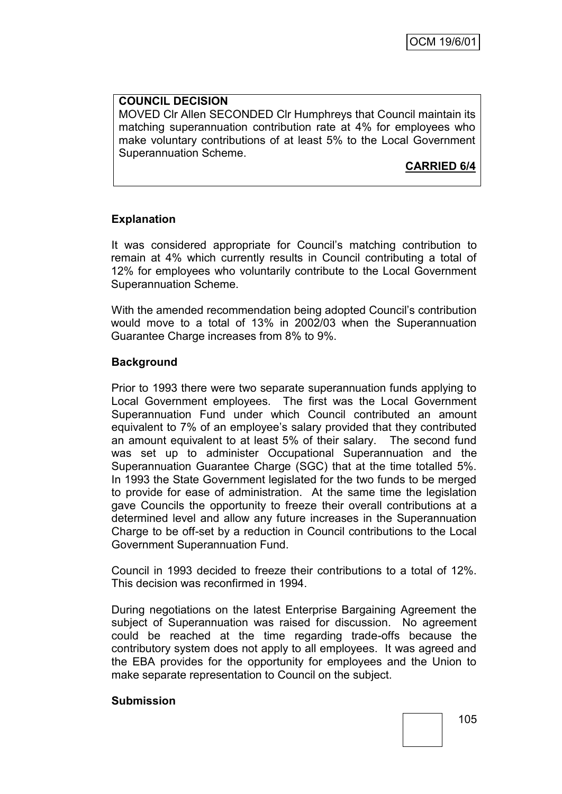## **COUNCIL DECISION**

MOVED Clr Allen SECONDED Clr Humphreys that Council maintain its matching superannuation contribution rate at 4% for employees who make voluntary contributions of at least 5% to the Local Government Superannuation Scheme.

# **CARRIED 6/4**

## **Explanation**

It was considered appropriate for Council"s matching contribution to remain at 4% which currently results in Council contributing a total of 12% for employees who voluntarily contribute to the Local Government Superannuation Scheme.

With the amended recommendation being adopted Council's contribution would move to a total of 13% in 2002/03 when the Superannuation Guarantee Charge increases from 8% to 9%.

## **Background**

Prior to 1993 there were two separate superannuation funds applying to Local Government employees. The first was the Local Government Superannuation Fund under which Council contributed an amount equivalent to 7% of an employee's salary provided that they contributed an amount equivalent to at least 5% of their salary. The second fund was set up to administer Occupational Superannuation and the Superannuation Guarantee Charge (SGC) that at the time totalled 5%. In 1993 the State Government legislated for the two funds to be merged to provide for ease of administration. At the same time the legislation gave Councils the opportunity to freeze their overall contributions at a determined level and allow any future increases in the Superannuation Charge to be off-set by a reduction in Council contributions to the Local Government Superannuation Fund.

Council in 1993 decided to freeze their contributions to a total of 12%. This decision was reconfirmed in 1994.

During negotiations on the latest Enterprise Bargaining Agreement the subject of Superannuation was raised for discussion. No agreement could be reached at the time regarding trade-offs because the contributory system does not apply to all employees. It was agreed and the EBA provides for the opportunity for employees and the Union to make separate representation to Council on the subject.

## **Submission**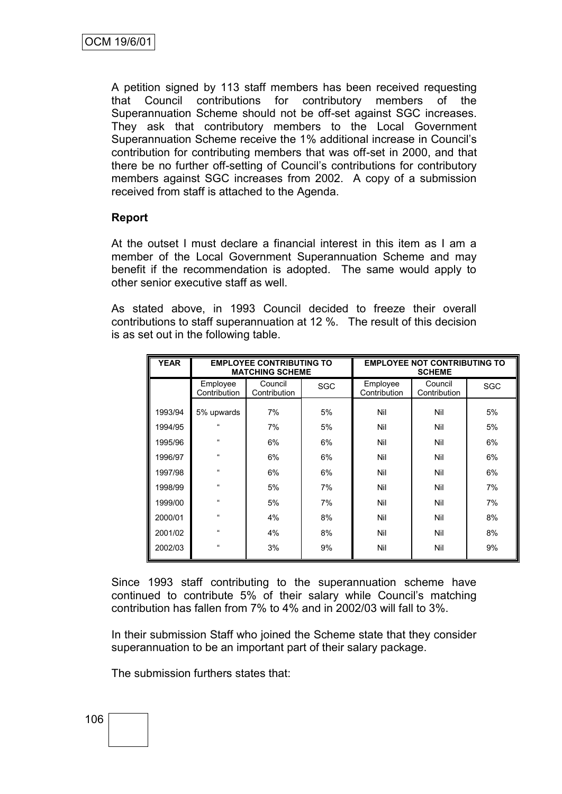A petition signed by 113 staff members has been received requesting that Council contributions for contributory members of the Superannuation Scheme should not be off-set against SGC increases. They ask that contributory members to the Local Government Superannuation Scheme receive the 1% additional increase in Council"s contribution for contributing members that was off-set in 2000, and that there be no further off-setting of Council"s contributions for contributory members against SGC increases from 2002. A copy of a submission received from staff is attached to the Agenda.

## **Report**

At the outset I must declare a financial interest in this item as I am a member of the Local Government Superannuation Scheme and may benefit if the recommendation is adopted. The same would apply to other senior executive staff as well.

As stated above, in 1993 Council decided to freeze their overall contributions to staff superannuation at 12 %. The result of this decision is as set out in the following table.

| <b>YEAR</b> | <b>EMPLOYEE CONTRIBUTING TO</b><br><b>MATCHING SCHEME</b> |                         |     |                          | <b>EMPLOYEE NOT CONTRIBUTING TO</b><br><b>SCHEME</b> |     |
|-------------|-----------------------------------------------------------|-------------------------|-----|--------------------------|------------------------------------------------------|-----|
|             | Employee<br>Contribution                                  | Council<br>Contribution | SGC | Employee<br>Contribution | Council<br>Contribution                              | SGC |
| 1993/94     | 5% upwards                                                | 7%                      | 5%  | Nil                      | Nil                                                  | 5%  |
| 1994/95     | $\epsilon$                                                | 7%                      | 5%  | Nil                      | Nil                                                  | 5%  |
| 1995/96     | $\epsilon$                                                | 6%                      | 6%  | Nil                      | Nil                                                  | 6%  |
| 1996/97     | $\epsilon$                                                | 6%                      | 6%  | Nil                      | Nil                                                  | 6%  |
| 1997/98     | $\mathfrak{c}$                                            | 6%                      | 6%  | Nil                      | Nil                                                  | 6%  |
| 1998/99     | $\epsilon$                                                | 5%                      | 7%  | Nil                      | Nil                                                  | 7%  |
| 1999/00     | $\epsilon$                                                | 5%                      | 7%  | Nil                      | Nil                                                  | 7%  |
| 2000/01     | $\epsilon$                                                | 4%                      | 8%  | Nil                      | Nil                                                  | 8%  |
| 2001/02     | $\epsilon$                                                | 4%                      | 8%  | Nil                      | Nil                                                  | 8%  |
| 2002/03     | $\mathfrak{c}\mathfrak{c}$                                | 3%                      | 9%  | Nil                      | Nil                                                  | 9%  |

Since 1993 staff contributing to the superannuation scheme have continued to contribute 5% of their salary while Council"s matching contribution has fallen from 7% to 4% and in 2002/03 will fall to 3%.

In their submission Staff who joined the Scheme state that they consider superannuation to be an important part of their salary package.

The submission furthers states that:

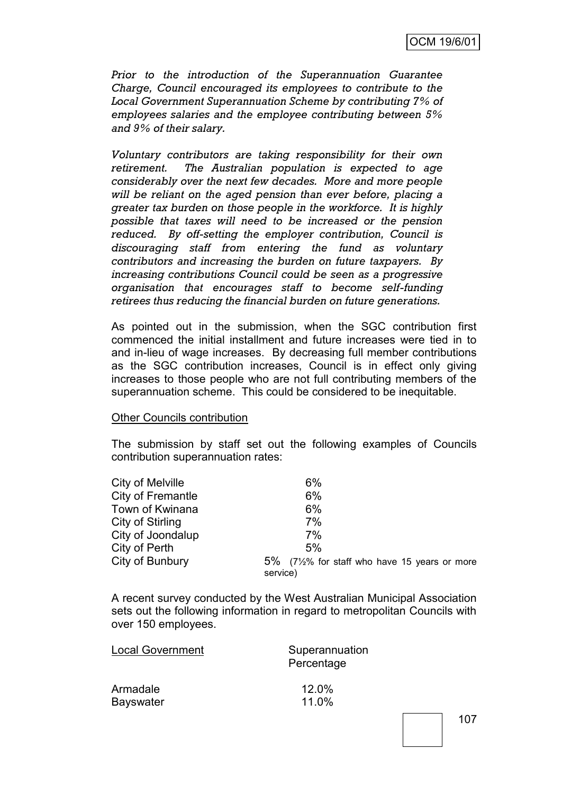*Prior to the introduction of the Superannuation Guarantee Charge, Council encouraged its employees to contribute to the Local Government Superannuation Scheme by contributing 7% of employees salaries and the employee contributing between 5% and 9% of their salary.*

*Voluntary contributors are taking responsibility for their own retirement. The Australian population is expected to age considerably over the next few decades. More and more people will be reliant on the aged pension than ever before, placing a greater tax burden on those people in the workforce. It is highly possible that taxes will need to be increased or the pension reduced. By off-setting the employer contribution, Council is discouraging staff from entering the fund as voluntary contributors and increasing the burden on future taxpayers. By increasing contributions Council could be seen as a progressive organisation that encourages staff to become self-funding retirees thus reducing the financial burden on future generations.*

As pointed out in the submission, when the SGC contribution first commenced the initial installment and future increases were tied in to and in-lieu of wage increases. By decreasing full member contributions as the SGC contribution increases, Council is in effect only giving increases to those people who are not full contributing members of the superannuation scheme. This could be considered to be inequitable.

#### Other Councils contribution

The submission by staff set out the following examples of Councils contribution superannuation rates:

| City of Melville  | 6%                                             |
|-------------------|------------------------------------------------|
| City of Fremantle | 6%                                             |
| Town of Kwinana   | 6%                                             |
| City of Stirling  | 7%                                             |
| City of Joondalup | 7%                                             |
| City of Perth     | 5%                                             |
| City of Bunbury   | $5\%$ (7½% for staff who have 15 years or more |
|                   | service)                                       |

A recent survey conducted by the West Australian Municipal Association sets out the following information in regard to metropolitan Councils with over 150 employees.

| <b>Local Government</b> | Superannuation<br>Percentage |  |  |  |  |
|-------------------------|------------------------------|--|--|--|--|
| Armadale                | 12.0%                        |  |  |  |  |
| <b>Bayswater</b>        | 11.0%                        |  |  |  |  |
|                         |                              |  |  |  |  |

107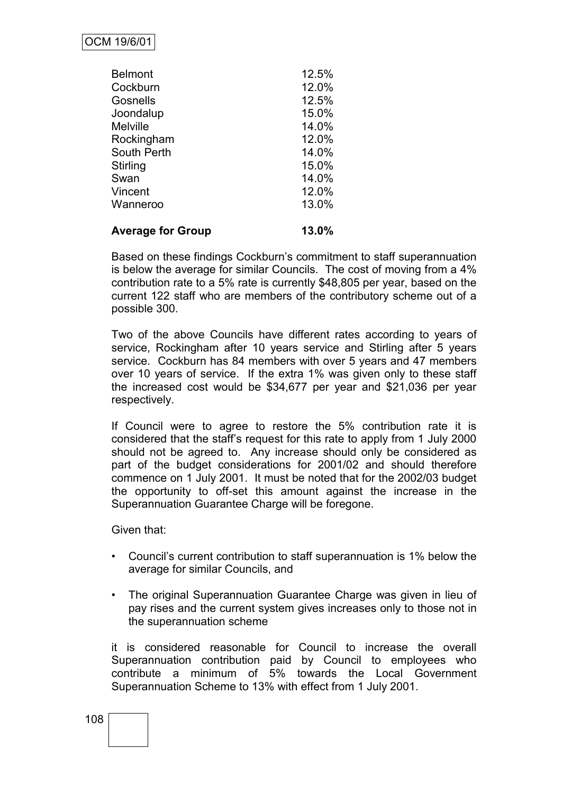| <b>Average for Group</b> | 13.0% |
|--------------------------|-------|
| Wanneroo                 | 13.0% |
| Vincent                  | 12.0% |
| Swan                     | 14.0% |
| Stirling                 | 15.0% |
| South Perth              | 14.0% |
| Rockingham               | 12.0% |
| <b>Melville</b>          | 14.0% |
| Joondalup                | 15.0% |
| Gosnells                 | 12.5% |
| Cockburn                 | 12.0% |
| <b>Belmont</b>           | 12.5% |

Based on these findings Cockburn"s commitment to staff superannuation is below the average for similar Councils. The cost of moving from a 4% contribution rate to a 5% rate is currently \$48,805 per year, based on the current 122 staff who are members of the contributory scheme out of a possible 300.

Two of the above Councils have different rates according to years of service, Rockingham after 10 years service and Stirling after 5 years service. Cockburn has 84 members with over 5 years and 47 members over 10 years of service. If the extra 1% was given only to these staff the increased cost would be \$34,677 per year and \$21,036 per year respectively.

If Council were to agree to restore the 5% contribution rate it is considered that the staff"s request for this rate to apply from 1 July 2000 should not be agreed to. Any increase should only be considered as part of the budget considerations for 2001/02 and should therefore commence on 1 July 2001. It must be noted that for the 2002/03 budget the opportunity to off-set this amount against the increase in the Superannuation Guarantee Charge will be foregone.

Given that:

- Council"s current contribution to staff superannuation is 1% below the average for similar Councils, and
- The original Superannuation Guarantee Charge was given in lieu of pay rises and the current system gives increases only to those not in the superannuation scheme

it is considered reasonable for Council to increase the overall Superannuation contribution paid by Council to employees who contribute a minimum of 5% towards the Local Government Superannuation Scheme to 13% with effect from 1 July 2001.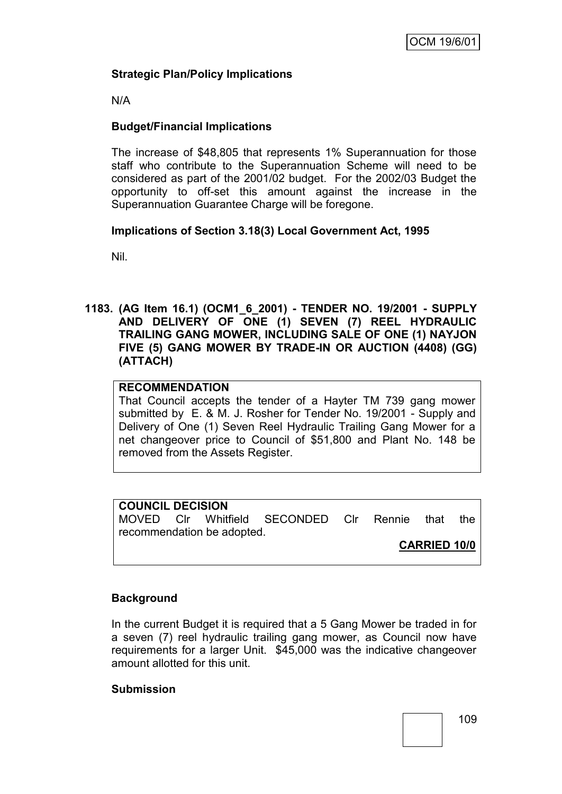## **Strategic Plan/Policy Implications**

N/A

## **Budget/Financial Implications**

The increase of \$48,805 that represents 1% Superannuation for those staff who contribute to the Superannuation Scheme will need to be considered as part of the 2001/02 budget. For the 2002/03 Budget the opportunity to off-set this amount against the increase in the Superannuation Guarantee Charge will be foregone.

## **Implications of Section 3.18(3) Local Government Act, 1995**

Nil.

**1183. (AG Item 16.1) (OCM1\_6\_2001) - TENDER NO. 19/2001 - SUPPLY AND DELIVERY OF ONE (1) SEVEN (7) REEL HYDRAULIC TRAILING GANG MOWER, INCLUDING SALE OF ONE (1) NAYJON FIVE (5) GANG MOWER BY TRADE-IN OR AUCTION (4408) (GG) (ATTACH)**

## **RECOMMENDATION**

That Council accepts the tender of a Hayter TM 739 gang mower submitted by E. & M. J. Rosher for Tender No. 19/2001 - Supply and Delivery of One (1) Seven Reel Hydraulic Trailing Gang Mower for a net changeover price to Council of \$51,800 and Plant No. 148 be removed from the Assets Register.

## **COUNCIL DECISION**

MOVED Clr Whitfield SECONDED Clr Rennie that the recommendation be adopted.

**CARRIED 10/0**

## **Background**

In the current Budget it is required that a 5 Gang Mower be traded in for a seven (7) reel hydraulic trailing gang mower, as Council now have requirements for a larger Unit. \$45,000 was the indicative changeover amount allotted for this unit.

## **Submission**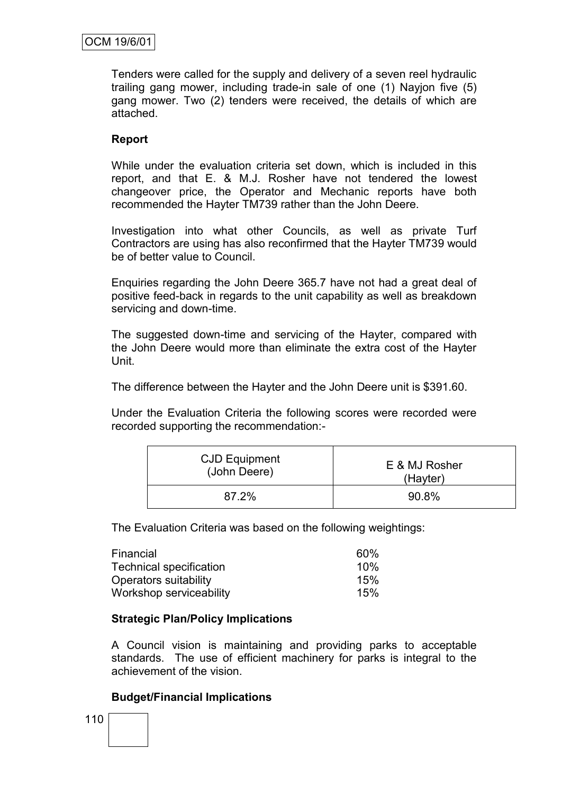Tenders were called for the supply and delivery of a seven reel hydraulic trailing gang mower, including trade-in sale of one (1) Nayjon five (5) gang mower. Two (2) tenders were received, the details of which are attached.

## **Report**

While under the evaluation criteria set down, which is included in this report, and that E. & M.J. Rosher have not tendered the lowest changeover price, the Operator and Mechanic reports have both recommended the Hayter TM739 rather than the John Deere.

Investigation into what other Councils, as well as private Turf Contractors are using has also reconfirmed that the Hayter TM739 would be of better value to Council.

Enquiries regarding the John Deere 365.7 have not had a great deal of positive feed-back in regards to the unit capability as well as breakdown servicing and down-time.

The suggested down-time and servicing of the Hayter, compared with the John Deere would more than eliminate the extra cost of the Hayter Unit.

The difference between the Hayter and the John Deere unit is \$391.60.

Under the Evaluation Criteria the following scores were recorded were recorded supporting the recommendation:-

| <b>CJD Equipment</b> | E & MJ Rosher |
|----------------------|---------------|
| (John Deere)         | (Hayter)      |
| 87.2%                | 90.8%         |

The Evaluation Criteria was based on the following weightings:

| Financial                      | 60% |
|--------------------------------|-----|
| <b>Technical specification</b> | 10% |
| Operators suitability          | 15% |
| Workshop serviceability        | 15% |

## **Strategic Plan/Policy Implications**

A Council vision is maintaining and providing parks to acceptable standards. The use of efficient machinery for parks is integral to the achievement of the vision.

## **Budget/Financial Implications**

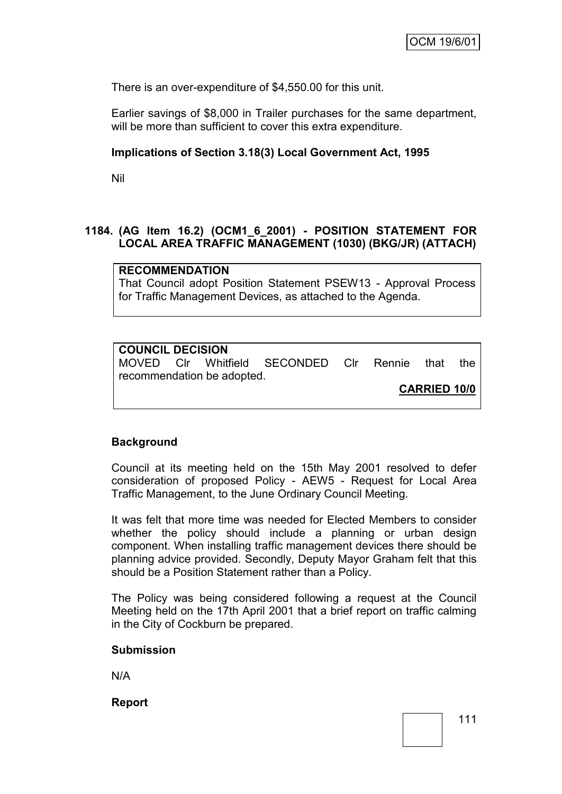There is an over-expenditure of \$4,550.00 for this unit.

Earlier savings of \$8,000 in Trailer purchases for the same department, will be more than sufficient to cover this extra expenditure.

### **Implications of Section 3.18(3) Local Government Act, 1995**

Nil

## **1184. (AG Item 16.2) (OCM1\_6\_2001) - POSITION STATEMENT FOR LOCAL AREA TRAFFIC MANAGEMENT (1030) (BKG/JR) (ATTACH)**

#### **RECOMMENDATION**

That Council adopt Position Statement PSEW13 - Approval Process for Traffic Management Devices, as attached to the Agenda.

## **COUNCIL DECISION**

MOVED Clr Whitfield SECONDED Clr Rennie that the recommendation be adopted.

**CARRIED 10/0**

## **Background**

Council at its meeting held on the 15th May 2001 resolved to defer consideration of proposed Policy - AEW5 - Request for Local Area Traffic Management, to the June Ordinary Council Meeting.

It was felt that more time was needed for Elected Members to consider whether the policy should include a planning or urban design component. When installing traffic management devices there should be planning advice provided. Secondly, Deputy Mayor Graham felt that this should be a Position Statement rather than a Policy.

The Policy was being considered following a request at the Council Meeting held on the 17th April 2001 that a brief report on traffic calming in the City of Cockburn be prepared.

#### **Submission**

N/A

**Report**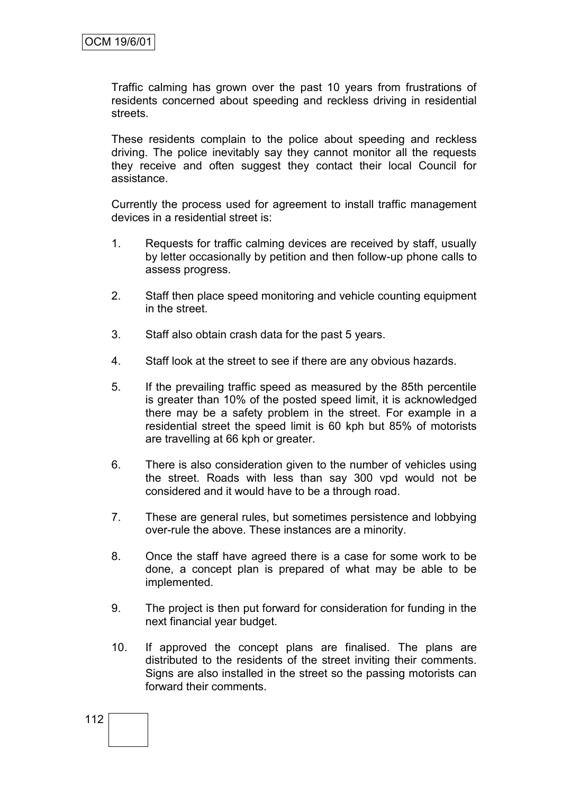Traffic calming has grown over the past 10 years from frustrations of residents concerned about speeding and reckless driving in residential streets.

These residents complain to the police about speeding and reckless driving. The police inevitably say they cannot monitor all the requests they receive and often suggest they contact their local Council for assistance.

Currently the process used for agreement to install traffic management devices in a residential street is:

- 1. Requests for traffic calming devices are received by staff, usually by letter occasionally by petition and then follow-up phone calls to assess progress.
- 2. Staff then place speed monitoring and vehicle counting equipment in the street.
- 3. Staff also obtain crash data for the past 5 years.
- 4. Staff look at the street to see if there are any obvious hazards.
- 5. If the prevailing traffic speed as measured by the 85th percentile is greater than 10% of the posted speed limit, it is acknowledged there may be a safety problem in the street. For example in a residential street the speed limit is 60 kph but 85% of motorists are travelling at 66 kph or greater.
- 6. There is also consideration given to the number of vehicles using the street. Roads with less than say 300 vpd would not be considered and it would have to be a through road.
- 7. These are general rules, but sometimes persistence and lobbying over-rule the above. These instances are a minority.
- 8. Once the staff have agreed there is a case for some work to be done, a concept plan is prepared of what may be able to be implemented.
- 9. The project is then put forward for consideration for funding in the next financial year budget.
- 10. If approved the concept plans are finalised. The plans are distributed to the residents of the street inviting their comments. Signs are also installed in the street so the passing motorists can forward their comments.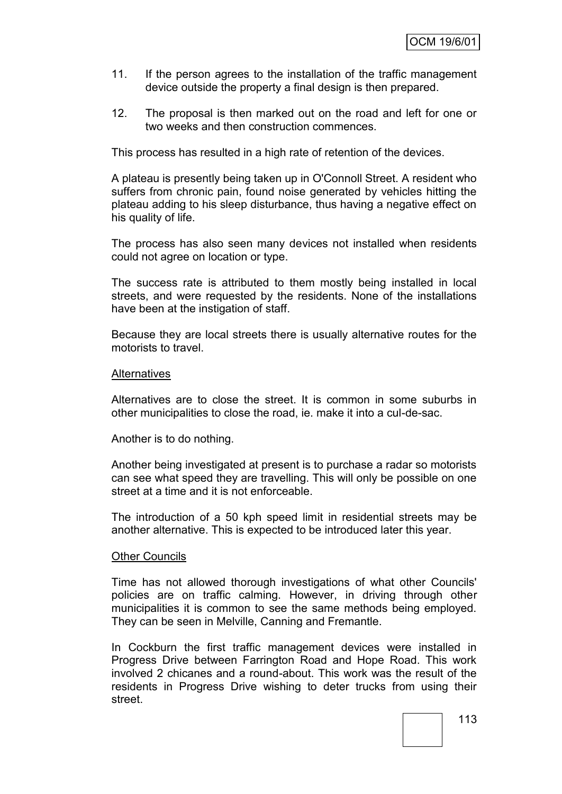- 11. If the person agrees to the installation of the traffic management device outside the property a final design is then prepared.
- 12. The proposal is then marked out on the road and left for one or two weeks and then construction commences.

This process has resulted in a high rate of retention of the devices.

A plateau is presently being taken up in O'Connoll Street. A resident who suffers from chronic pain, found noise generated by vehicles hitting the plateau adding to his sleep disturbance, thus having a negative effect on his quality of life.

The process has also seen many devices not installed when residents could not agree on location or type.

The success rate is attributed to them mostly being installed in local streets, and were requested by the residents. None of the installations have been at the instigation of staff.

Because they are local streets there is usually alternative routes for the motorists to travel.

#### **Alternatives**

Alternatives are to close the street. It is common in some suburbs in other municipalities to close the road, ie. make it into a cul-de-sac.

Another is to do nothing.

Another being investigated at present is to purchase a radar so motorists can see what speed they are travelling. This will only be possible on one street at a time and it is not enforceable.

The introduction of a 50 kph speed limit in residential streets may be another alternative. This is expected to be introduced later this year.

#### Other Councils

Time has not allowed thorough investigations of what other Councils' policies are on traffic calming. However, in driving through other municipalities it is common to see the same methods being employed. They can be seen in Melville, Canning and Fremantle.

In Cockburn the first traffic management devices were installed in Progress Drive between Farrington Road and Hope Road. This work involved 2 chicanes and a round-about. This work was the result of the residents in Progress Drive wishing to deter trucks from using their street.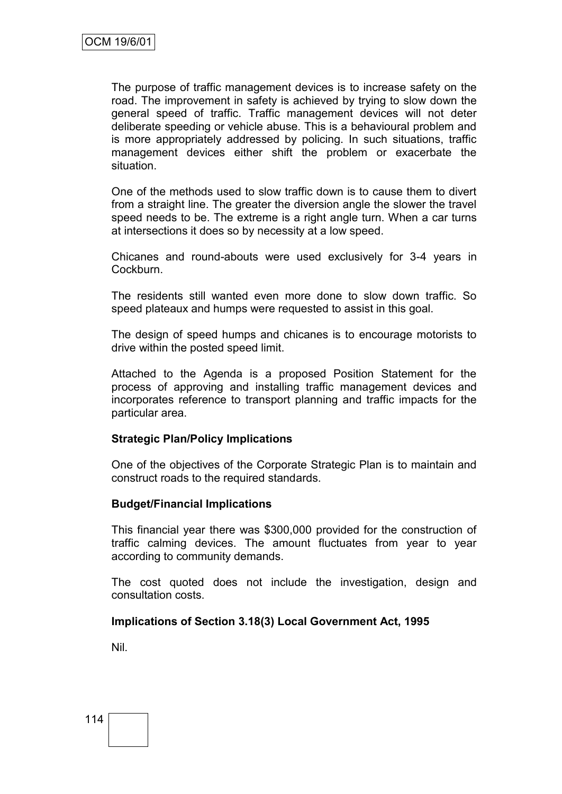The purpose of traffic management devices is to increase safety on the road. The improvement in safety is achieved by trying to slow down the general speed of traffic. Traffic management devices will not deter deliberate speeding or vehicle abuse. This is a behavioural problem and is more appropriately addressed by policing. In such situations, traffic management devices either shift the problem or exacerbate the situation.

One of the methods used to slow traffic down is to cause them to divert from a straight line. The greater the diversion angle the slower the travel speed needs to be. The extreme is a right angle turn. When a car turns at intersections it does so by necessity at a low speed.

Chicanes and round-abouts were used exclusively for 3-4 years in Cockburn.

The residents still wanted even more done to slow down traffic. So speed plateaux and humps were requested to assist in this goal.

The design of speed humps and chicanes is to encourage motorists to drive within the posted speed limit.

Attached to the Agenda is a proposed Position Statement for the process of approving and installing traffic management devices and incorporates reference to transport planning and traffic impacts for the particular area.

#### **Strategic Plan/Policy Implications**

One of the objectives of the Corporate Strategic Plan is to maintain and construct roads to the required standards.

#### **Budget/Financial Implications**

This financial year there was \$300,000 provided for the construction of traffic calming devices. The amount fluctuates from year to year according to community demands.

The cost quoted does not include the investigation, design and consultation costs.

## **Implications of Section 3.18(3) Local Government Act, 1995**

Nil.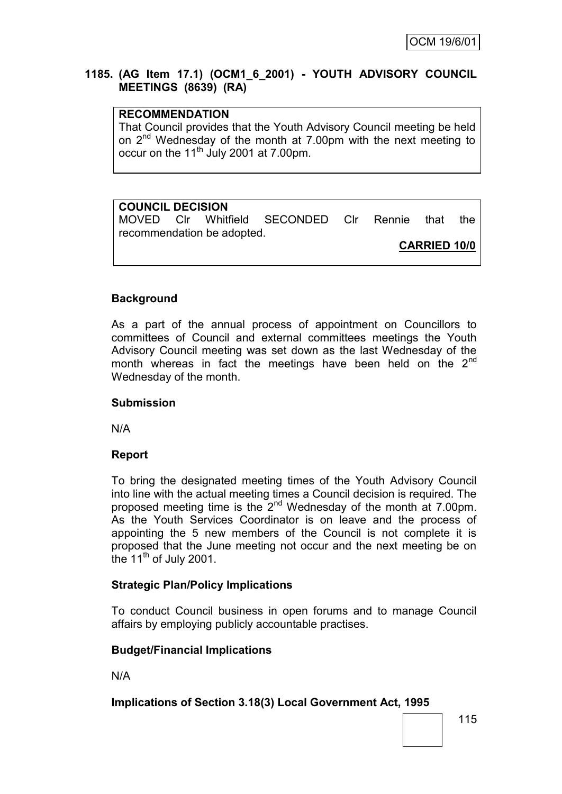## **1185. (AG Item 17.1) (OCM1\_6\_2001) - YOUTH ADVISORY COUNCIL MEETINGS (8639) (RA)**

## **RECOMMENDATION**

That Council provides that the Youth Advisory Council meeting be held on 2nd Wednesday of the month at 7.00pm with the next meeting to occur on the 11<sup>th</sup> July 2001 at 7.00pm.

# **COUNCIL DECISION**

MOVED Clr Whitfield SECONDED Clr Rennie that the recommendation be adopted.

**CARRIED 10/0**

## **Background**

As a part of the annual process of appointment on Councillors to committees of Council and external committees meetings the Youth Advisory Council meeting was set down as the last Wednesday of the month whereas in fact the meetings have been held on the  $2<sup>nd</sup>$ Wednesday of the month.

## **Submission**

N/A

## **Report**

To bring the designated meeting times of the Youth Advisory Council into line with the actual meeting times a Council decision is required. The proposed meeting time is the 2nd Wednesday of the month at 7.00pm. As the Youth Services Coordinator is on leave and the process of appointing the 5 new members of the Council is not complete it is proposed that the June meeting not occur and the next meeting be on the  $11<sup>th</sup>$  of July 2001.

## **Strategic Plan/Policy Implications**

To conduct Council business in open forums and to manage Council affairs by employing publicly accountable practises.

## **Budget/Financial Implications**

N/A

## **Implications of Section 3.18(3) Local Government Act, 1995**

115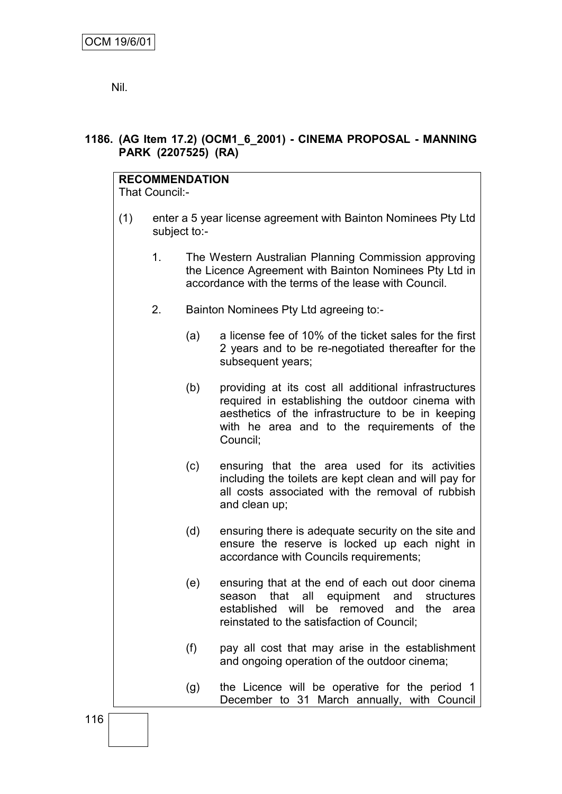Nil.

## **1186. (AG Item 17.2) (OCM1\_6\_2001) - CINEMA PROPOSAL - MANNING PARK (2207525) (RA)**

# **RECOMMENDATION**

That Council:-

- (1) enter a 5 year license agreement with Bainton Nominees Pty Ltd subject to:-
	- 1. The Western Australian Planning Commission approving the Licence Agreement with Bainton Nominees Pty Ltd in accordance with the terms of the lease with Council.
	- 2. Bainton Nominees Pty Ltd agreeing to:-
		- (a) a license fee of 10% of the ticket sales for the first 2 years and to be re-negotiated thereafter for the subsequent years;
		- (b) providing at its cost all additional infrastructures required in establishing the outdoor cinema with aesthetics of the infrastructure to be in keeping with he area and to the requirements of the Council;
		- (c) ensuring that the area used for its activities including the toilets are kept clean and will pay for all costs associated with the removal of rubbish and clean up;
		- (d) ensuring there is adequate security on the site and ensure the reserve is locked up each night in accordance with Councils requirements;
		- (e) ensuring that at the end of each out door cinema season that all equipment and structures established will be removed and the area reinstated to the satisfaction of Council;
		- (f) pay all cost that may arise in the establishment and ongoing operation of the outdoor cinema;
		- (g) the Licence will be operative for the period 1 December to 31 March annually, with Council

116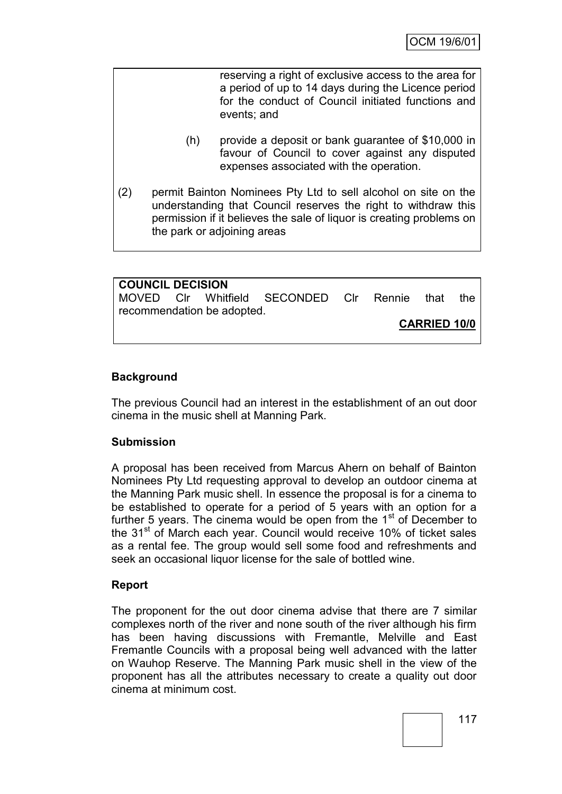reserving a right of exclusive access to the area for a period of up to 14 days during the Licence period for the conduct of Council initiated functions and events; and

- (h) provide a deposit or bank guarantee of \$10,000 in favour of Council to cover against any disputed expenses associated with the operation.
- (2) permit Bainton Nominees Pty Ltd to sell alcohol on site on the understanding that Council reserves the right to withdraw this permission if it believes the sale of liquor is creating problems on the park or adjoining areas

| <b>COUNCIL DECISION</b> |                            |                                              |  |                     |     |
|-------------------------|----------------------------|----------------------------------------------|--|---------------------|-----|
|                         |                            | MOVED CIr Whitfield SECONDED CIr Rennie that |  |                     | the |
|                         | recommendation be adopted. |                                              |  |                     |     |
|                         |                            |                                              |  | <b>CARRIED 10/0</b> |     |
|                         |                            |                                              |  |                     |     |

## **Background**

The previous Council had an interest in the establishment of an out door cinema in the music shell at Manning Park.

## **Submission**

A proposal has been received from Marcus Ahern on behalf of Bainton Nominees Pty Ltd requesting approval to develop an outdoor cinema at the Manning Park music shell. In essence the proposal is for a cinema to be established to operate for a period of 5 years with an option for a further 5 years. The cinema would be open from the  $1<sup>st</sup>$  of December to the 31<sup>st</sup> of March each year. Council would receive 10% of ticket sales as a rental fee. The group would sell some food and refreshments and seek an occasional liquor license for the sale of bottled wine.

## **Report**

The proponent for the out door cinema advise that there are 7 similar complexes north of the river and none south of the river although his firm has been having discussions with Fremantle, Melville and East Fremantle Councils with a proposal being well advanced with the latter on Wauhop Reserve. The Manning Park music shell in the view of the proponent has all the attributes necessary to create a quality out door cinema at minimum cost.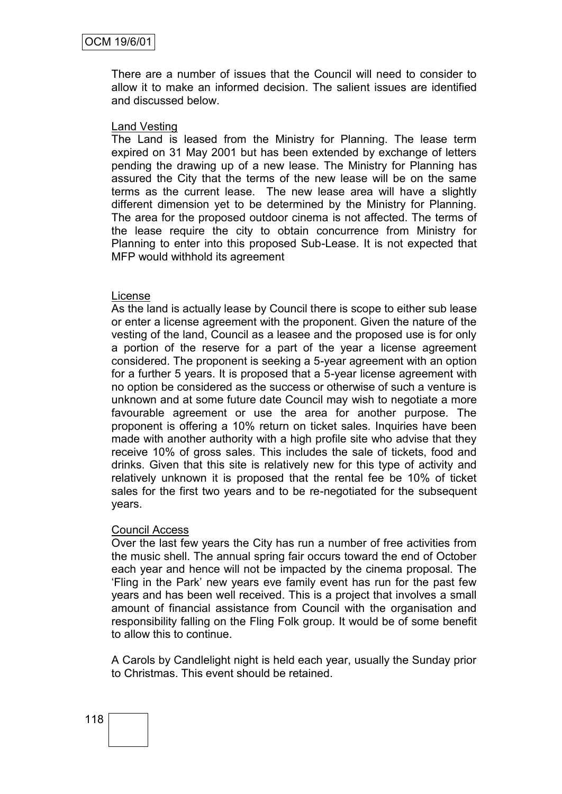There are a number of issues that the Council will need to consider to allow it to make an informed decision. The salient issues are identified and discussed below.

#### Land Vesting

The Land is leased from the Ministry for Planning. The lease term expired on 31 May 2001 but has been extended by exchange of letters pending the drawing up of a new lease. The Ministry for Planning has assured the City that the terms of the new lease will be on the same terms as the current lease. The new lease area will have a slightly different dimension yet to be determined by the Ministry for Planning. The area for the proposed outdoor cinema is not affected. The terms of the lease require the city to obtain concurrence from Ministry for Planning to enter into this proposed Sub-Lease. It is not expected that MFP would withhold its agreement

#### License

As the land is actually lease by Council there is scope to either sub lease or enter a license agreement with the proponent. Given the nature of the vesting of the land, Council as a leasee and the proposed use is for only a portion of the reserve for a part of the year a license agreement considered. The proponent is seeking a 5-year agreement with an option for a further 5 years. It is proposed that a 5-year license agreement with no option be considered as the success or otherwise of such a venture is unknown and at some future date Council may wish to negotiate a more favourable agreement or use the area for another purpose. The proponent is offering a 10% return on ticket sales. Inquiries have been made with another authority with a high profile site who advise that they receive 10% of gross sales. This includes the sale of tickets, food and drinks. Given that this site is relatively new for this type of activity and relatively unknown it is proposed that the rental fee be 10% of ticket sales for the first two years and to be re-negotiated for the subsequent years.

#### Council Access

Over the last few years the City has run a number of free activities from the music shell. The annual spring fair occurs toward the end of October each year and hence will not be impacted by the cinema proposal. The "Fling in the Park" new years eve family event has run for the past few years and has been well received. This is a project that involves a small amount of financial assistance from Council with the organisation and responsibility falling on the Fling Folk group. It would be of some benefit to allow this to continue.

A Carols by Candlelight night is held each year, usually the Sunday prior to Christmas. This event should be retained.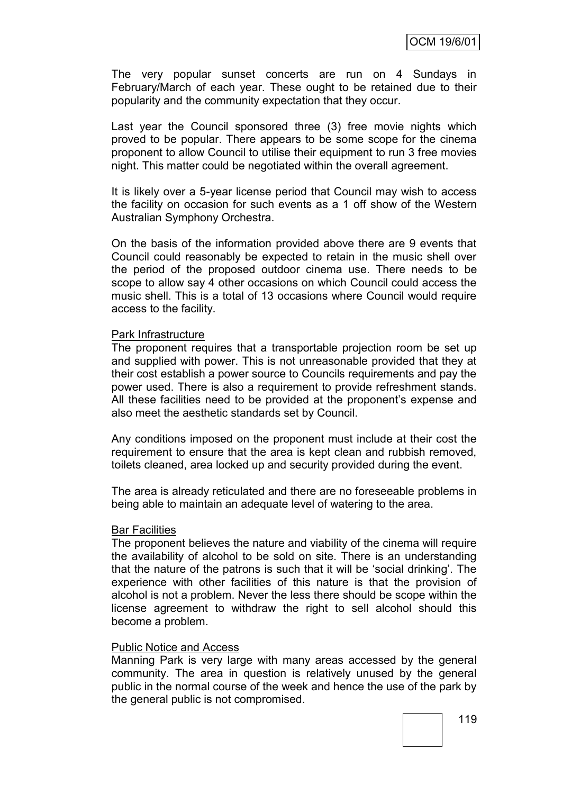The very popular sunset concerts are run on 4 Sundays in February/March of each year. These ought to be retained due to their popularity and the community expectation that they occur.

Last year the Council sponsored three (3) free movie nights which proved to be popular. There appears to be some scope for the cinema proponent to allow Council to utilise their equipment to run 3 free movies night. This matter could be negotiated within the overall agreement.

It is likely over a 5-year license period that Council may wish to access the facility on occasion for such events as a 1 off show of the Western Australian Symphony Orchestra.

On the basis of the information provided above there are 9 events that Council could reasonably be expected to retain in the music shell over the period of the proposed outdoor cinema use. There needs to be scope to allow say 4 other occasions on which Council could access the music shell. This is a total of 13 occasions where Council would require access to the facility.

#### Park Infrastructure

The proponent requires that a transportable projection room be set up and supplied with power. This is not unreasonable provided that they at their cost establish a power source to Councils requirements and pay the power used. There is also a requirement to provide refreshment stands. All these facilities need to be provided at the proponent's expense and also meet the aesthetic standards set by Council.

Any conditions imposed on the proponent must include at their cost the requirement to ensure that the area is kept clean and rubbish removed, toilets cleaned, area locked up and security provided during the event.

The area is already reticulated and there are no foreseeable problems in being able to maintain an adequate level of watering to the area.

#### Bar Facilities

The proponent believes the nature and viability of the cinema will require the availability of alcohol to be sold on site. There is an understanding that the nature of the patrons is such that it will be "social drinking". The experience with other facilities of this nature is that the provision of alcohol is not a problem. Never the less there should be scope within the license agreement to withdraw the right to sell alcohol should this become a problem.

#### Public Notice and Access

Manning Park is very large with many areas accessed by the general community. The area in question is relatively unused by the general public in the normal course of the week and hence the use of the park by the general public is not compromised.

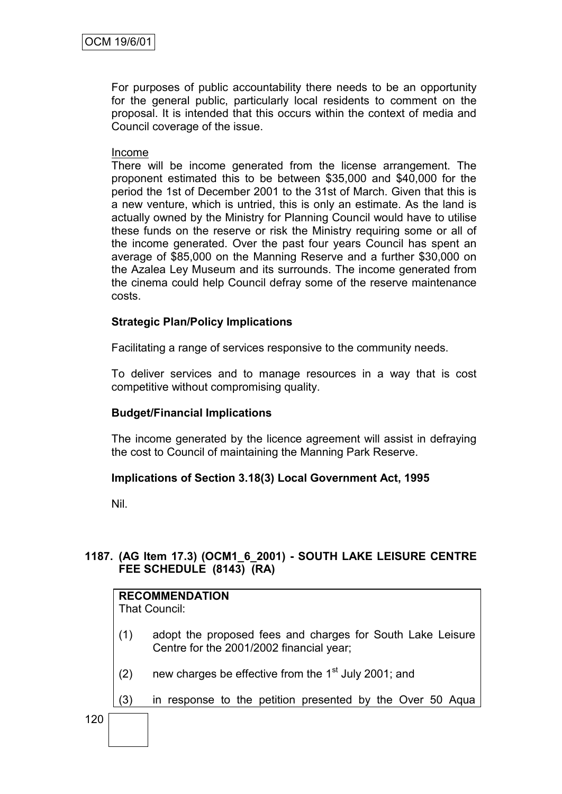For purposes of public accountability there needs to be an opportunity for the general public, particularly local residents to comment on the proposal. It is intended that this occurs within the context of media and Council coverage of the issue.

#### Income

There will be income generated from the license arrangement. The proponent estimated this to be between \$35,000 and \$40,000 for the period the 1st of December 2001 to the 31st of March. Given that this is a new venture, which is untried, this is only an estimate. As the land is actually owned by the Ministry for Planning Council would have to utilise these funds on the reserve or risk the Ministry requiring some or all of the income generated. Over the past four years Council has spent an average of \$85,000 on the Manning Reserve and a further \$30,000 on the Azalea Ley Museum and its surrounds. The income generated from the cinema could help Council defray some of the reserve maintenance costs.

## **Strategic Plan/Policy Implications**

Facilitating a range of services responsive to the community needs.

To deliver services and to manage resources in a way that is cost competitive without compromising quality.

## **Budget/Financial Implications**

The income generated by the licence agreement will assist in defraying the cost to Council of maintaining the Manning Park Reserve.

## **Implications of Section 3.18(3) Local Government Act, 1995**

Nil.

## **1187. (AG Item 17.3) (OCM1\_6\_2001) - SOUTH LAKE LEISURE CENTRE FEE SCHEDULE (8143) (RA)**

|     |     | <b>RECOMMENDATION</b><br>That Council:                                                                 |  |  |  |  |  |  |
|-----|-----|--------------------------------------------------------------------------------------------------------|--|--|--|--|--|--|
|     | (1) | adopt the proposed fees and charges for South Lake Leisure<br>Centre for the 2001/2002 financial year; |  |  |  |  |  |  |
|     | (2) | new charges be effective from the 1 <sup>st</sup> July 2001; and                                       |  |  |  |  |  |  |
|     | (3) | in response to the petition presented by the Over 50 Aqua                                              |  |  |  |  |  |  |
| 120 |     |                                                                                                        |  |  |  |  |  |  |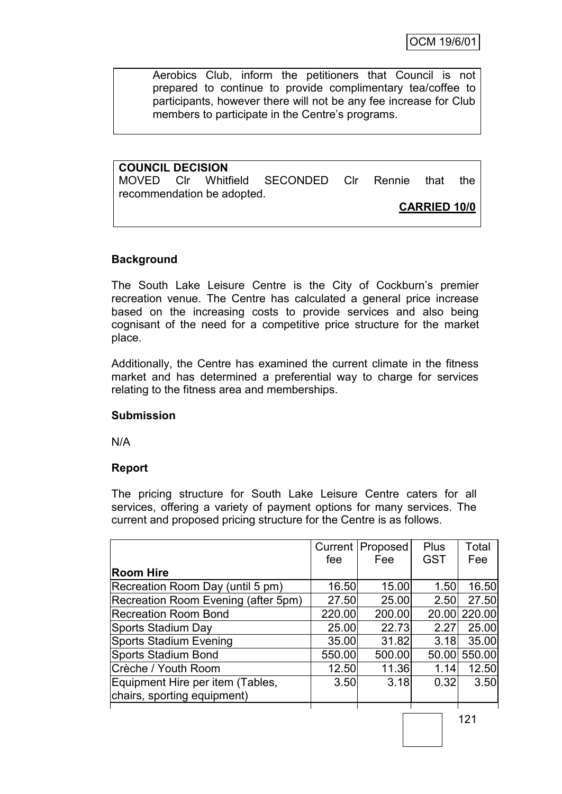OCM 19/6/01

Aerobics Club, inform the petitioners that Council is not prepared to continue to provide complimentary tea/coffee to participants, however there will not be any fee increase for Club members to participate in the Centre's programs.

**COUNCIL DECISION** MOVED Clr Whitfield SECONDED Clr Rennie that the recommendation be adopted.

## **CARRIED 10/0**

## **Background**

The South Lake Leisure Centre is the City of Cockburn's premier recreation venue. The Centre has calculated a general price increase based on the increasing costs to provide services and also being cognisant of the need for a competitive price structure for the market place.

Additionally, the Centre has examined the current climate in the fitness market and has determined a preferential way to charge for services relating to the fitness area and memberships.

## **Submission**

N/A

## **Report**

The pricing structure for South Lake Leisure Centre caters for all services, offering a variety of payment options for many services. The current and proposed pricing structure for the Centre is as follows.

|                                     |        | Current   Proposed | <b>Plus</b> | Total  |
|-------------------------------------|--------|--------------------|-------------|--------|
|                                     | fee    | Fee                | <b>GST</b>  | Fee    |
| <b>Room Hire</b>                    |        |                    |             |        |
| Recreation Room Day (until 5 pm)    | 16.50  | 15.00              | 1.50        | 16.50  |
| Recreation Room Evening (after 5pm) | 27.50  | 25.00              | 2.50        | 27.50  |
| <b>Recreation Room Bond</b>         | 220.00 | 200.00             | 20.00       | 220.00 |
| Sports Stadium Day                  | 25.00  | 22.73              | 2.27        | 25.00  |
| <b>Sports Stadium Evening</b>       | 35.00  | 31.82              | 3.18        | 35.00  |
| Sports Stadium Bond                 | 550.00 | 500.00             | 50.00       | 550.00 |
| Crèche / Youth Room                 | 12.50  | 11.36              | 1.14        | 12.50  |
| Equipment Hire per item (Tables,    | 3.50   | 3.18               | 0.32        | 3.50   |
| chairs, sporting equipment)         |        |                    |             |        |
|                                     |        |                    |             |        |

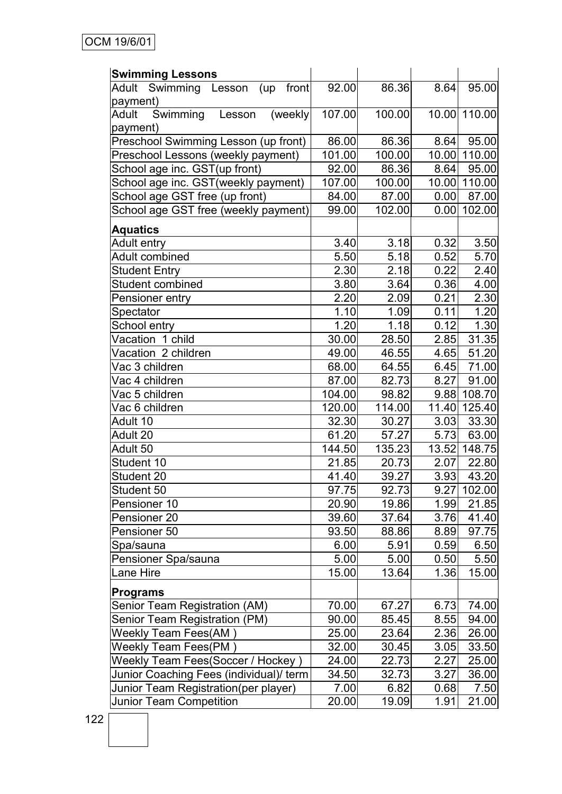| <b>Swimming Lessons</b>                 |        |                   |       |               |
|-----------------------------------------|--------|-------------------|-------|---------------|
| Adult Swimming Lesson (up front         | 92.00  | 86.36             | 8.64  | 95.00         |
| payment)                                |        |                   |       |               |
| Swimming<br>Adult<br>(weekly)<br>Lesson | 107.00 | 100.00            |       | 10.00 110.00  |
| payment)                                |        |                   |       |               |
| Preschool Swimming Lesson (up front)    | 86.00  | 86.36             | 8.64  | 95.00         |
| Preschool Lessons (weekly payment)      | 101.00 | 100.00            |       | 10.00 110.00  |
| School age inc. GST(up front)           | 92.00  | 86.36             | 8.64  | 95.00         |
| School age inc. GST(weekly payment)     | 107.00 | 100.00            |       | 10.00 110.00  |
| School age GST free (up front)          | 84.00  | 87.00             | 0.00  | 87.00         |
| School age GST free (weekly payment)    | 99.00  | 102.00            | 0.00  | 102.00        |
| <b>Aquatics</b>                         |        |                   |       |               |
| Adult entry                             | 3.40   | 3.18              | 0.32  | 3.50          |
| Adult combined                          | 5.50   | 5.18              | 0.52  | 5.70          |
| <b>Student Entry</b>                    | 2.30   | $\overline{2.18}$ | 0.22  | 2.40          |
| Student combined                        | 3.80   | 3.64              | 0.36  | 4.00          |
| Pensioner entry                         | 2.20   | 2.09              | 0.21  | 2.30          |
| Spectator                               | 1.10   | 1.09              | 0.11  | 1.20          |
| School entry                            | 1.20   | 1.18              | 0.12  | 1.30          |
| Vacation 1 child                        | 30.00  | 28.50             | 2.85  | 31.35         |
| Vacation 2 children                     | 49.00  | 46.55             | 4.65  | 51.20         |
| Vac 3 children                          | 68.00  | 64.55             | 6.45  | 71.00         |
| Vac 4 children                          | 87.00  | 82.73             | 8.27  | 91.00         |
| Vac 5 children                          | 104.00 | 98.82             | 9.88  | 108.70        |
| Vac 6 children                          | 120.00 | 114.00            | 11.40 | 125.40        |
| Adult 10                                | 32.30  | 30.27             | 3.03  | 33.30         |
| Adult 20                                | 61.20  | 57.27             | 5.73  | 63.00         |
| Adult 50                                | 144.50 | 135.23            |       | 13.52 148.75  |
| Student 10                              | 21.85  | 20.73             | 2.07  | 22.80         |
| Student 20                              | 41.40  | 39.27             | 3.93  | 43.20         |
| Student 50                              | 97.75  | 92.73             |       | $9.27$ 102.00 |
| Pensioner 10                            | 20.90  | 19.86             | 1.99  | 21.85         |
| Pensioner 20                            | 39.60  | 37.64             | 3.76  | 41.40         |
| Pensioner 50                            | 93.50  | 88.86             | 8.89  | 97.75         |
| Spa/sauna                               | 6.00   | 5.91              | 0.59  | 6.50          |
| Pensioner Spa/sauna                     | 5.00   | 5.00              | 0.50  | 5.50          |
| Lane Hire                               | 15.00  | 13.64             | 1.36  | 15.00         |
| <b>Programs</b>                         |        |                   |       |               |
| Senior Team Registration (AM)           | 70.00  | 67.27             | 6.73  | 74.00         |
| Senior Team Registration (PM)           | 90.00  | 85.45             | 8.55  | 94.00         |
| <b>Weekly Team Fees(AM)</b>             | 25.00  | 23.64             | 2.36  | 26.00         |
| Weekly Team Fees(PM)                    | 32.00  | 30.45             | 3.05  | 33.50         |
| Weekly Team Fees(Soccer / Hockey)       | 24.00  | 22.73             | 2.27  | 25.00         |
| Junior Coaching Fees (individual)/ term | 34.50  | 32.73             | 3.27  | 36.00         |
| Junior Team Registration(per player)    | 7.00   | 6.82              | 0.68  | 7.50          |
| Junior Team Competition                 | 20.00  | 19.09             | 1.91  | 21.00         |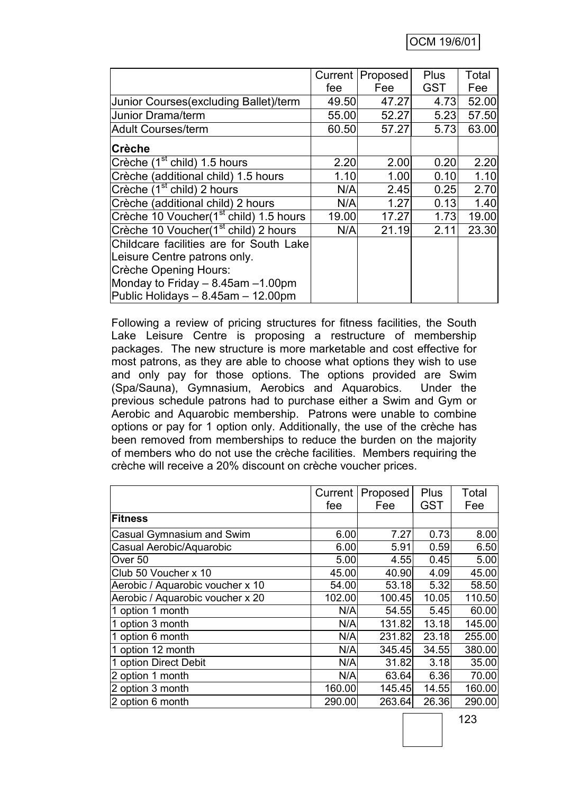|                                                    | Current | Proposed | Plus       | Total |
|----------------------------------------------------|---------|----------|------------|-------|
|                                                    | fee     | Fee      | <b>GST</b> | Fee   |
| Junior Courses (excluding Ballet)/term             | 49.50   | 47.27    | 4.73       | 52.00 |
| Junior Drama/term                                  | 55.00   | 52.27    | 5.23       | 57.50 |
| Adult Courses/term                                 | 60.50   | 57.27    | 5.73       | 63.00 |
| <b>Crèche</b>                                      |         |          |            |       |
| Crèche (1 <sup>st</sup> child) 1.5 hours           | 2.20    | 2.00     | 0.20       | 2.20  |
| Crèche (additional child) 1.5 hours                | 1.10    | 1.00     | 0.10       | 1.10  |
| Crèche (1 <sup>st</sup> child) 2 hours             | N/A     | 2.45     | 0.25       | 2.70  |
| Crèche (additional child) 2 hours                  | N/A     | 1.27     | 0.13       | 1.40  |
| Crèche 10 Voucher(1 <sup>st</sup> child) 1.5 hours | 19.00   | 17.27    | 1.73       | 19.00 |
| Crèche 10 Voucher(1 <sup>st</sup> child) 2 hours   | N/A     | 21.19    | 2.11       | 23.30 |
| Childcare facilities are for South Lake            |         |          |            |       |
| Leisure Centre patrons only.                       |         |          |            |       |
| Crèche Opening Hours:                              |         |          |            |       |
| Monday to Friday - 8.45am -1.00pm                  |         |          |            |       |
| Public Holidays $- 8.45$ am $- 12.00$ pm           |         |          |            |       |

Following a review of pricing structures for fitness facilities, the South Lake Leisure Centre is proposing a restructure of membership packages. The new structure is more marketable and cost effective for most patrons, as they are able to choose what options they wish to use and only pay for those options. The options provided are Swim (Spa/Sauna), Gymnasium, Aerobics and Aquarobics. Under the previous schedule patrons had to purchase either a Swim and Gym or Aerobic and Aquarobic membership. Patrons were unable to combine options or pay for 1 option only. Additionally, the use of the crèche has been removed from memberships to reduce the burden on the majority of members who do not use the crèche facilities. Members requiring the crèche will receive a 20% discount on crèche voucher prices.

|                                  | Current | Proposed | Plus       | Total  |
|----------------------------------|---------|----------|------------|--------|
|                                  | fee     | Fee      | <b>GST</b> | Fee    |
| Fitness                          |         |          |            |        |
| Casual Gymnasium and Swim        | 6.00    | 7.27     | 0.73       | 8.00   |
| Casual Aerobic/Aquarobic         | 6.00    | 5.91     | 0.59       | 6.50   |
| Over <sub>50</sub>               | 5.00    | 4.55     | 0.45       | 5.00   |
| Club 50 Voucher x 10             | 45.00   | 40.90    | 4.09       | 45.00  |
| Aerobic / Aquarobic voucher x 10 | 54.00   | 53.18    | 5.32       | 58.50  |
| Aerobic / Aquarobic voucher x 20 | 102.00  | 100.45   | 10.05      | 110.50 |
| 1 option 1 month                 | N/A     | 54.55    | 5.45       | 60.00  |
| 1 option 3 month                 | N/A     | 131.82   | 13.18      | 145.00 |
| 1 option 6 month                 | N/A     | 231.82   | 23.18      | 255.00 |
| 1 option 12 month                | N/A     | 345.45   | 34.55      | 380.00 |
| 1 option Direct Debit            | N/A     | 31.82    | 3.18       | 35.00  |
| 2 option 1 month                 | N/A     | 63.64    | 6.36       | 70.00  |
| 2 option 3 month                 | 160.00  | 145.45   | 14.55      | 160.00 |
| 2 option 6 month                 | 290.00  | 263.64   | 26.36      | 290.00 |

123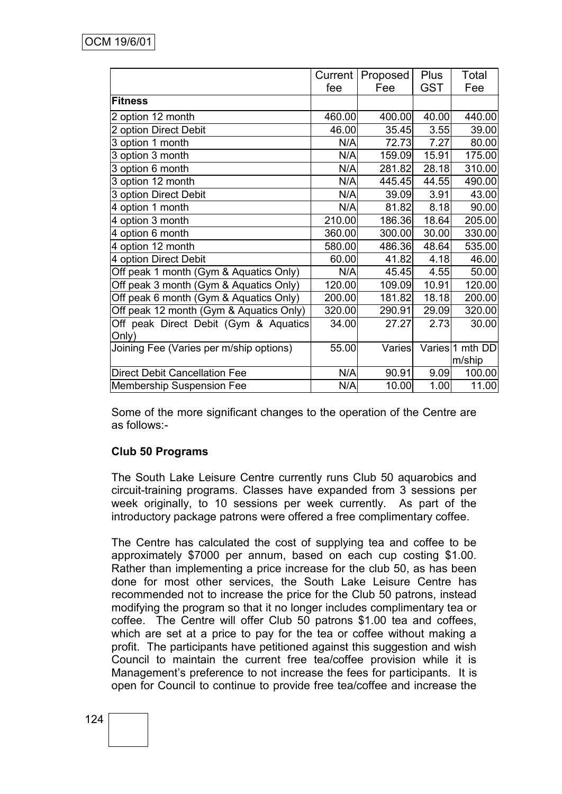|                                         | Current | Proposed | Plus  | Total           |
|-----------------------------------------|---------|----------|-------|-----------------|
|                                         | fee     | Fee      | GST   | Fee             |
| <b>Fitness</b>                          |         |          |       |                 |
| 2 option 12 month                       | 460.00  | 400.00   | 40.00 | 440.00          |
| 2 option Direct Debit                   | 46.00   | 35.45    | 3.55  | 39.00           |
| 3 option 1 month                        | N/A     | 72.73    | 7.27  | 80.00           |
| 3 option 3 month                        | N/A     | 159.09   | 15.91 | 175.00          |
| 3 option 6 month                        | N/A     | 281.82   | 28.18 | 310.00          |
| 3 option 12 month                       | N/A     | 445.45   | 44.55 | 490.00          |
| 3 option Direct Debit                   | N/A     | 39.09    | 3.91  | 43.00           |
| 4 option 1 month                        | N/A     | 81.82    | 8.18  | 90.00           |
| 4 option 3 month                        | 210.00  | 186.36   | 18.64 | 205.00          |
| 4 option 6 month                        | 360.00  | 300.00   | 30.00 | 330.00          |
| 4 option 12 month                       | 580.00  | 486.36   | 48.64 | 535.00          |
| 4 option Direct Debit                   | 60.00   | 41.82    | 4.18  | 46.00           |
| Off peak 1 month (Gym & Aquatics Only)  | N/A     | 45.45    | 4.55  | 50.00           |
| Off peak 3 month (Gym & Aquatics Only)  | 120.00  | 109.09   | 10.91 | 120.00          |
| Off peak 6 month (Gym & Aquatics Only)  | 200.00  | 181.82   | 18.18 | 200.00          |
| Off peak 12 month (Gym & Aquatics Only) | 320.00  | 290.91   | 29.09 | 320.00          |
| Off peak Direct Debit (Gym & Aquatics   | 34.00   | 27.27    | 2.73  | 30.00           |
| Only)                                   |         |          |       |                 |
| Joining Fee (Varies per m/ship options) | 55.00   | Varies   |       | Varies 1 mth DD |
|                                         |         |          |       | m/ship          |
| <b>Direct Debit Cancellation Fee</b>    | N/A     | 90.91    | 9.09  | 100.00          |
| Membership Suspension Fee               | N/A     | 10.00    | 1.00  | 11.00           |

Some of the more significant changes to the operation of the Centre are as follows:-

## **Club 50 Programs**

The South Lake Leisure Centre currently runs Club 50 aquarobics and circuit-training programs. Classes have expanded from 3 sessions per week originally, to 10 sessions per week currently. As part of the introductory package patrons were offered a free complimentary coffee.

The Centre has calculated the cost of supplying tea and coffee to be approximately \$7000 per annum, based on each cup costing \$1.00. Rather than implementing a price increase for the club 50, as has been done for most other services, the South Lake Leisure Centre has recommended not to increase the price for the Club 50 patrons, instead modifying the program so that it no longer includes complimentary tea or coffee. The Centre will offer Club 50 patrons \$1.00 tea and coffees, which are set at a price to pay for the tea or coffee without making a profit. The participants have petitioned against this suggestion and wish Council to maintain the current free tea/coffee provision while it is Management"s preference to not increase the fees for participants. It is open for Council to continue to provide free tea/coffee and increase the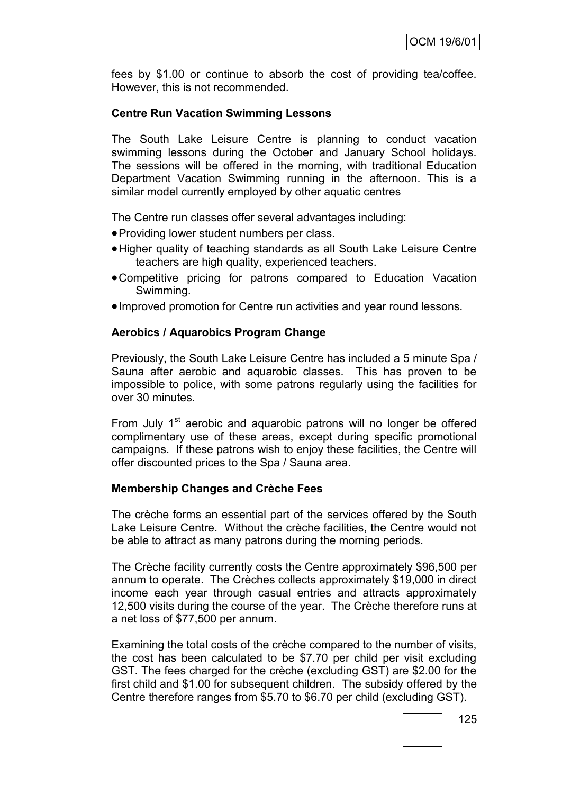fees by \$1.00 or continue to absorb the cost of providing tea/coffee. However, this is not recommended.

## **Centre Run Vacation Swimming Lessons**

The South Lake Leisure Centre is planning to conduct vacation swimming lessons during the October and January School holidays. The sessions will be offered in the morning, with traditional Education Department Vacation Swimming running in the afternoon. This is a similar model currently employed by other aquatic centres

The Centre run classes offer several advantages including:

- Providing lower student numbers per class.
- Higher quality of teaching standards as all South Lake Leisure Centre teachers are high quality, experienced teachers.
- Competitive pricing for patrons compared to Education Vacation Swimming.
- Improved promotion for Centre run activities and year round lessons.

#### **Aerobics / Aquarobics Program Change**

Previously, the South Lake Leisure Centre has included a 5 minute Spa / Sauna after aerobic and aquarobic classes. This has proven to be impossible to police, with some patrons regularly using the facilities for over 30 minutes.

From July  $1<sup>st</sup>$  aerobic and aquarobic patrons will no longer be offered complimentary use of these areas, except during specific promotional campaigns. If these patrons wish to enjoy these facilities, the Centre will offer discounted prices to the Spa / Sauna area.

## **Membership Changes and Crèche Fees**

The crèche forms an essential part of the services offered by the South Lake Leisure Centre. Without the crèche facilities, the Centre would not be able to attract as many patrons during the morning periods.

The Crèche facility currently costs the Centre approximately \$96,500 per annum to operate. The Crèches collects approximately \$19,000 in direct income each year through casual entries and attracts approximately 12,500 visits during the course of the year. The Crèche therefore runs at a net loss of \$77,500 per annum.

Examining the total costs of the crèche compared to the number of visits, the cost has been calculated to be \$7.70 per child per visit excluding GST. The fees charged for the crèche (excluding GST) are \$2.00 for the first child and \$1.00 for subsequent children. The subsidy offered by the Centre therefore ranges from \$5.70 to \$6.70 per child (excluding GST).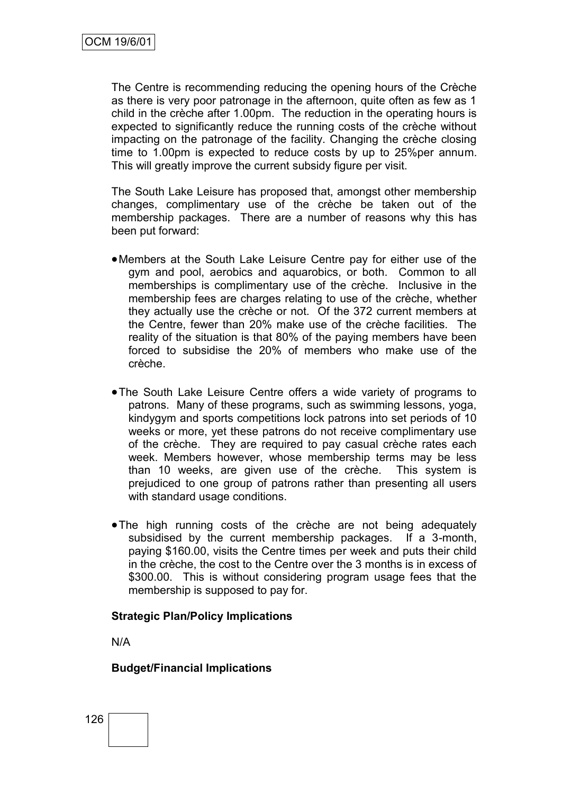The Centre is recommending reducing the opening hours of the Crèche as there is very poor patronage in the afternoon, quite often as few as 1 child in the crèche after 1.00pm. The reduction in the operating hours is expected to significantly reduce the running costs of the crèche without impacting on the patronage of the facility. Changing the crèche closing time to 1.00pm is expected to reduce costs by up to 25%per annum. This will greatly improve the current subsidy figure per visit.

The South Lake Leisure has proposed that, amongst other membership changes, complimentary use of the crèche be taken out of the membership packages. There are a number of reasons why this has been put forward:

- Members at the South Lake Leisure Centre pay for either use of the gym and pool, aerobics and aquarobics, or both. Common to all memberships is complimentary use of the crèche. Inclusive in the membership fees are charges relating to use of the crèche, whether they actually use the crèche or not. Of the 372 current members at the Centre, fewer than 20% make use of the crèche facilities. The reality of the situation is that 80% of the paying members have been forced to subsidise the 20% of members who make use of the crèche.
- The South Lake Leisure Centre offers a wide variety of programs to patrons. Many of these programs, such as swimming lessons, yoga, kindygym and sports competitions lock patrons into set periods of 10 weeks or more, yet these patrons do not receive complimentary use of the crèche. They are required to pay casual crèche rates each week. Members however, whose membership terms may be less than 10 weeks, are given use of the crèche. This system is prejudiced to one group of patrons rather than presenting all users with standard usage conditions.
- The high running costs of the crèche are not being adequately subsidised by the current membership packages. If a 3-month, paying \$160.00, visits the Centre times per week and puts their child in the crèche, the cost to the Centre over the 3 months is in excess of \$300.00. This is without considering program usage fees that the membership is supposed to pay for.

## **Strategic Plan/Policy Implications**

N/A

#### **Budget/Financial Implications**

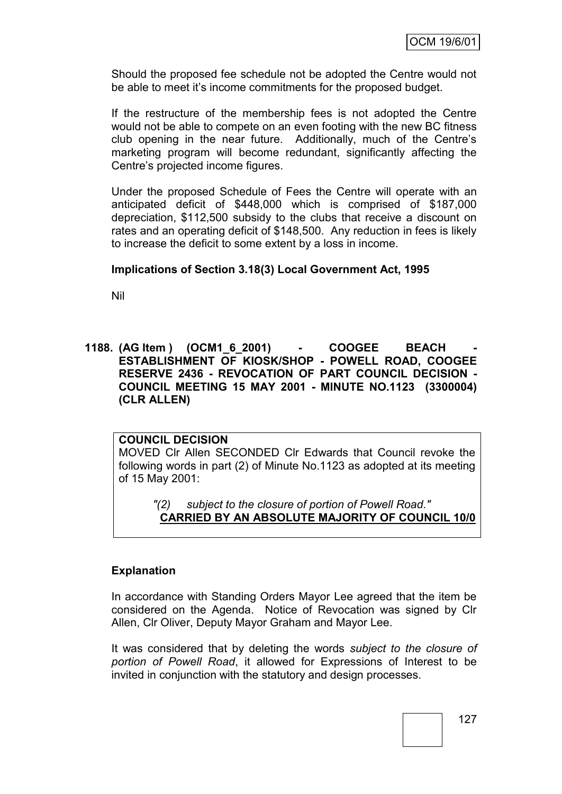Should the proposed fee schedule not be adopted the Centre would not be able to meet it"s income commitments for the proposed budget.

If the restructure of the membership fees is not adopted the Centre would not be able to compete on an even footing with the new BC fitness club opening in the near future. Additionally, much of the Centre"s marketing program will become redundant, significantly affecting the Centre"s projected income figures.

Under the proposed Schedule of Fees the Centre will operate with an anticipated deficit of \$448,000 which is comprised of \$187,000 depreciation, \$112,500 subsidy to the clubs that receive a discount on rates and an operating deficit of \$148,500. Any reduction in fees is likely to increase the deficit to some extent by a loss in income.

## **Implications of Section 3.18(3) Local Government Act, 1995**

Nil

## **1188. (AG Item ) (OCM1\_6\_2001) - COOGEE BEACH - ESTABLISHMENT OF KIOSK/SHOP - POWELL ROAD, COOGEE RESERVE 2436 - REVOCATION OF PART COUNCIL DECISION - COUNCIL MEETING 15 MAY 2001 - MINUTE NO.1123 (3300004) (CLR ALLEN)**

## **COUNCIL DECISION**

MOVED Clr Allen SECONDED Clr Edwards that Council revoke the following words in part (2) of Minute No.1123 as adopted at its meeting of 15 May 2001:

*"(2) subject to the closure of portion of Powell Road."* **CARRIED BY AN ABSOLUTE MAJORITY OF COUNCIL 10/0**

## **Explanation**

In accordance with Standing Orders Mayor Lee agreed that the item be considered on the Agenda. Notice of Revocation was signed by Clr Allen, Clr Oliver, Deputy Mayor Graham and Mayor Lee.

It was considered that by deleting the words *subject to the closure of portion of Powell Road*, it allowed for Expressions of Interest to be invited in conjunction with the statutory and design processes.

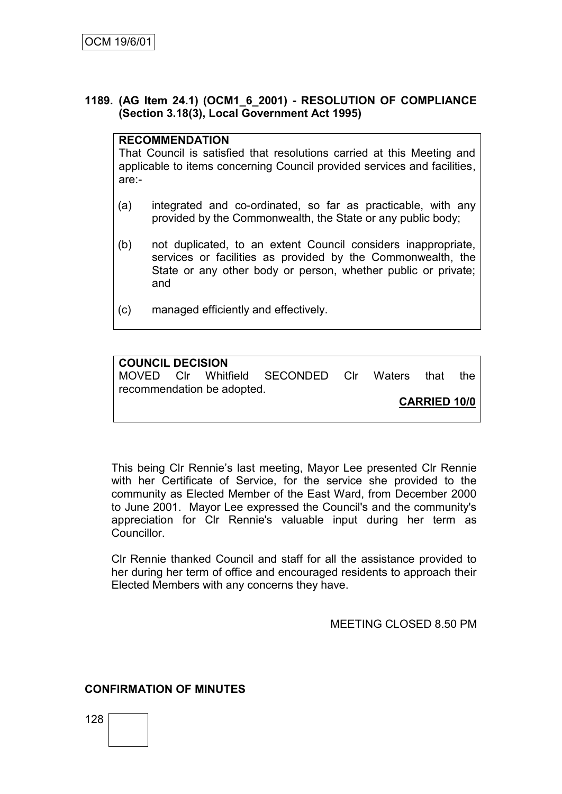## **1189. (AG Item 24.1) (OCM1\_6\_2001) - RESOLUTION OF COMPLIANCE (Section 3.18(3), Local Government Act 1995)**

## **RECOMMENDATION**

That Council is satisfied that resolutions carried at this Meeting and applicable to items concerning Council provided services and facilities, are:-

- (a) integrated and co-ordinated, so far as practicable, with any provided by the Commonwealth, the State or any public body;
- (b) not duplicated, to an extent Council considers inappropriate, services or facilities as provided by the Commonwealth, the State or any other body or person, whether public or private; and
- (c) managed efficiently and effectively.

#### **COUNCIL DECISION**

MOVED Clr Whitfield SECONDED Clr Waters that the recommendation be adopted.

**CARRIED 10/0**

This being Clr Rennie"s last meeting, Mayor Lee presented Clr Rennie with her Certificate of Service, for the service she provided to the community as Elected Member of the East Ward, from December 2000 to June 2001. Mayor Lee expressed the Council's and the community's appreciation for Clr Rennie's valuable input during her term as **Councillor** 

Clr Rennie thanked Council and staff for all the assistance provided to her during her term of office and encouraged residents to approach their Elected Members with any concerns they have.

## MEETING CLOSED 8.50 PM

## **CONFIRMATION OF MINUTES**

128